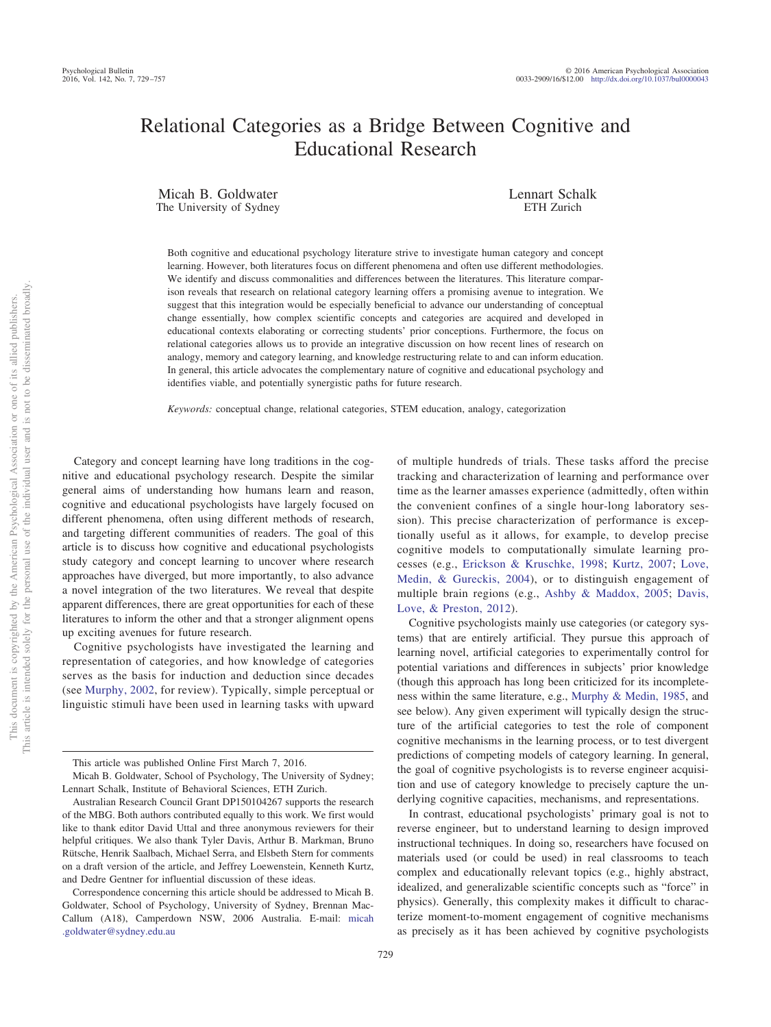# Relational Categories as a Bridge Between Cognitive and Educational Research

Micah B. Goldwater The University of Sydney Lennart Schalk ETH Zurich

Both cognitive and educational psychology literature strive to investigate human category and concept learning. However, both literatures focus on different phenomena and often use different methodologies. We identify and discuss commonalities and differences between the literatures. This literature comparison reveals that research on relational category learning offers a promising avenue to integration. We suggest that this integration would be especially beneficial to advance our understanding of conceptual change essentially, how complex scientific concepts and categories are acquired and developed in educational contexts elaborating or correcting students' prior conceptions. Furthermore, the focus on relational categories allows us to provide an integrative discussion on how recent lines of research on analogy, memory and category learning, and knowledge restructuring relate to and can inform education. In general, this article advocates the complementary nature of cognitive and educational psychology and identifies viable, and potentially synergistic paths for future research.

*Keywords:* conceptual change, relational categories, STEM education, analogy, categorization

Category and concept learning have long traditions in the cognitive and educational psychology research. Despite the similar general aims of understanding how humans learn and reason, cognitive and educational psychologists have largely focused on different phenomena, often using different methods of research, and targeting different communities of readers. The goal of this article is to discuss how cognitive and educational psychologists study category and concept learning to uncover where research approaches have diverged, but more importantly, to also advance a novel integration of the two literatures. We reveal that despite apparent differences, there are great opportunities for each of these literatures to inform the other and that a stronger alignment opens up exciting avenues for future research.

Cognitive psychologists have investigated the learning and representation of categories, and how knowledge of categories serves as the basis for induction and deduction since decades (see [Murphy, 2002,](#page-26-0) for review). Typically, simple perceptual or linguistic stimuli have been used in learning tasks with upward

This article was published Online First March 7, 2016.

of multiple hundreds of trials. These tasks afford the precise tracking and characterization of learning and performance over time as the learner amasses experience (admittedly, often within the convenient confines of a single hour-long laboratory session). This precise characterization of performance is exceptionally useful as it allows, for example, to develop precise cognitive models to computationally simulate learning processes (e.g., [Erickson & Kruschke, 1998;](#page-22-0) [Kurtz, 2007;](#page-25-0) [Love,](#page-25-1) [Medin, & Gureckis, 2004\)](#page-25-1), or to distinguish engagement of multiple brain regions (e.g., [Ashby & Maddox, 2005;](#page-20-0) [Davis,](#page-22-1) [Love, & Preston, 2012\)](#page-22-1).

Cognitive psychologists mainly use categories (or category systems) that are entirely artificial. They pursue this approach of learning novel, artificial categories to experimentally control for potential variations and differences in subjects' prior knowledge (though this approach has long been criticized for its incompleteness within the same literature, e.g., [Murphy & Medin, 1985,](#page-26-1) and see below). Any given experiment will typically design the structure of the artificial categories to test the role of component cognitive mechanisms in the learning process, or to test divergent predictions of competing models of category learning. In general, the goal of cognitive psychologists is to reverse engineer acquisition and use of category knowledge to precisely capture the underlying cognitive capacities, mechanisms, and representations.

In contrast, educational psychologists' primary goal is not to reverse engineer, but to understand learning to design improved instructional techniques. In doing so, researchers have focused on materials used (or could be used) in real classrooms to teach complex and educationally relevant topics (e.g., highly abstract, idealized, and generalizable scientific concepts such as "force" in physics). Generally, this complexity makes it difficult to characterize moment-to-moment engagement of cognitive mechanisms as precisely as it has been achieved by cognitive psychologists

Micah B. Goldwater, School of Psychology, The University of Sydney; Lennart Schalk, Institute of Behavioral Sciences, ETH Zurich.

Australian Research Council Grant DP150104267 supports the research of the MBG. Both authors contributed equally to this work. We first would like to thank editor David Uttal and three anonymous reviewers for their helpful critiques. We also thank Tyler Davis, Arthur B. Markman, Bruno Rütsche, Henrik Saalbach, Michael Serra, and Elsbeth Stern for comments on a draft version of the article, and Jeffrey Loewenstein, Kenneth Kurtz, and Dedre Gentner for influential discussion of these ideas.

Correspondence concerning this article should be addressed to Micah B. Goldwater, School of Psychology, University of Sydney, Brennan Mac-Callum (A18), Camperdown NSW, 2006 Australia. E-mail: [micah](mailto:micah.goldwater@sydney.edu.au) [.goldwater@sydney.edu.au](mailto:micah.goldwater@sydney.edu.au)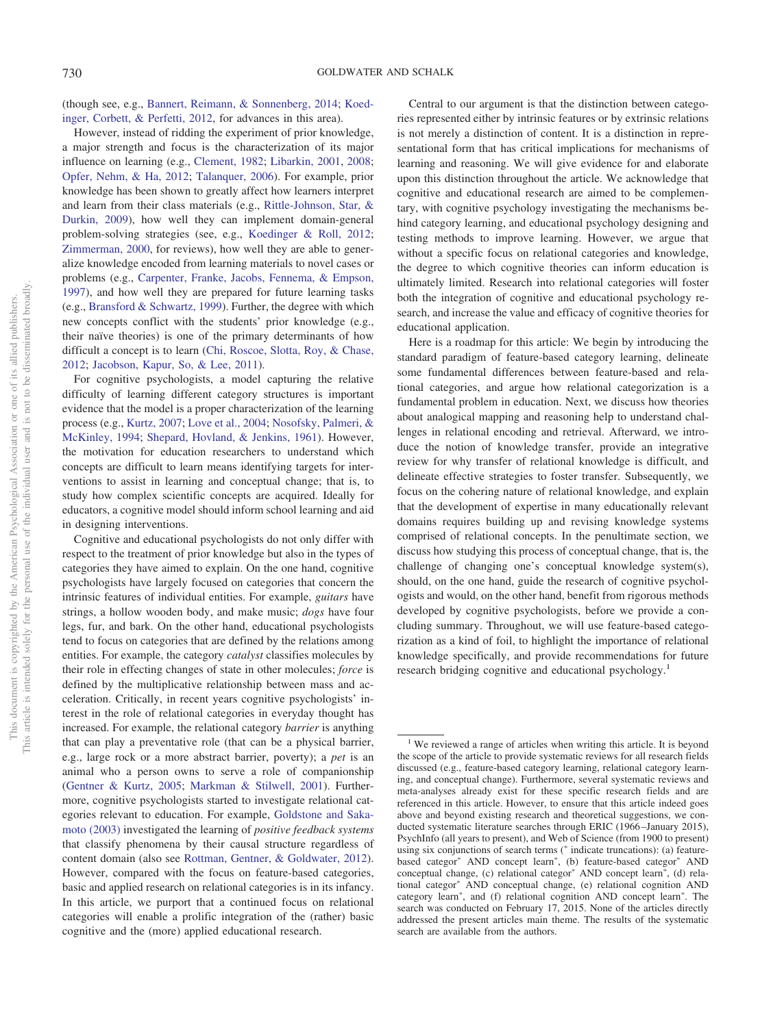(though see, e.g., [Bannert, Reimann, & Sonnenberg, 2014;](#page-20-1) [Koed](#page-24-0)[inger, Corbett, & Perfetti, 2012,](#page-24-0) for advances in this area).

However, instead of ridding the experiment of prior knowledge, a major strength and focus is the characterization of its major influence on learning (e.g., [Clement, 1982;](#page-21-0) [Libarkin, 2001,](#page-25-2) [2008;](#page-25-3) [Opfer, Nehm, & Ha, 2012;](#page-26-2) [Talanquer, 2006\)](#page-28-0). For example, prior knowledge has been shown to greatly affect how learners interpret and learn from their class materials (e.g., [Rittle-Johnson, Star, &](#page-27-0) [Durkin, 2009\)](#page-27-0), how well they can implement domain-general problem-solving strategies (see, e.g., [Koedinger & Roll, 2012;](#page-24-1) [Zimmerman, 2000,](#page-28-1) for reviews), how well they are able to generalize knowledge encoded from learning materials to novel cases or problems (e.g., [Carpenter, Franke, Jacobs, Fennema, & Empson,](#page-21-1) [1997\)](#page-21-1), and how well they are prepared for future learning tasks (e.g., [Bransford & Schwartz, 1999\)](#page-21-2). Further, the degree with which new concepts conflict with the students' prior knowledge (e.g., their naïve theories) is one of the primary determinants of how difficult a concept is to learn [\(Chi, Roscoe, Slotta, Roy, & Chase,](#page-21-3) [2012;](#page-21-3) [Jacobson, Kapur, So, & Lee, 2011\)](#page-24-2).

For cognitive psychologists, a model capturing the relative difficulty of learning different category structures is important evidence that the model is a proper characterization of the learning process (e.g., [Kurtz, 2007;](#page-25-0) [Love et al., 2004;](#page-25-1) [Nosofsky, Palmeri, &](#page-26-3) [McKinley, 1994;](#page-26-3) [Shepard, Hovland, & Jenkins, 1961\)](#page-27-1). However, the motivation for education researchers to understand which concepts are difficult to learn means identifying targets for interventions to assist in learning and conceptual change; that is, to study how complex scientific concepts are acquired. Ideally for educators, a cognitive model should inform school learning and aid in designing interventions.

Cognitive and educational psychologists do not only differ with respect to the treatment of prior knowledge but also in the types of categories they have aimed to explain. On the one hand, cognitive psychologists have largely focused on categories that concern the intrinsic features of individual entities. For example, *guitars* have strings, a hollow wooden body, and make music; *dogs* have four legs, fur, and bark. On the other hand, educational psychologists tend to focus on categories that are defined by the relations among entities. For example, the category *catalyst* classifies molecules by their role in effecting changes of state in other molecules; *force* is defined by the multiplicative relationship between mass and acceleration. Critically, in recent years cognitive psychologists' interest in the role of relational categories in everyday thought has increased. For example, the relational category *barrier* is anything that can play a preventative role (that can be a physical barrier, e.g., large rock or a more abstract barrier, poverty); a *pet* is an animal who a person owns to serve a role of companionship [\(Gentner & Kurtz, 2005;](#page-23-0) [Markman & Stilwell, 2001\)](#page-25-4). Furthermore, cognitive psychologists started to investigate relational categories relevant to education. For example, [Goldstone and Saka](#page-23-1)[moto \(2003\)](#page-23-1) investigated the learning of *positive feedback systems* that classify phenomena by their causal structure regardless of content domain (also see [Rottman, Gentner, & Goldwater, 2012\)](#page-27-2). However, compared with the focus on feature-based categories, basic and applied research on relational categories is in its infancy. In this article, we purport that a continued focus on relational categories will enable a prolific integration of the (rather) basic cognitive and the (more) applied educational research.

Central to our argument is that the distinction between categories represented either by intrinsic features or by extrinsic relations is not merely a distinction of content. It is a distinction in representational form that has critical implications for mechanisms of learning and reasoning. We will give evidence for and elaborate upon this distinction throughout the article. We acknowledge that cognitive and educational research are aimed to be complementary, with cognitive psychology investigating the mechanisms behind category learning, and educational psychology designing and testing methods to improve learning. However, we argue that without a specific focus on relational categories and knowledge, the degree to which cognitive theories can inform education is ultimately limited. Research into relational categories will foster both the integration of cognitive and educational psychology research, and increase the value and efficacy of cognitive theories for educational application.

Here is a roadmap for this article: We begin by introducing the standard paradigm of feature-based category learning, delineate some fundamental differences between feature-based and relational categories, and argue how relational categorization is a fundamental problem in education. Next, we discuss how theories about analogical mapping and reasoning help to understand challenges in relational encoding and retrieval. Afterward, we introduce the notion of knowledge transfer, provide an integrative review for why transfer of relational knowledge is difficult, and delineate effective strategies to foster transfer. Subsequently, we focus on the cohering nature of relational knowledge, and explain that the development of expertise in many educationally relevant domains requires building up and revising knowledge systems comprised of relational concepts. In the penultimate section, we discuss how studying this process of conceptual change, that is, the challenge of changing one's conceptual knowledge system(s), should, on the one hand, guide the research of cognitive psychologists and would, on the other hand, benefit from rigorous methods developed by cognitive psychologists, before we provide a concluding summary. Throughout, we will use feature-based categorization as a kind of foil, to highlight the importance of relational knowledge specifically, and provide recommendations for future research bridging cognitive and educational psychology.<sup>1</sup>

<sup>&</sup>lt;sup>1</sup> We reviewed a range of articles when writing this article. It is beyond the scope of the article to provide systematic reviews for all research fields discussed (e.g., feature-based category learning, relational category learning, and conceptual change). Furthermore, several systematic reviews and meta-analyses already exist for these specific research fields and are referenced in this article. However, to ensure that this article indeed goes above and beyond existing research and theoretical suggestions, we conducted systematic literature searches through ERIC (1966 –January 2015), PsychInfo (all years to present), and Web of Science (from 1900 to present) using six conjunctions of search terms (\* indicate truncations): (a) featurebased categor<sup>\*</sup> AND concept learn<sup>\*</sup>, (b) feature-based categor<sup>\*</sup> AND conceptual change, (c) relational categor<sup>\*</sup> AND concept learn<sup>\*</sup>, (d) relational categor<sup>\*</sup> AND conceptual change, (e) relational cognition AND category learn<sup>\*</sup>, and (f) relational cognition AND concept learn<sup>\*</sup>. The search was conducted on February 17, 2015. None of the articles directly addressed the present articles main theme. The results of the systematic search are available from the authors.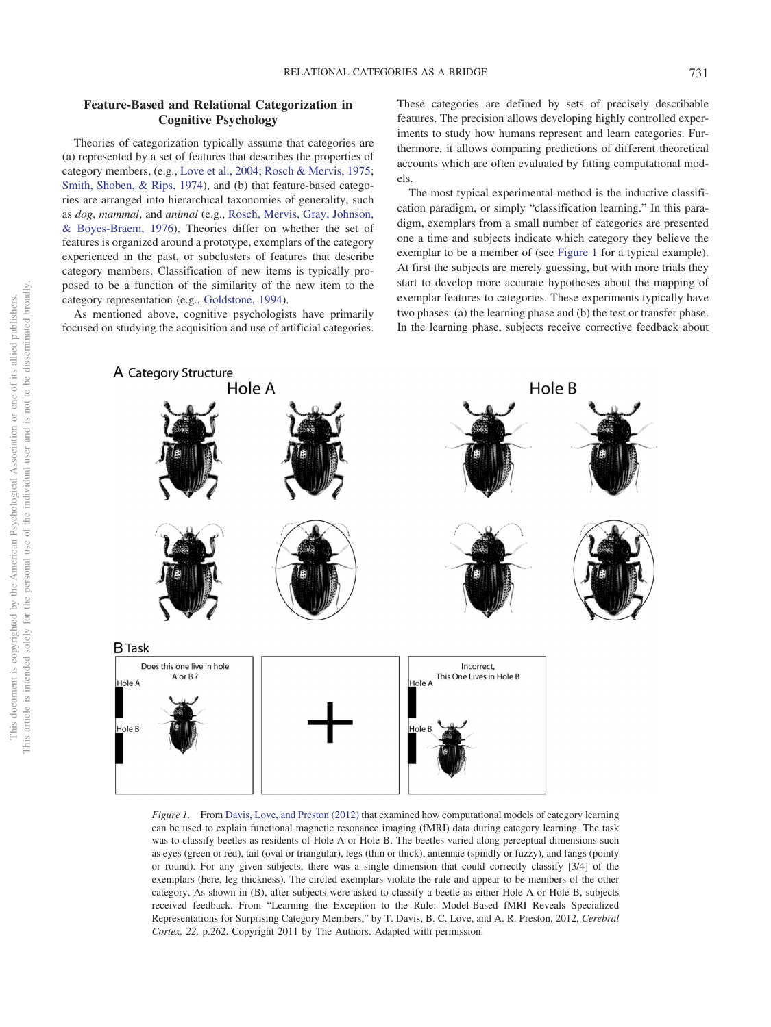# **Feature-Based and Relational Categorization in Cognitive Psychology**

Theories of categorization typically assume that categories are (a) represented by a set of features that describes the properties of category members, (e.g., [Love et al., 2004;](#page-25-1) [Rosch & Mervis, 1975;](#page-27-3) [Smith, Shoben, & Rips, 1974\)](#page-27-4), and (b) that feature-based categories are arranged into hierarchical taxonomies of generality, such as *dog*, *mammal*, and *animal* (e.g., [Rosch, Mervis, Gray, Johnson,](#page-27-5) [& Boyes-Braem, 1976\)](#page-27-5). Theories differ on whether the set of features is organized around a prototype, exemplars of the category experienced in the past, or subclusters of features that describe category members. Classification of new items is typically proposed to be a function of the similarity of the new item to the category representation (e.g., [Goldstone, 1994\)](#page-23-2).

As mentioned above, cognitive psychologists have primarily focused on studying the acquisition and use of artificial categories. These categories are defined by sets of precisely describable features. The precision allows developing highly controlled experiments to study how humans represent and learn categories. Furthermore, it allows comparing predictions of different theoretical accounts which are often evaluated by fitting computational models.

The most typical experimental method is the inductive classification paradigm, or simply "classification learning." In this paradigm, exemplars from a small number of categories are presented one a time and subjects indicate which category they believe the exemplar to be a member of (see [Figure 1](#page-2-0) for a typical example). At first the subjects are merely guessing, but with more trials they start to develop more accurate hypotheses about the mapping of exemplar features to categories. These experiments typically have two phases: (a) the learning phase and (b) the test or transfer phase. In the learning phase, subjects receive corrective feedback about



<span id="page-2-0"></span>*Figure 1.* From [Davis, Love, and Preston \(2012\)](#page-22-1) that examined how computational models of category learning can be used to explain functional magnetic resonance imaging (fMRI) data during category learning. The task was to classify beetles as residents of Hole A or Hole B. The beetles varied along perceptual dimensions such as eyes (green or red), tail (oval or triangular), legs (thin or thick), antennae (spindly or fuzzy), and fangs (pointy or round). For any given subjects, there was a single dimension that could correctly classify [3/4] of the exemplars (here, leg thickness). The circled exemplars violate the rule and appear to be members of the other category. As shown in (B), after subjects were asked to classify a beetle as either Hole A or Hole B, subjects received feedback. From "Learning the Exception to the Rule: Model-Based fMRI Reveals Specialized Representations for Surprising Category Members," by T. Davis, B. C. Love, and A. R. Preston, 2012, *Cerebral Cortex, 22,* p.262. Copyright 2011 by The Authors. Adapted with permission.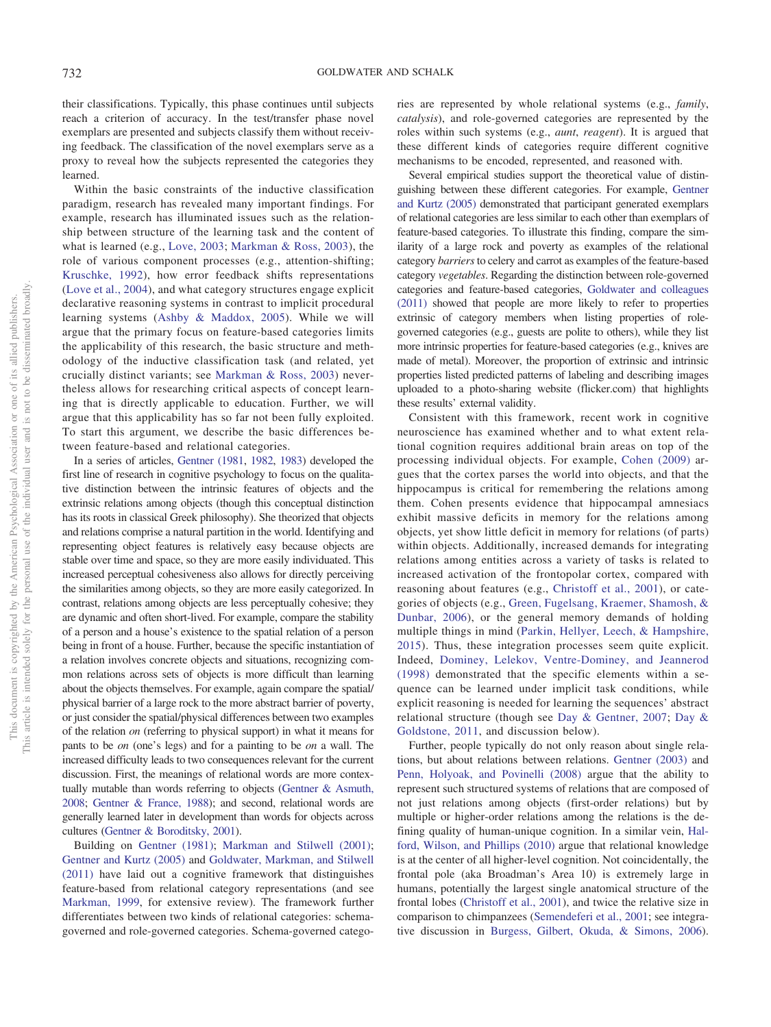their classifications. Typically, this phase continues until subjects reach a criterion of accuracy. In the test/transfer phase novel exemplars are presented and subjects classify them without receiving feedback. The classification of the novel exemplars serve as a proxy to reveal how the subjects represented the categories they learned.

Within the basic constraints of the inductive classification paradigm, research has revealed many important findings. For example, research has illuminated issues such as the relationship between structure of the learning task and the content of what is learned (e.g., [Love, 2003;](#page-25-5) [Markman & Ross, 2003\)](#page-25-6), the role of various component processes (e.g., attention-shifting; [Kruschke, 1992\)](#page-25-7), how error feedback shifts representations [\(Love et al., 2004\)](#page-25-1), and what category structures engage explicit declarative reasoning systems in contrast to implicit procedural learning systems [\(Ashby & Maddox, 2005\)](#page-20-0). While we will argue that the primary focus on feature-based categories limits the applicability of this research, the basic structure and methodology of the inductive classification task (and related, yet crucially distinct variants; see [Markman & Ross, 2003\)](#page-25-6) nevertheless allows for researching critical aspects of concept learning that is directly applicable to education. Further, we will argue that this applicability has so far not been fully exploited. To start this argument, we describe the basic differences between feature-based and relational categories.

In a series of articles, [Gentner \(1981,](#page-22-2) [1982,](#page-22-3) [1983\)](#page-22-4) developed the first line of research in cognitive psychology to focus on the qualitative distinction between the intrinsic features of objects and the extrinsic relations among objects (though this conceptual distinction has its roots in classical Greek philosophy). She theorized that objects and relations comprise a natural partition in the world. Identifying and representing object features is relatively easy because objects are stable over time and space, so they are more easily individuated. This increased perceptual cohesiveness also allows for directly perceiving the similarities among objects, so they are more easily categorized. In contrast, relations among objects are less perceptually cohesive; they are dynamic and often short-lived. For example, compare the stability of a person and a house's existence to the spatial relation of a person being in front of a house. Further, because the specific instantiation of a relation involves concrete objects and situations, recognizing common relations across sets of objects is more difficult than learning about the objects themselves. For example, again compare the spatial/ physical barrier of a large rock to the more abstract barrier of poverty, or just consider the spatial/physical differences between two examples of the relation *on* (referring to physical support) in what it means for pants to be *on* (one's legs) and for a painting to be *on* a wall. The increased difficulty leads to two consequences relevant for the current discussion. First, the meanings of relational words are more contextually mutable than words referring to objects [\(Gentner & Asmuth,](#page-22-5) [2008;](#page-22-5) [Gentner & France, 1988\)](#page-23-3); and second, relational words are generally learned later in development than words for objects across cultures [\(Gentner & Boroditsky, 2001\)](#page-22-6).

Building on [Gentner \(1981\);](#page-22-2) [Markman and Stilwell \(2001\);](#page-25-4) [Gentner and Kurtz \(2005\)](#page-23-0) and [Goldwater, Markman, and Stilwell](#page-23-4) [\(2011\)](#page-23-4) have laid out a cognitive framework that distinguishes feature-based from relational category representations (and see [Markman, 1999,](#page-25-8) for extensive review). The framework further differentiates between two kinds of relational categories: schemagoverned and role-governed categories. Schema-governed categories are represented by whole relational systems (e.g., *family*, *catalysis*), and role-governed categories are represented by the roles within such systems (e.g., *aunt*, *reagent*). It is argued that these different kinds of categories require different cognitive mechanisms to be encoded, represented, and reasoned with.

Several empirical studies support the theoretical value of distinguishing between these different categories. For example, [Gentner](#page-23-0) [and Kurtz \(2005\)](#page-23-0) demonstrated that participant generated exemplars of relational categories are less similar to each other than exemplars of feature-based categories. To illustrate this finding, compare the similarity of a large rock and poverty as examples of the relational category *barriers*to celery and carrot as examples of the feature-based category *vegetables*. Regarding the distinction between role-governed categories and feature-based categories, [Goldwater and colleagues](#page-23-5) [\(2011\)](#page-23-5) showed that people are more likely to refer to properties extrinsic of category members when listing properties of rolegoverned categories (e.g., guests are polite to others), while they list more intrinsic properties for feature-based categories (e.g., knives are made of metal). Moreover, the proportion of extrinsic and intrinsic properties listed predicted patterns of labeling and describing images uploaded to a photo-sharing website (flicker.com) that highlights these results' external validity.

Consistent with this framework, recent work in cognitive neuroscience has examined whether and to what extent relational cognition requires additional brain areas on top of the processing individual objects. For example, [Cohen \(2009\)](#page-21-4) argues that the cortex parses the world into objects, and that the hippocampus is critical for remembering the relations among them. Cohen presents evidence that hippocampal amnesiacs exhibit massive deficits in memory for the relations among objects, yet show little deficit in memory for relations (of parts) within objects. Additionally, increased demands for integrating relations among entities across a variety of tasks is related to increased activation of the frontopolar cortex, compared with reasoning about features (e.g., [Christoff et al., 2001\)](#page-21-5), or categories of objects (e.g., [Green, Fugelsang, Kraemer, Shamosh, &](#page-23-6) [Dunbar, 2006\)](#page-23-6), or the general memory demands of holding multiple things in mind [\(Parkin, Hellyer, Leech, & Hampshire,](#page-26-4) [2015\)](#page-26-4). Thus, these integration processes seem quite explicit. Indeed, [Dominey, Lelekov, Ventre-Dominey, and Jeannerod](#page-22-7) [\(1998\)](#page-22-7) demonstrated that the specific elements within a sequence can be learned under implicit task conditions, while explicit reasoning is needed for learning the sequences' abstract relational structure (though see [Day & Gentner, 2007;](#page-22-8) [Day &](#page-22-9) [Goldstone, 2011,](#page-22-9) and discussion below).

Further, people typically do not only reason about single relations, but about relations between relations. [Gentner \(2003\)](#page-22-10) and [Penn, Holyoak, and Povinelli \(2008\)](#page-26-5) argue that the ability to represent such structured systems of relations that are composed of not just relations among objects (first-order relations) but by multiple or higher-order relations among the relations is the defining quality of human-unique cognition. In a similar vein, [Hal](#page-24-3)[ford, Wilson, and Phillips \(2010\)](#page-24-3) argue that relational knowledge is at the center of all higher-level cognition. Not coincidentally, the frontal pole (aka Broadman's Area 10) is extremely large in humans, potentially the largest single anatomical structure of the frontal lobes [\(Christoff et al., 2001\)](#page-21-5), and twice the relative size in comparison to chimpanzees [\(Semendeferi et al., 2001;](#page-27-6) see integrative discussion in [Burgess, Gilbert, Okuda, & Simons, 2006\)](#page-21-6).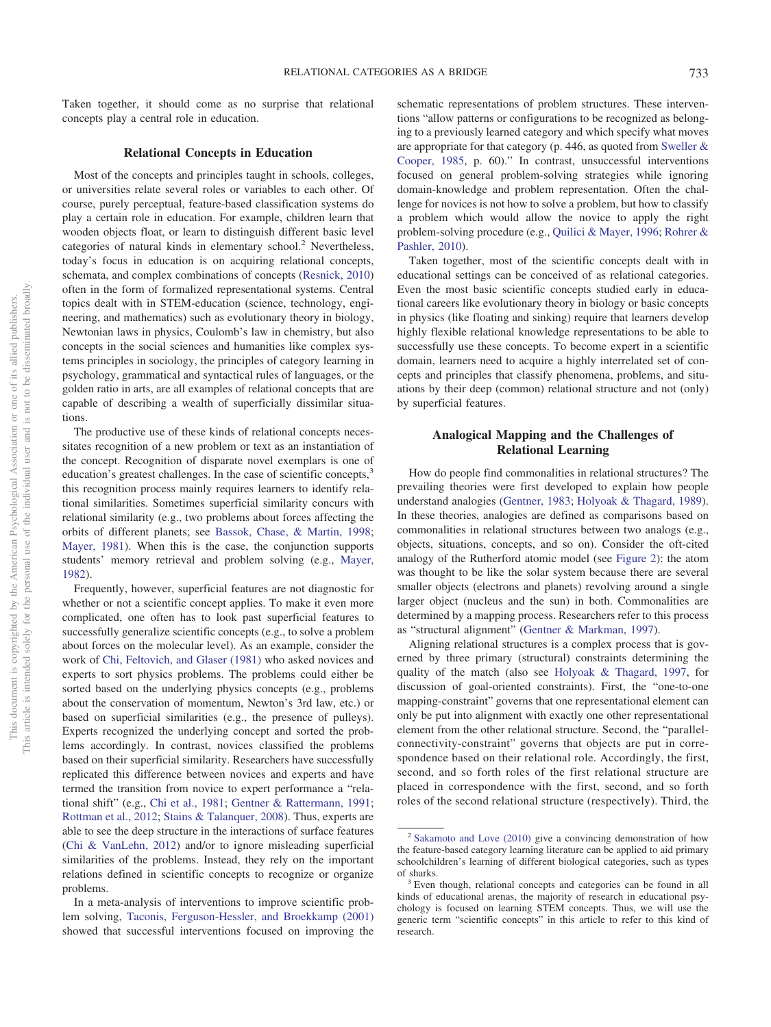Taken together, it should come as no surprise that relational concepts play a central role in education.

#### **Relational Concepts in Education**

Most of the concepts and principles taught in schools, colleges, or universities relate several roles or variables to each other. Of course, purely perceptual, feature-based classification systems do play a certain role in education. For example, children learn that wooden objects float, or learn to distinguish different basic level categories of natural kinds in elementary school.<sup>2</sup> Nevertheless, today's focus in education is on acquiring relational concepts, schemata, and complex combinations of concepts [\(Resnick, 2010\)](#page-26-6) often in the form of formalized representational systems. Central topics dealt with in STEM-education (science, technology, engineering, and mathematics) such as evolutionary theory in biology, Newtonian laws in physics, Coulomb's law in chemistry, but also concepts in the social sciences and humanities like complex systems principles in sociology, the principles of category learning in psychology, grammatical and syntactical rules of languages, or the golden ratio in arts, are all examples of relational concepts that are capable of describing a wealth of superficially dissimilar situations.

The productive use of these kinds of relational concepts necessitates recognition of a new problem or text as an instantiation of the concept. Recognition of disparate novel exemplars is one of education's greatest challenges. In the case of scientific concepts,<sup>3</sup> this recognition process mainly requires learners to identify relational similarities. Sometimes superficial similarity concurs with relational similarity (e.g., two problems about forces affecting the orbits of different planets; see [Bassok, Chase, & Martin, 1998;](#page-20-2) [Mayer, 1981\)](#page-25-9). When this is the case, the conjunction supports students' memory retrieval and problem solving (e.g., [Mayer,](#page-25-10) [1982\)](#page-25-10).

Frequently, however, superficial features are not diagnostic for whether or not a scientific concept applies. To make it even more complicated, one often has to look past superficial features to successfully generalize scientific concepts (e.g., to solve a problem about forces on the molecular level). As an example, consider the work of [Chi, Feltovich, and Glaser \(1981\)](#page-21-7) who asked novices and experts to sort physics problems. The problems could either be sorted based on the underlying physics concepts (e.g., problems about the conservation of momentum, Newton's 3rd law, etc.) or based on superficial similarities (e.g., the presence of pulleys). Experts recognized the underlying concept and sorted the problems accordingly. In contrast, novices classified the problems based on their superficial similarity. Researchers have successfully replicated this difference between novices and experts and have termed the transition from novice to expert performance a "relational shift" (e.g., [Chi et al., 1981;](#page-21-7) [Gentner & Rattermann, 1991;](#page-23-7) [Rottman et al., 2012;](#page-27-2) [Stains & Talanquer, 2008\)](#page-28-2). Thus, experts are able to see the deep structure in the interactions of surface features [\(Chi & VanLehn, 2012\)](#page-21-8) and/or to ignore misleading superficial similarities of the problems. Instead, they rely on the important relations defined in scientific concepts to recognize or organize problems.

In a meta-analysis of interventions to improve scientific problem solving, [Taconis, Ferguson-Hessler, and Broekkamp \(2001\)](#page-28-3) showed that successful interventions focused on improving the schematic representations of problem structures. These interventions "allow patterns or configurations to be recognized as belonging to a previously learned category and which specify what moves are appropriate for that category (p. 446, as quoted from [Sweller &](#page-28-4) [Cooper, 1985,](#page-28-4) p. 60)." In contrast, unsuccessful interventions focused on general problem-solving strategies while ignoring domain-knowledge and problem representation. Often the challenge for novices is not how to solve a problem, but how to classify a problem which would allow the novice to apply the right problem-solving procedure (e.g., [Quilici & Mayer, 1996;](#page-26-7) [Rohrer &](#page-27-7) [Pashler, 2010\)](#page-27-7).

Taken together, most of the scientific concepts dealt with in educational settings can be conceived of as relational categories. Even the most basic scientific concepts studied early in educational careers like evolutionary theory in biology or basic concepts in physics (like floating and sinking) require that learners develop highly flexible relational knowledge representations to be able to successfully use these concepts. To become expert in a scientific domain, learners need to acquire a highly interrelated set of concepts and principles that classify phenomena, problems, and situations by their deep (common) relational structure and not (only) by superficial features.

# **Analogical Mapping and the Challenges of Relational Learning**

How do people find commonalities in relational structures? The prevailing theories were first developed to explain how people understand analogies [\(Gentner, 1983;](#page-22-4) [Holyoak & Thagard, 1989\)](#page-24-4). In these theories, analogies are defined as comparisons based on commonalities in relational structures between two analogs (e.g., objects, situations, concepts, and so on). Consider the oft-cited analogy of the Rutherford atomic model (see [Figure 2\)](#page-5-0): the atom was thought to be like the solar system because there are several smaller objects (electrons and planets) revolving around a single larger object (nucleus and the sun) in both. Commonalities are determined by a mapping process. Researchers refer to this process as "structural alignment" [\(Gentner & Markman, 1997\)](#page-23-8).

Aligning relational structures is a complex process that is governed by three primary (structural) constraints determining the quality of the match (also see [Holyoak & Thagard, 1997,](#page-24-5) for discussion of goal-oriented constraints). First, the "one-to-one mapping-constraint" governs that one representational element can only be put into alignment with exactly one other representational element from the other relational structure. Second, the "parallelconnectivity-constraint" governs that objects are put in correspondence based on their relational role. Accordingly, the first, second, and so forth roles of the first relational structure are placed in correspondence with the first, second, and so forth roles of the second relational structure (respectively). Third, the

<sup>2</sup> [Sakamoto and Love \(2010\)](#page-27-8) give a convincing demonstration of how the feature-based category learning literature can be applied to aid primary schoolchildren's learning of different biological categories, such as types

<sup>&</sup>lt;sup>3</sup> Even though, relational concepts and categories can be found in all kinds of educational arenas, the majority of research in educational psychology is focused on learning STEM concepts. Thus, we will use the generic term "scientific concepts" in this article to refer to this kind of research.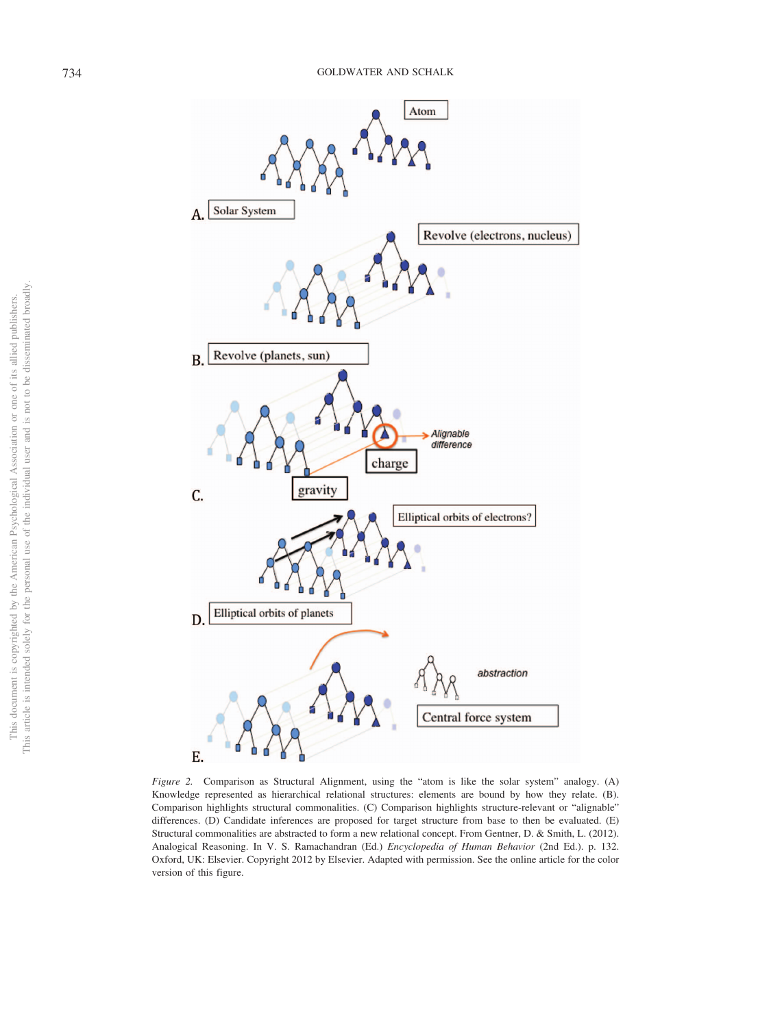

<span id="page-5-0"></span>*Figure 2.* Comparison as Structural Alignment, using the "atom is like the solar system" analogy. (A) Knowledge represented as hierarchical relational structures: elements are bound by how they relate. (B). Comparison highlights structural commonalities. (C) Comparison highlights structure-relevant or "alignable" differences. (D) Candidate inferences are proposed for target structure from base to then be evaluated. (E) Structural commonalities are abstracted to form a new relational concept. From Gentner, D. & Smith, L. (2012). Analogical Reasoning. In V. S. Ramachandran (Ed.) *Encyclopedia of Human Behavior* (2nd Ed.). p. 132. Oxford, UK: Elsevier. Copyright 2012 by Elsevier. Adapted with permission. See the online article for the color version of this figure.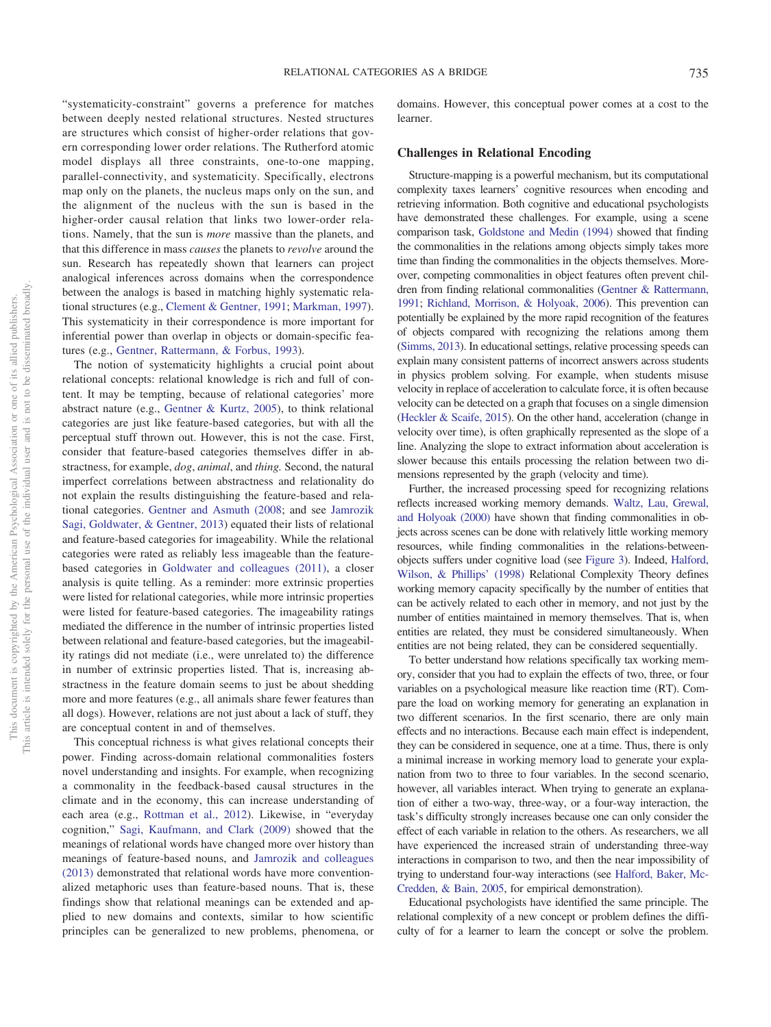"systematicity-constraint" governs a preference for matches between deeply nested relational structures. Nested structures are structures which consist of higher-order relations that govern corresponding lower order relations. The Rutherford atomic model displays all three constraints, one-to-one mapping, parallel-connectivity, and systematicity. Specifically, electrons map only on the planets, the nucleus maps only on the sun, and the alignment of the nucleus with the sun is based in the higher-order causal relation that links two lower-order relations. Namely, that the sun is *more* massive than the planets, and that this difference in mass *causes* the planets to *revolve* around the sun. Research has repeatedly shown that learners can project analogical inferences across domains when the correspondence between the analogs is based in matching highly systematic relational structures (e.g., [Clement & Gentner, 1991;](#page-21-9) [Markman, 1997\)](#page-25-11). This systematicity in their correspondence is more important for inferential power than overlap in objects or domain-specific features (e.g., [Gentner, Rattermann, & Forbus, 1993\)](#page-23-9).

The notion of systematicity highlights a crucial point about relational concepts: relational knowledge is rich and full of content. It may be tempting, because of relational categories' more abstract nature (e.g., [Gentner & Kurtz, 2005\)](#page-23-0), to think relational categories are just like feature-based categories, but with all the perceptual stuff thrown out. However, this is not the case. First, consider that feature-based categories themselves differ in abstractness, for example, *dog*, *animal*, and *thing.* Second, the natural imperfect correlations between abstractness and relationality do not explain the results distinguishing the feature-based and relational categories. [Gentner and Asmuth \(2008;](#page-22-5) and see [Jamrozik](#page-24-6) [Sagi, Goldwater, & Gentner, 2013\)](#page-24-6) equated their lists of relational and feature-based categories for imageability. While the relational categories were rated as reliably less imageable than the featurebased categories in [Goldwater and colleagues \(2011\),](#page-23-5) a closer analysis is quite telling. As a reminder: more extrinsic properties were listed for relational categories, while more intrinsic properties were listed for feature-based categories. The imageability ratings mediated the difference in the number of intrinsic properties listed between relational and feature-based categories, but the imageability ratings did not mediate (i.e., were unrelated to) the difference in number of extrinsic properties listed. That is, increasing abstractness in the feature domain seems to just be about shedding more and more features (e.g., all animals share fewer features than all dogs). However, relations are not just about a lack of stuff, they are conceptual content in and of themselves.

This conceptual richness is what gives relational concepts their power. Finding across-domain relational commonalities fosters novel understanding and insights. For example, when recognizing a commonality in the feedback-based causal structures in the climate and in the economy, this can increase understanding of each area (e.g., [Rottman et al., 2012\)](#page-27-2). Likewise, in "everyday cognition," [Sagi, Kaufmann, and Clark \(2009\)](#page-27-9) showed that the meanings of relational words have changed more over history than meanings of feature-based nouns, and [Jamrozik and colleagues](#page-24-6) [\(2013\)](#page-24-6) demonstrated that relational words have more conventionalized metaphoric uses than feature-based nouns. That is, these findings show that relational meanings can be extended and applied to new domains and contexts, similar to how scientific principles can be generalized to new problems, phenomena, or

domains. However, this conceptual power comes at a cost to the learner.

#### **Challenges in Relational Encoding**

Structure-mapping is a powerful mechanism, but its computational complexity taxes learners' cognitive resources when encoding and retrieving information. Both cognitive and educational psychologists have demonstrated these challenges. For example, using a scene comparison task, [Goldstone and Medin \(1994\)](#page-23-10) showed that finding the commonalities in the relations among objects simply takes more time than finding the commonalities in the objects themselves. Moreover, competing commonalities in object features often prevent children from finding relational commonalities [\(Gentner & Rattermann,](#page-23-7) [1991;](#page-23-7) [Richland, Morrison, & Holyoak, 2006\)](#page-26-8). This prevention can potentially be explained by the more rapid recognition of the features of objects compared with recognizing the relations among them [\(Simms, 2013\)](#page-27-10). In educational settings, relative processing speeds can explain many consistent patterns of incorrect answers across students in physics problem solving. For example, when students misuse velocity in replace of acceleration to calculate force, it is often because velocity can be detected on a graph that focuses on a single dimension [\(Heckler & Scaife, 2015\)](#page-24-7). On the other hand, acceleration (change in velocity over time), is often graphically represented as the slope of a line. Analyzing the slope to extract information about acceleration is slower because this entails processing the relation between two dimensions represented by the graph (velocity and time).

Further, the increased processing speed for recognizing relations reflects increased working memory demands. [Waltz, Lau, Grewal,](#page-28-5) [and Holyoak \(2000\)](#page-28-5) have shown that finding commonalities in objects across scenes can be done with relatively little working memory resources, while finding commonalities in the relations-betweenobjects suffers under cognitive load (see [Figure 3\)](#page-7-0). Indeed, [Halford,](#page-23-11) [Wilson, & Phillips' \(1998\)](#page-23-11) Relational Complexity Theory defines working memory capacity specifically by the number of entities that can be actively related to each other in memory, and not just by the number of entities maintained in memory themselves. That is, when entities are related, they must be considered simultaneously. When entities are not being related, they can be considered sequentially.

To better understand how relations specifically tax working memory, consider that you had to explain the effects of two, three, or four variables on a psychological measure like reaction time (RT). Compare the load on working memory for generating an explanation in two different scenarios. In the first scenario, there are only main effects and no interactions. Because each main effect is independent, they can be considered in sequence, one at a time. Thus, there is only a minimal increase in working memory load to generate your explanation from two to three to four variables. In the second scenario, however, all variables interact. When trying to generate an explanation of either a two-way, three-way, or a four-way interaction, the task's difficulty strongly increases because one can only consider the effect of each variable in relation to the others. As researchers, we all have experienced the increased strain of understanding three-way interactions in comparison to two, and then the near impossibility of trying to understand four-way interactions (see [Halford, Baker, Mc-](#page-23-12)[Credden, & Bain, 2005,](#page-23-12) for empirical demonstration).

Educational psychologists have identified the same principle. The relational complexity of a new concept or problem defines the difficulty of for a learner to learn the concept or solve the problem.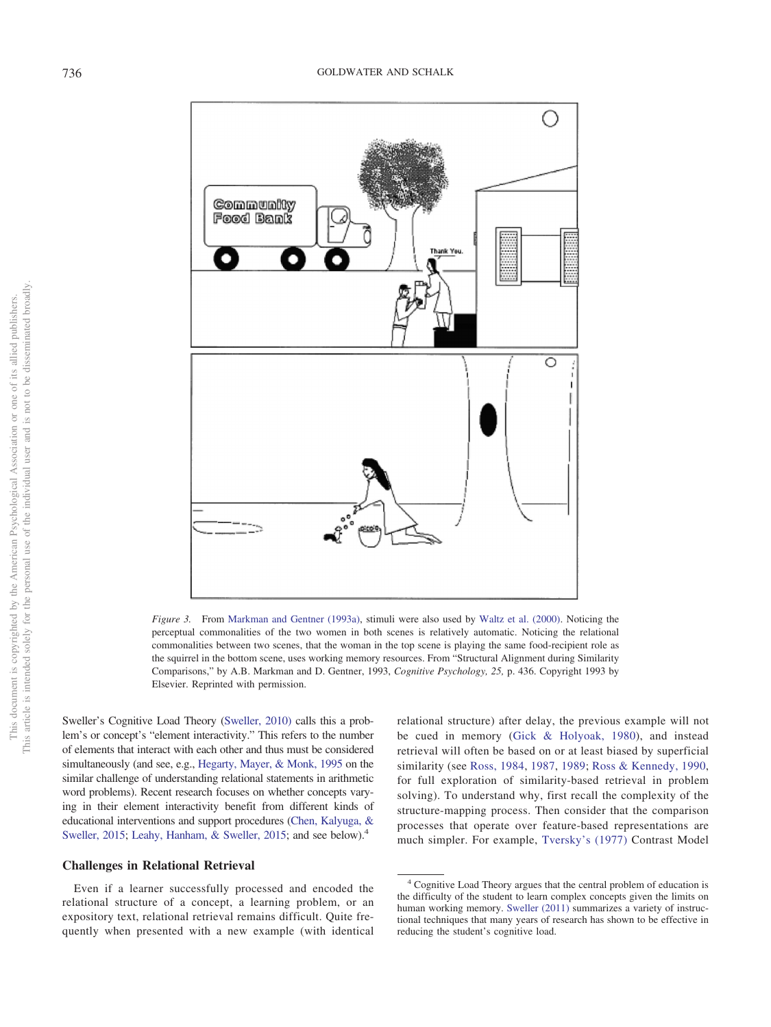

<span id="page-7-0"></span>*Figure 3.* From [Markman and Gentner \(1993a\),](#page-25-13) stimuli were also used by [Waltz et al. \(2000\).](#page-28-5) Noticing the perceptual commonalities of the two women in both scenes is relatively automatic. Noticing the relational commonalities between two scenes, that the woman in the top scene is playing the same food-recipient role as the squirrel in the bottom scene, uses working memory resources. From "Structural Alignment during Similarity Comparisons," by A.B. Markman and D. Gentner, 1993, *Cognitive Psychology, 25,* p. 436. Copyright 1993 by Elsevier. Reprinted with permission.

Sweller's Cognitive Load Theory [\(Sweller, 2010\)](#page-28-6) calls this a problem's or concept's "element interactivity." This refers to the number of elements that interact with each other and thus must be considered simultaneously (and see, e.g., [Hegarty, Mayer, & Monk, 1995](#page-24-8) on the similar challenge of understanding relational statements in arithmetic word problems). Recent research focuses on whether concepts varying in their element interactivity benefit from different kinds of educational interventions and support procedures [\(Chen, Kalyuga, &](#page-21-10) [Sweller, 2015;](#page-21-10) [Leahy, Hanham, & Sweller, 2015;](#page-25-12) and see below).<sup>4</sup>

#### **Challenges in Relational Retrieval**

Even if a learner successfully processed and encoded the relational structure of a concept, a learning problem, or an expository text, relational retrieval remains difficult. Quite frequently when presented with a new example (with identical relational structure) after delay, the previous example will not be cued in memory [\(Gick & Holyoak, 1980\)](#page-23-13), and instead retrieval will often be based on or at least biased by superficial similarity (see [Ross, 1984,](#page-27-11) [1987,](#page-27-12) [1989;](#page-27-13) [Ross & Kennedy, 1990,](#page-27-14) for full exploration of similarity-based retrieval in problem solving). To understand why, first recall the complexity of the structure-mapping process. Then consider that the comparison processes that operate over feature-based representations are much simpler. For example, [Tversky's \(1977\)](#page-28-7) Contrast Model

<sup>4</sup> Cognitive Load Theory argues that the central problem of education is the difficulty of the student to learn complex concepts given the limits on human working memory. [Sweller \(2011\)](#page-28-8) summarizes a variety of instructional techniques that many years of research has shown to be effective in reducing the student's cognitive load.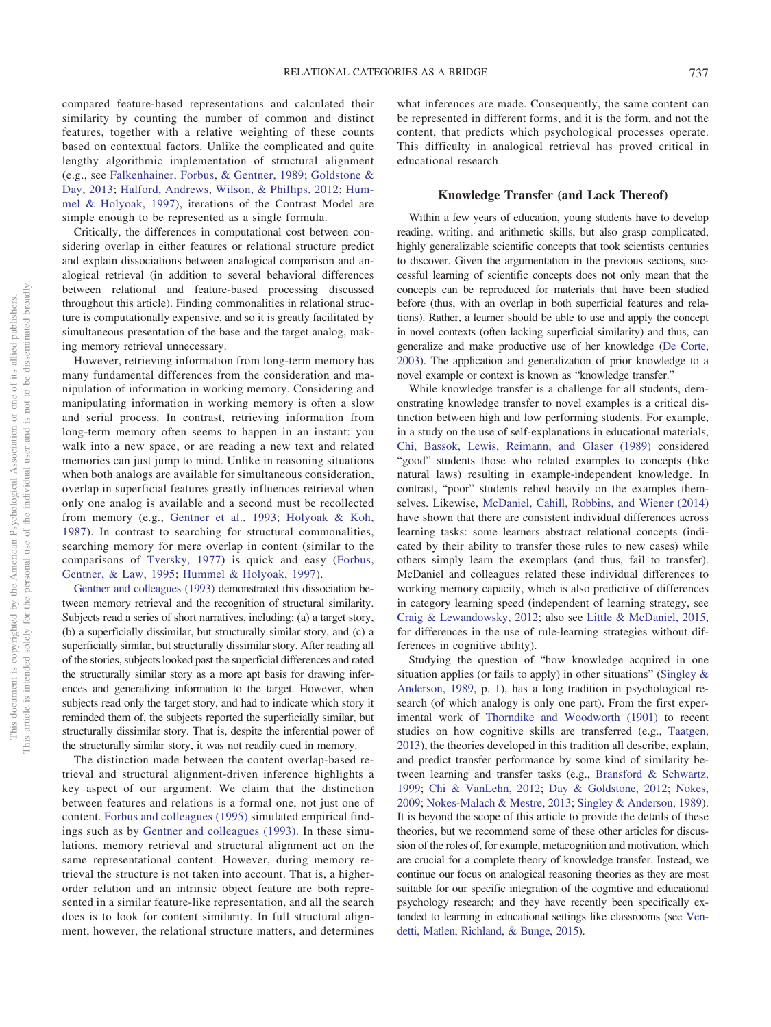compared feature-based representations and calculated their similarity by counting the number of common and distinct features, together with a relative weighting of these counts based on contextual factors. Unlike the complicated and quite lengthy algorithmic implementation of structural alignment (e.g., see [Falkenhainer, Forbus, & Gentner, 1989;](#page-22-11) [Goldstone &](#page-23-14) [Day, 2013;](#page-23-14) [Halford, Andrews, Wilson, & Phillips, 2012;](#page-23-15) [Hum](#page-24-9)[mel & Holyoak, 1997\)](#page-24-9), iterations of the Contrast Model are simple enough to be represented as a single formula.

Critically, the differences in computational cost between considering overlap in either features or relational structure predict and explain dissociations between analogical comparison and analogical retrieval (in addition to several behavioral differences between relational and feature-based processing discussed throughout this article). Finding commonalities in relational structure is computationally expensive, and so it is greatly facilitated by simultaneous presentation of the base and the target analog, making memory retrieval unnecessary.

However, retrieving information from long-term memory has many fundamental differences from the consideration and manipulation of information in working memory. Considering and manipulating information in working memory is often a slow and serial process. In contrast, retrieving information from long-term memory often seems to happen in an instant: you walk into a new space, or are reading a new text and related memories can just jump to mind. Unlike in reasoning situations when both analogs are available for simultaneous consideration, overlap in superficial features greatly influences retrieval when only one analog is available and a second must be recollected from memory (e.g., [Gentner et al., 1993;](#page-23-9) [Holyoak & Koh,](#page-24-10) [1987\)](#page-24-10). In contrast to searching for structural commonalities, searching memory for mere overlap in content (similar to the comparisons of [Tversky, 1977\)](#page-28-7) is quick and easy [\(Forbus,](#page-22-12) [Gentner, & Law, 1995;](#page-22-12) [Hummel & Holyoak, 1997\)](#page-24-9).

[Gentner and colleagues \(1993\)](#page-23-9) demonstrated this dissociation between memory retrieval and the recognition of structural similarity. Subjects read a series of short narratives, including: (a) a target story, (b) a superficially dissimilar, but structurally similar story, and (c) a superficially similar, but structurally dissimilar story. After reading all of the stories, subjects looked past the superficial differences and rated the structurally similar story as a more apt basis for drawing inferences and generalizing information to the target. However, when subjects read only the target story, and had to indicate which story it reminded them of, the subjects reported the superficially similar, but structurally dissimilar story. That is, despite the inferential power of the structurally similar story, it was not readily cued in memory.

The distinction made between the content overlap-based retrieval and structural alignment-driven inference highlights a key aspect of our argument. We claim that the distinction between features and relations is a formal one, not just one of content. [Forbus and colleagues \(1995\)](#page-22-12) simulated empirical findings such as by [Gentner and colleagues \(1993\).](#page-23-9) In these simulations, memory retrieval and structural alignment act on the same representational content. However, during memory retrieval the structure is not taken into account. That is, a higherorder relation and an intrinsic object feature are both represented in a similar feature-like representation, and all the search does is to look for content similarity. In full structural alignment, however, the relational structure matters, and determines

what inferences are made. Consequently, the same content can be represented in different forms, and it is the form, and not the content, that predicts which psychological processes operate. This difficulty in analogical retrieval has proved critical in educational research.

#### **Knowledge Transfer (and Lack Thereof)**

Within a few years of education, young students have to develop reading, writing, and arithmetic skills, but also grasp complicated, highly generalizable scientific concepts that took scientists centuries to discover. Given the argumentation in the previous sections, successful learning of scientific concepts does not only mean that the concepts can be reproduced for materials that have been studied before (thus, with an overlap in both superficial features and relations). Rather, a learner should be able to use and apply the concept in novel contexts (often lacking superficial similarity) and thus, can generalize and make productive use of her knowledge [\(De Corte,](#page-22-13) [2003\)](#page-22-13). The application and generalization of prior knowledge to a novel example or context is known as "knowledge transfer."

While knowledge transfer is a challenge for all students, demonstrating knowledge transfer to novel examples is a critical distinction between high and low performing students. For example, in a study on the use of self-explanations in educational materials, [Chi, Bassok, Lewis, Reimann, and Glaser \(1989\)](#page-21-11) considered "good" students those who related examples to concepts (like natural laws) resulting in example-independent knowledge. In contrast, "poor" students relied heavily on the examples themselves. Likewise, [McDaniel, Cahill, Robbins, and Wiener \(2014\)](#page-25-14) have shown that there are consistent individual differences across learning tasks: some learners abstract relational concepts (indicated by their ability to transfer those rules to new cases) while others simply learn the exemplars (and thus, fail to transfer). McDaniel and colleagues related these individual differences to working memory capacity, which is also predictive of differences in category learning speed (independent of learning strategy, see [Craig & Lewandowsky, 2012;](#page-21-12) also see [Little & McDaniel, 2015,](#page-25-15) for differences in the use of rule-learning strategies without differences in cognitive ability).

Studying the question of "how knowledge acquired in one situation applies (or fails to apply) in other situations" [\(Singley &](#page-27-15) [Anderson, 1989,](#page-27-15) p. 1), has a long tradition in psychological research (of which analogy is only one part). From the first experimental work of [Thorndike and Woodworth \(1901\)](#page-28-9) to recent studies on how cognitive skills are transferred (e.g., [Taatgen,](#page-28-10) [2013\)](#page-28-10), the theories developed in this tradition all describe, explain, and predict transfer performance by some kind of similarity between learning and transfer tasks (e.g., [Bransford & Schwartz,](#page-21-2) [1999;](#page-21-2) [Chi & VanLehn, 2012;](#page-21-8) [Day & Goldstone, 2012;](#page-22-14) [Nokes,](#page-26-9) [2009;](#page-26-9) [Nokes-Malach & Mestre, 2013;](#page-26-10) [Singley & Anderson, 1989\)](#page-27-15). It is beyond the scope of this article to provide the details of these theories, but we recommend some of these other articles for discussion of the roles of, for example, metacognition and motivation, which are crucial for a complete theory of knowledge transfer. Instead, we continue our focus on analogical reasoning theories as they are most suitable for our specific integration of the cognitive and educational psychology research; and they have recently been specifically extended to learning in educational settings like classrooms (see [Ven](#page-28-11)[detti, Matlen, Richland, & Bunge, 2015\)](#page-28-11).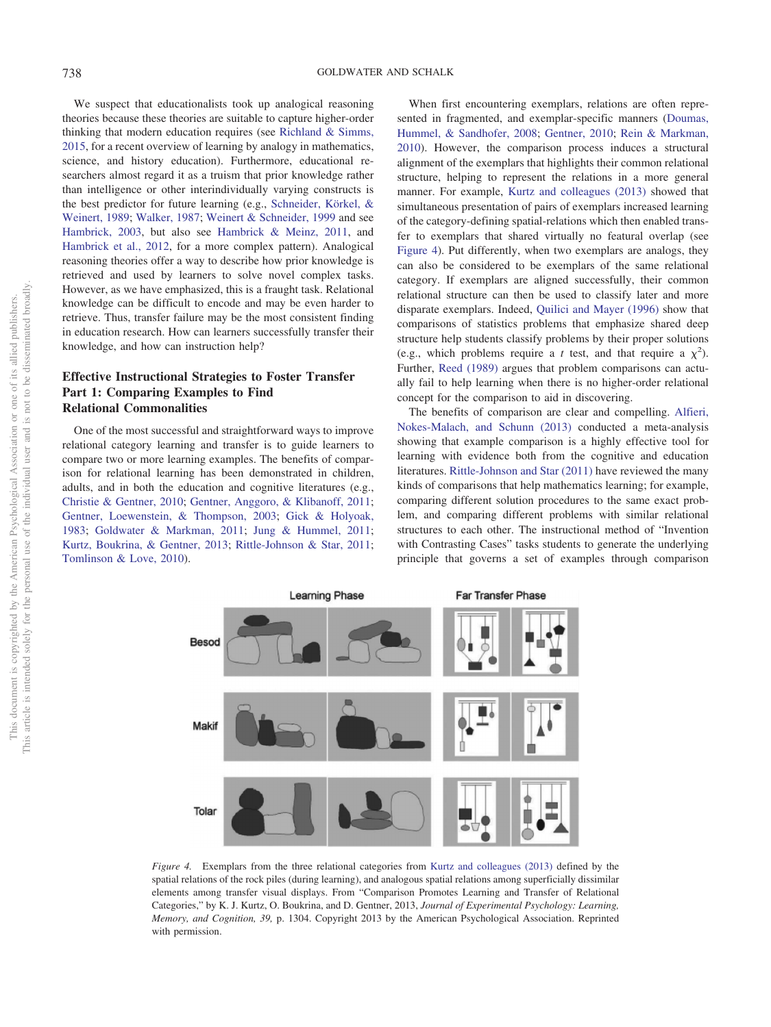We suspect that educationalists took up analogical reasoning theories because these theories are suitable to capture higher-order thinking that modern education requires (see [Richland & Simms,](#page-26-11) [2015,](#page-26-11) for a recent overview of learning by analogy in mathematics, science, and history education). Furthermore, educational researchers almost regard it as a truism that prior knowledge rather than intelligence or other interindividually varying constructs is the best predictor for future learning (e.g., [Schneider, Körkel, &](#page-27-16) [Weinert, 1989;](#page-27-16) [Walker, 1987;](#page-28-12) [Weinert & Schneider, 1999](#page-28-13) and see [Hambrick, 2003,](#page-24-11) but also see [Hambrick & Meinz, 2011,](#page-24-12) and [Hambrick et al., 2012,](#page-24-13) for a more complex pattern). Analogical reasoning theories offer a way to describe how prior knowledge is retrieved and used by learners to solve novel complex tasks. However, as we have emphasized, this is a fraught task. Relational knowledge can be difficult to encode and may be even harder to retrieve. Thus, transfer failure may be the most consistent finding in education research. How can learners successfully transfer their knowledge, and how can instruction help?

# **Effective Instructional Strategies to Foster Transfer Part 1: Comparing Examples to Find Relational Commonalities**

One of the most successful and straightforward ways to improve relational category learning and transfer is to guide learners to compare two or more learning examples. The benefits of comparison for relational learning has been demonstrated in children, adults, and in both the education and cognitive literatures (e.g., [Christie & Gentner, 2010;](#page-21-13) [Gentner, Anggoro, & Klibanoff, 2011;](#page-22-15) [Gentner, Loewenstein, & Thompson, 2003;](#page-23-16) [Gick & Holyoak,](#page-23-17) [1983;](#page-23-17) [Goldwater & Markman, 2011;](#page-23-5) [Jung & Hummel, 2011;](#page-24-14) [Kurtz, Boukrina, & Gentner, 2013;](#page-25-16) [Rittle-Johnson & Star, 2011;](#page-27-17) [Tomlinson & Love, 2010\)](#page-28-14).

When first encountering exemplars, relations are often represented in fragmented, and exemplar-specific manners [\(Doumas,](#page-22-16) [Hummel, & Sandhofer, 2008;](#page-22-16) [Gentner, 2010;](#page-22-17) [Rein & Markman,](#page-26-12) [2010\)](#page-26-12). However, the comparison process induces a structural alignment of the exemplars that highlights their common relational structure, helping to represent the relations in a more general manner. For example, [Kurtz and colleagues \(2013\)](#page-25-16) showed that simultaneous presentation of pairs of exemplars increased learning of the category-defining spatial-relations which then enabled transfer to exemplars that shared virtually no featural overlap (see [Figure 4\)](#page-9-0). Put differently, when two exemplars are analogs, they can also be considered to be exemplars of the same relational category. If exemplars are aligned successfully, their common relational structure can then be used to classify later and more disparate exemplars. Indeed, [Quilici and Mayer \(1996\)](#page-26-7) show that comparisons of statistics problems that emphasize shared deep structure help students classify problems by their proper solutions (e.g., which problems require a *t* test, and that require a  $\chi^2$ ). Further, [Reed \(1989\)](#page-26-13) argues that problem comparisons can actually fail to help learning when there is no higher-order relational concept for the comparison to aid in discovering.

The benefits of comparison are clear and compelling. [Alfieri,](#page-20-3) [Nokes-Malach, and Schunn \(2013\)](#page-20-3) conducted a meta-analysis showing that example comparison is a highly effective tool for learning with evidence both from the cognitive and education literatures. [Rittle-Johnson and Star \(2011\)](#page-27-17) have reviewed the many kinds of comparisons that help mathematics learning; for example, comparing different solution procedures to the same exact problem, and comparing different problems with similar relational structures to each other. The instructional method of "Invention with Contrasting Cases" tasks students to generate the underlying principle that governs a set of examples through comparison



<span id="page-9-0"></span>*Figure 4.* Exemplars from the three relational categories from [Kurtz and colleagues \(2013\)](#page-25-16) defined by the spatial relations of the rock piles (during learning), and analogous spatial relations among superficially dissimilar elements among transfer visual displays. From "Comparison Promotes Learning and Transfer of Relational Categories," by K. J. Kurtz, O. Boukrina, and D. Gentner, 2013, *Journal of Experimental Psychology: Learning, Memory, and Cognition, 39,* p. 1304. Copyright 2013 by the American Psychological Association. Reprinted with permission.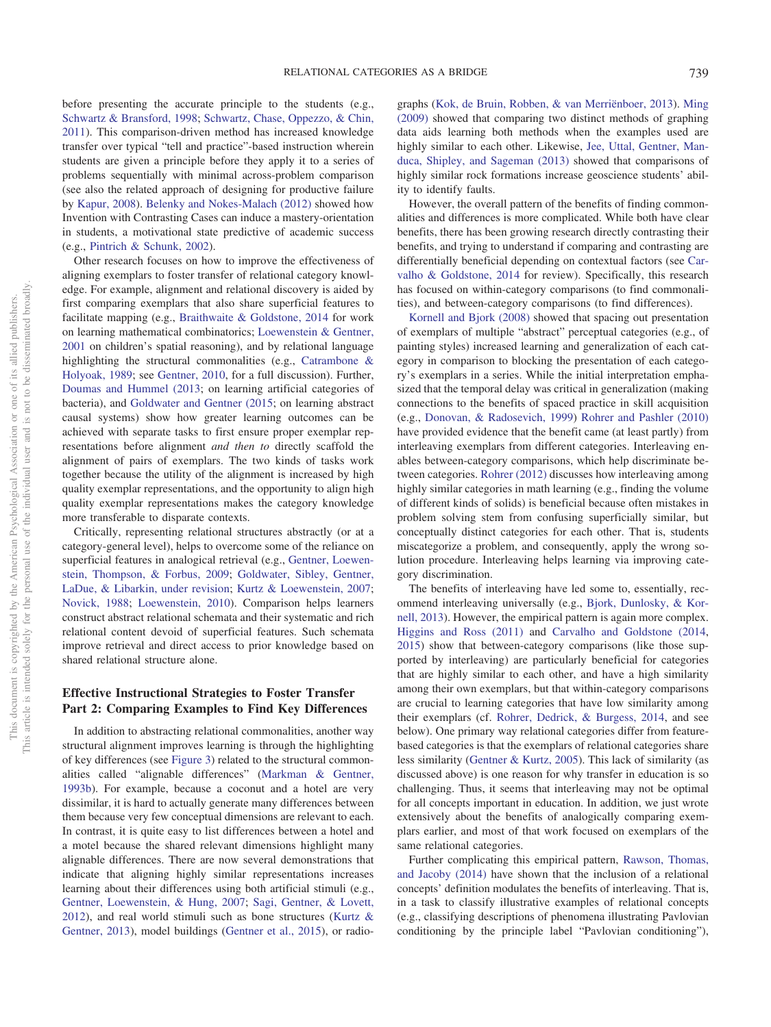before presenting the accurate principle to the students (e.g., [Schwartz & Bransford, 1998;](#page-27-18) [Schwartz, Chase, Oppezzo, & Chin,](#page-27-19) [2011\)](#page-27-19). This comparison-driven method has increased knowledge transfer over typical "tell and practice"-based instruction wherein students are given a principle before they apply it to a series of problems sequentially with minimal across-problem comparison (see also the related approach of designing for productive failure by [Kapur, 2008\)](#page-24-15). [Belenky and Nokes-Malach \(2012\)](#page-21-14) showed how Invention with Contrasting Cases can induce a mastery-orientation in students, a motivational state predictive of academic success (e.g., [Pintrich & Schunk, 2002\)](#page-26-14).

Other research focuses on how to improve the effectiveness of aligning exemplars to foster transfer of relational category knowledge. For example, alignment and relational discovery is aided by first comparing exemplars that also share superficial features to facilitate mapping (e.g., [Braithwaite & Goldstone, 2014](#page-21-15) for work on learning mathematical combinatorics; [Loewenstein & Gentner,](#page-25-17) [2001](#page-25-17) on children's spatial reasoning), and by relational language highlighting the structural commonalities (e.g., [Catrambone &](#page-21-16) [Holyoak, 1989;](#page-21-16) see [Gentner, 2010,](#page-22-17) for a full discussion). Further, [Doumas and Hummel \(2013;](#page-22-18) on learning artificial categories of bacteria), and [Goldwater and Gentner \(2015;](#page-23-18) on learning abstract causal systems) show how greater learning outcomes can be achieved with separate tasks to first ensure proper exemplar representations before alignment *and then to* directly scaffold the alignment of pairs of exemplars. The two kinds of tasks work together because the utility of the alignment is increased by high quality exemplar representations, and the opportunity to align high quality exemplar representations makes the category knowledge more transferable to disparate contexts.

Critically, representing relational structures abstractly (or at a category-general level), helps to overcome some of the reliance on superficial features in analogical retrieval (e.g., [Gentner, Loewen](#page-23-19)[stein, Thompson, & Forbus, 2009;](#page-23-19) [Goldwater, Sibley, Gentner,](#page-23-20) [LaDue, & Libarkin, under revision;](#page-23-20) [Kurtz & Loewenstein, 2007;](#page-25-18) [Novick, 1988;](#page-26-15) [Loewenstein, 2010\)](#page-25-19). Comparison helps learners construct abstract relational schemata and their systematic and rich relational content devoid of superficial features. Such schemata improve retrieval and direct access to prior knowledge based on shared relational structure alone.

## **Effective Instructional Strategies to Foster Transfer Part 2: Comparing Examples to Find Key Differences**

In addition to abstracting relational commonalities, another way structural alignment improves learning is through the highlighting of key differences (see [Figure 3\)](#page-7-0) related to the structural commonalities called "alignable differences" [\(Markman & Gentner,](#page-25-20) [1993b\)](#page-25-20). For example, because a coconut and a hotel are very dissimilar, it is hard to actually generate many differences between them because very few conceptual dimensions are relevant to each. In contrast, it is quite easy to list differences between a hotel and a motel because the shared relevant dimensions highlight many alignable differences. There are now several demonstrations that indicate that aligning highly similar representations increases learning about their differences using both artificial stimuli (e.g., [Gentner, Loewenstein, & Hung, 2007;](#page-23-21) [Sagi, Gentner, & Lovett,](#page-27-20) [2012\)](#page-27-20), and real world stimuli such as bone structures [\(Kurtz &](#page-25-21) [Gentner, 2013\)](#page-25-21), model buildings [\(Gentner et al., 2015\)](#page-23-22), or radiographs [\(Kok, de Bruin, Robben, & van Merriënboer, 2013\)](#page-24-16). [Ming](#page-26-16) [\(2009\)](#page-26-16) showed that comparing two distinct methods of graphing data aids learning both methods when the examples used are highly similar to each other. Likewise, [Jee, Uttal, Gentner, Man](#page-24-17)[duca, Shipley, and Sageman \(2013\)](#page-24-17) showed that comparisons of highly similar rock formations increase geoscience students' ability to identify faults.

However, the overall pattern of the benefits of finding commonalities and differences is more complicated. While both have clear benefits, there has been growing research directly contrasting their benefits, and trying to understand if comparing and contrasting are differentially beneficial depending on contextual factors (see [Car](#page-21-17)[valho & Goldstone, 2014](#page-21-17) for review). Specifically, this research has focused on within-category comparisons (to find commonalities), and between-category comparisons (to find differences).

[Kornell and Bjork \(2008\)](#page-25-22) showed that spacing out presentation of exemplars of multiple "abstract" perceptual categories (e.g., of painting styles) increased learning and generalization of each category in comparison to blocking the presentation of each category's exemplars in a series. While the initial interpretation emphasized that the temporal delay was critical in generalization (making connections to the benefits of spaced practice in skill acquisition (e.g., [Donovan, & Radosevich, 1999\)](#page-22-19) [Rohrer and Pashler \(2010\)](#page-27-7) have provided evidence that the benefit came (at least partly) from interleaving exemplars from different categories. Interleaving enables between-category comparisons, which help discriminate between categories. [Rohrer \(2012\)](#page-27-21) discusses how interleaving among highly similar categories in math learning (e.g., finding the volume of different kinds of solids) is beneficial because often mistakes in problem solving stem from confusing superficially similar, but conceptually distinct categories for each other. That is, students miscategorize a problem, and consequently, apply the wrong solution procedure. Interleaving helps learning via improving category discrimination.

The benefits of interleaving have led some to, essentially, recommend interleaving universally (e.g., [Bjork, Dunlosky, & Kor](#page-21-18)[nell, 2013\)](#page-21-18). However, the empirical pattern is again more complex. [Higgins and Ross \(2011\)](#page-24-18) and [Carvalho and Goldstone \(2014,](#page-21-17) [2015\)](#page-21-19) show that between-category comparisons (like those supported by interleaving) are particularly beneficial for categories that are highly similar to each other, and have a high similarity among their own exemplars, but that within-category comparisons are crucial to learning categories that have low similarity among their exemplars (cf. [Rohrer, Dedrick, & Burgess, 2014,](#page-27-22) and see below). One primary way relational categories differ from featurebased categories is that the exemplars of relational categories share less similarity [\(Gentner & Kurtz, 2005\)](#page-23-0). This lack of similarity (as discussed above) is one reason for why transfer in education is so challenging. Thus, it seems that interleaving may not be optimal for all concepts important in education. In addition, we just wrote extensively about the benefits of analogically comparing exemplars earlier, and most of that work focused on exemplars of the same relational categories.

Further complicating this empirical pattern, [Rawson, Thomas,](#page-26-17) [and Jacoby \(2014\)](#page-26-17) have shown that the inclusion of a relational concepts' definition modulates the benefits of interleaving. That is, in a task to classify illustrative examples of relational concepts (e.g., classifying descriptions of phenomena illustrating Pavlovian conditioning by the principle label "Pavlovian conditioning"),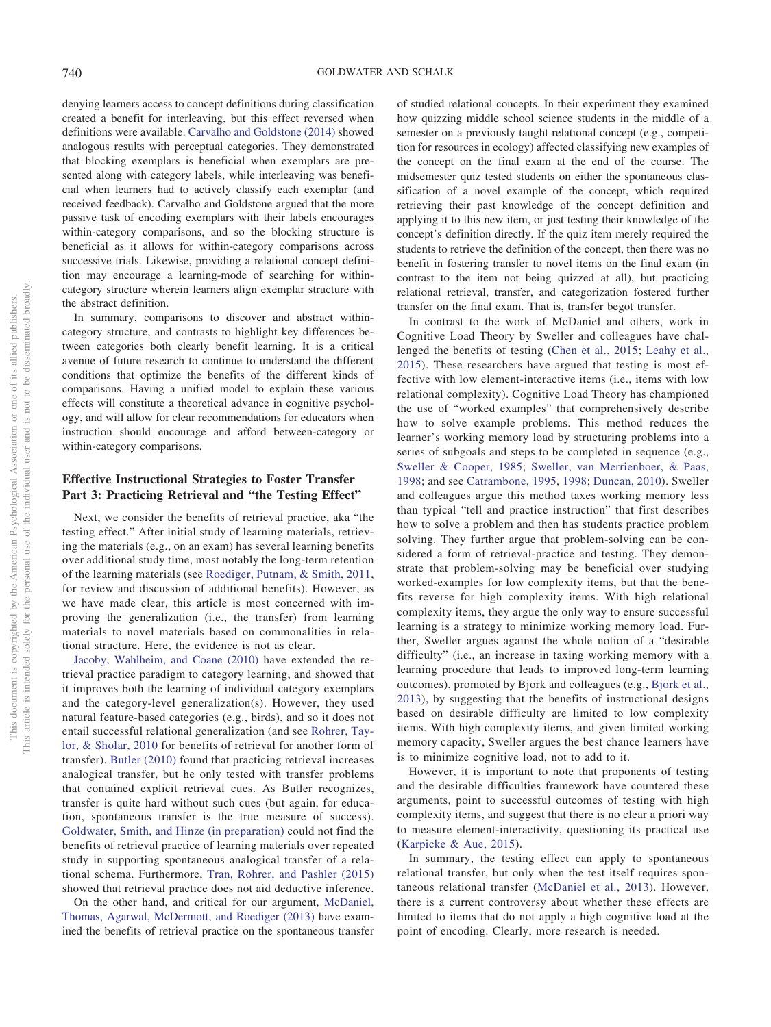denying learners access to concept definitions during classification created a benefit for interleaving, but this effect reversed when definitions were available. [Carvalho and Goldstone \(2014\)](#page-21-17) showed analogous results with perceptual categories. They demonstrated that blocking exemplars is beneficial when exemplars are presented along with category labels, while interleaving was beneficial when learners had to actively classify each exemplar (and received feedback). Carvalho and Goldstone argued that the more passive task of encoding exemplars with their labels encourages within-category comparisons, and so the blocking structure is beneficial as it allows for within-category comparisons across successive trials. Likewise, providing a relational concept definition may encourage a learning-mode of searching for withincategory structure wherein learners align exemplar structure with the abstract definition.

In summary, comparisons to discover and abstract withincategory structure, and contrasts to highlight key differences between categories both clearly benefit learning. It is a critical avenue of future research to continue to understand the different conditions that optimize the benefits of the different kinds of comparisons. Having a unified model to explain these various effects will constitute a theoretical advance in cognitive psychology, and will allow for clear recommendations for educators when instruction should encourage and afford between-category or within-category comparisons.

# **Effective Instructional Strategies to Foster Transfer Part 3: Practicing Retrieval and "the Testing Effect"**

Next, we consider the benefits of retrieval practice, aka "the testing effect." After initial study of learning materials, retrieving the materials (e.g., on an exam) has several learning benefits over additional study time, most notably the long-term retention of the learning materials (see [Roediger, Putnam, & Smith, 2011,](#page-27-23) for review and discussion of additional benefits). However, as we have made clear, this article is most concerned with improving the generalization (i.e., the transfer) from learning materials to novel materials based on commonalities in relational structure. Here, the evidence is not as clear.

[Jacoby, Wahlheim, and Coane \(2010\)](#page-24-19) have extended the retrieval practice paradigm to category learning, and showed that it improves both the learning of individual category exemplars and the category-level generalization(s). However, they used natural feature-based categories (e.g., birds), and so it does not entail successful relational generalization (and see [Rohrer, Tay](#page-27-24)[lor, & Sholar, 2010](#page-27-24) for benefits of retrieval for another form of transfer). [Butler \(2010\)](#page-21-20) found that practicing retrieval increases analogical transfer, but he only tested with transfer problems that contained explicit retrieval cues. As Butler recognizes, transfer is quite hard without such cues (but again, for education, spontaneous transfer is the true measure of success). [Goldwater, Smith, and Hinze \(in preparation\)](#page-23-23) could not find the benefits of retrieval practice of learning materials over repeated study in supporting spontaneous analogical transfer of a relational schema. Furthermore, [Tran, Rohrer, and Pashler \(2015\)](#page-28-15) showed that retrieval practice does not aid deductive inference.

On the other hand, and critical for our argument, [McDaniel,](#page-25-23) [Thomas, Agarwal, McDermott, and Roediger \(2013\)](#page-25-23) have examined the benefits of retrieval practice on the spontaneous transfer of studied relational concepts. In their experiment they examined how quizzing middle school science students in the middle of a semester on a previously taught relational concept (e.g., competition for resources in ecology) affected classifying new examples of the concept on the final exam at the end of the course. The midsemester quiz tested students on either the spontaneous classification of a novel example of the concept, which required retrieving their past knowledge of the concept definition and applying it to this new item, or just testing their knowledge of the concept's definition directly. If the quiz item merely required the students to retrieve the definition of the concept, then there was no benefit in fostering transfer to novel items on the final exam (in contrast to the item not being quizzed at all), but practicing relational retrieval, transfer, and categorization fostered further transfer on the final exam. That is, transfer begot transfer.

In contrast to the work of McDaniel and others, work in Cognitive Load Theory by Sweller and colleagues have challenged the benefits of testing [\(Chen et al., 2015;](#page-21-10) [Leahy et al.,](#page-25-12) [2015\)](#page-25-12). These researchers have argued that testing is most effective with low element-interactive items (i.e., items with low relational complexity). Cognitive Load Theory has championed the use of "worked examples" that comprehensively describe how to solve example problems. This method reduces the learner's working memory load by structuring problems into a series of subgoals and steps to be completed in sequence (e.g., [Sweller & Cooper, 1985;](#page-28-4) [Sweller, van Merrienboer, & Paas,](#page-28-16) [1998;](#page-28-16) and see [Catrambone, 1995,](#page-21-21) [1998;](#page-21-22) [Duncan, 2010\)](#page-22-20). Sweller and colleagues argue this method taxes working memory less than typical "tell and practice instruction" that first describes how to solve a problem and then has students practice problem solving. They further argue that problem-solving can be considered a form of retrieval-practice and testing. They demonstrate that problem-solving may be beneficial over studying worked-examples for low complexity items, but that the benefits reverse for high complexity items. With high relational complexity items, they argue the only way to ensure successful learning is a strategy to minimize working memory load. Further, Sweller argues against the whole notion of a "desirable difficulty" (i.e., an increase in taxing working memory with a learning procedure that leads to improved long-term learning outcomes), promoted by Bjork and colleagues (e.g., [Bjork et al.,](#page-21-18) [2013\)](#page-21-18), by suggesting that the benefits of instructional designs based on desirable difficulty are limited to low complexity items. With high complexity items, and given limited working memory capacity, Sweller argues the best chance learners have is to minimize cognitive load, not to add to it.

However, it is important to note that proponents of testing and the desirable difficulties framework have countered these arguments, point to successful outcomes of testing with high complexity items, and suggest that there is no clear a priori way to measure element-interactivity, questioning its practical use [\(Karpicke & Aue, 2015\)](#page-24-20).

In summary, the testing effect can apply to spontaneous relational transfer, but only when the test itself requires spontaneous relational transfer [\(McDaniel et al., 2013\)](#page-25-23). However, there is a current controversy about whether these effects are limited to items that do not apply a high cognitive load at the point of encoding. Clearly, more research is needed.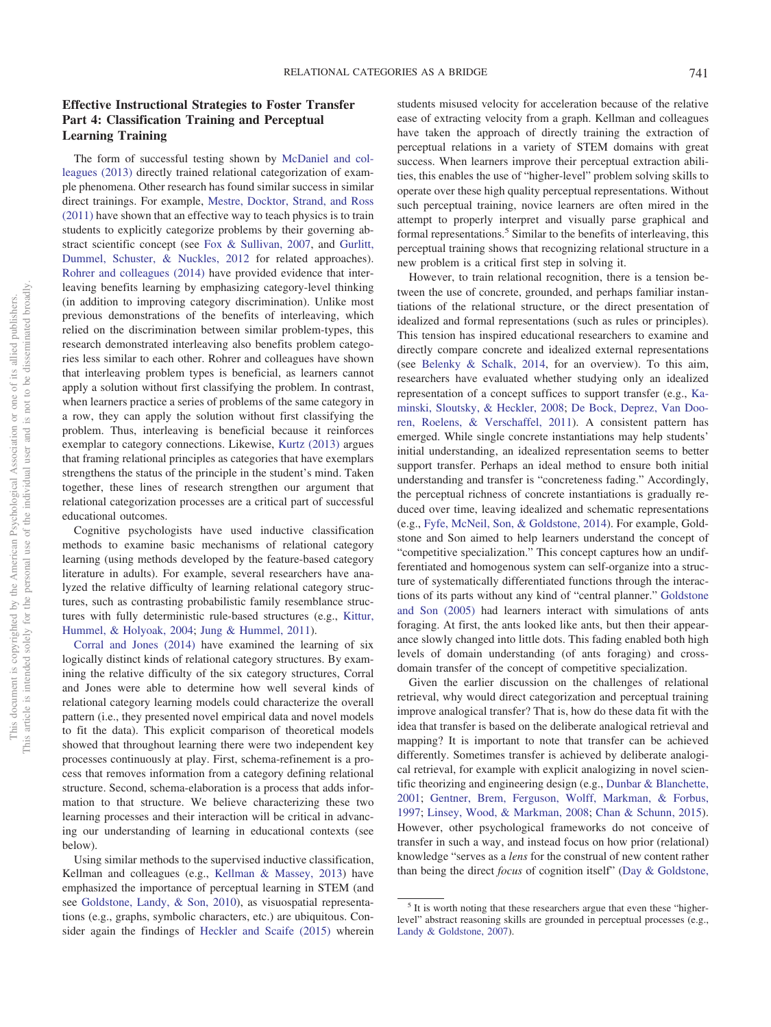# **Effective Instructional Strategies to Foster Transfer Part 4: Classification Training and Perceptual Learning Training**

The form of successful testing shown by [McDaniel and col](#page-25-23)[leagues \(2013\)](#page-25-23) directly trained relational categorization of example phenomena. Other research has found similar success in similar direct trainings. For example, [Mestre, Docktor, Strand, and Ross](#page-26-18) [\(2011\)](#page-26-18) have shown that an effective way to teach physics is to train students to explicitly categorize problems by their governing abstract scientific concept (see [Fox & Sullivan, 2007,](#page-22-21) and [Gurlitt,](#page-23-24) [Dummel, Schuster, & Nuckles, 2012](#page-23-24) for related approaches). [Rohrer and colleagues \(2014\)](#page-27-22) have provided evidence that interleaving benefits learning by emphasizing category-level thinking (in addition to improving category discrimination). Unlike most previous demonstrations of the benefits of interleaving, which relied on the discrimination between similar problem-types, this research demonstrated interleaving also benefits problem categories less similar to each other. Rohrer and colleagues have shown that interleaving problem types is beneficial, as learners cannot apply a solution without first classifying the problem. In contrast, when learners practice a series of problems of the same category in a row, they can apply the solution without first classifying the problem. Thus, interleaving is beneficial because it reinforces exemplar to category connections. Likewise, [Kurtz \(2013\)](#page-25-24) argues that framing relational principles as categories that have exemplars strengthens the status of the principle in the student's mind. Taken together, these lines of research strengthen our argument that relational categorization processes are a critical part of successful educational outcomes.

Cognitive psychologists have used inductive classification methods to examine basic mechanisms of relational category learning (using methods developed by the feature-based category literature in adults). For example, several researchers have analyzed the relative difficulty of learning relational category structures, such as contrasting probabilistic family resemblance structures with fully deterministic rule-based structures (e.g., [Kittur,](#page-24-21) [Hummel, & Holyoak, 2004;](#page-24-21) [Jung & Hummel, 2011\)](#page-24-14).

[Corral and Jones \(2014\)](#page-21-23) have examined the learning of six logically distinct kinds of relational category structures. By examining the relative difficulty of the six category structures, Corral and Jones were able to determine how well several kinds of relational category learning models could characterize the overall pattern (i.e., they presented novel empirical data and novel models to fit the data). This explicit comparison of theoretical models showed that throughout learning there were two independent key processes continuously at play. First, schema-refinement is a process that removes information from a category defining relational structure. Second, schema-elaboration is a process that adds information to that structure. We believe characterizing these two learning processes and their interaction will be critical in advancing our understanding of learning in educational contexts (see below).

Using similar methods to the supervised inductive classification, Kellman and colleagues (e.g., [Kellman & Massey, 2013\)](#page-24-22) have emphasized the importance of perceptual learning in STEM (and see [Goldstone, Landy, & Son, 2010\)](#page-23-25), as visuospatial representations (e.g., graphs, symbolic characters, etc.) are ubiquitous. Consider again the findings of [Heckler and Scaife \(2015\)](#page-24-7) wherein students misused velocity for acceleration because of the relative ease of extracting velocity from a graph. Kellman and colleagues have taken the approach of directly training the extraction of perceptual relations in a variety of STEM domains with great success. When learners improve their perceptual extraction abilities, this enables the use of "higher-level" problem solving skills to operate over these high quality perceptual representations. Without such perceptual training, novice learners are often mired in the attempt to properly interpret and visually parse graphical and formal representations.<sup>5</sup> Similar to the benefits of interleaving, this perceptual training shows that recognizing relational structure in a new problem is a critical first step in solving it.

However, to train relational recognition, there is a tension between the use of concrete, grounded, and perhaps familiar instantiations of the relational structure, or the direct presentation of idealized and formal representations (such as rules or principles). This tension has inspired educational researchers to examine and directly compare concrete and idealized external representations (see [Belenky & Schalk, 2014,](#page-21-24) for an overview). To this aim, researchers have evaluated whether studying only an idealized representation of a concept suffices to support transfer (e.g., [Ka](#page-24-23)[minski, Sloutsky, & Heckler, 2008;](#page-24-23) [De Bock, Deprez, Van Doo](#page-22-22)[ren, Roelens, & Verschaffel, 2011\)](#page-22-22). A consistent pattern has emerged. While single concrete instantiations may help students' initial understanding, an idealized representation seems to better support transfer. Perhaps an ideal method to ensure both initial understanding and transfer is "concreteness fading." Accordingly, the perceptual richness of concrete instantiations is gradually reduced over time, leaving idealized and schematic representations (e.g., [Fyfe, McNeil, Son, & Goldstone, 2014\)](#page-22-23). For example, Goldstone and Son aimed to help learners understand the concept of "competitive specialization." This concept captures how an undifferentiated and homogenous system can self-organize into a structure of systematically differentiated functions through the interactions of its parts without any kind of "central planner." [Goldstone](#page-23-26) [and Son \(2005\)](#page-23-26) had learners interact with simulations of ants foraging. At first, the ants looked like ants, but then their appearance slowly changed into little dots. This fading enabled both high levels of domain understanding (of ants foraging) and crossdomain transfer of the concept of competitive specialization.

Given the earlier discussion on the challenges of relational retrieval, why would direct categorization and perceptual training improve analogical transfer? That is, how do these data fit with the idea that transfer is based on the deliberate analogical retrieval and mapping? It is important to note that transfer can be achieved differently. Sometimes transfer is achieved by deliberate analogical retrieval, for example with explicit analogizing in novel scientific theorizing and engineering design (e.g., [Dunbar & Blanchette,](#page-22-24) [2001;](#page-22-24) [Gentner, Brem, Ferguson, Wolff, Markman, & Forbus,](#page-23-27) [1997;](#page-23-27) [Linsey, Wood, & Markman, 2008;](#page-25-25) [Chan & Schunn, 2015\)](#page-21-25). However, other psychological frameworks do not conceive of transfer in such a way, and instead focus on how prior (relational) knowledge "serves as a *lens* for the construal of new content rather than being the direct *focus* of cognition itself" [\(Day & Goldstone,](#page-22-14)

<sup>&</sup>lt;sup>5</sup> It is worth noting that these researchers argue that even these "higherlevel" abstract reasoning skills are grounded in perceptual processes (e.g., [Landy & Goldstone, 2007\)](#page-25-26).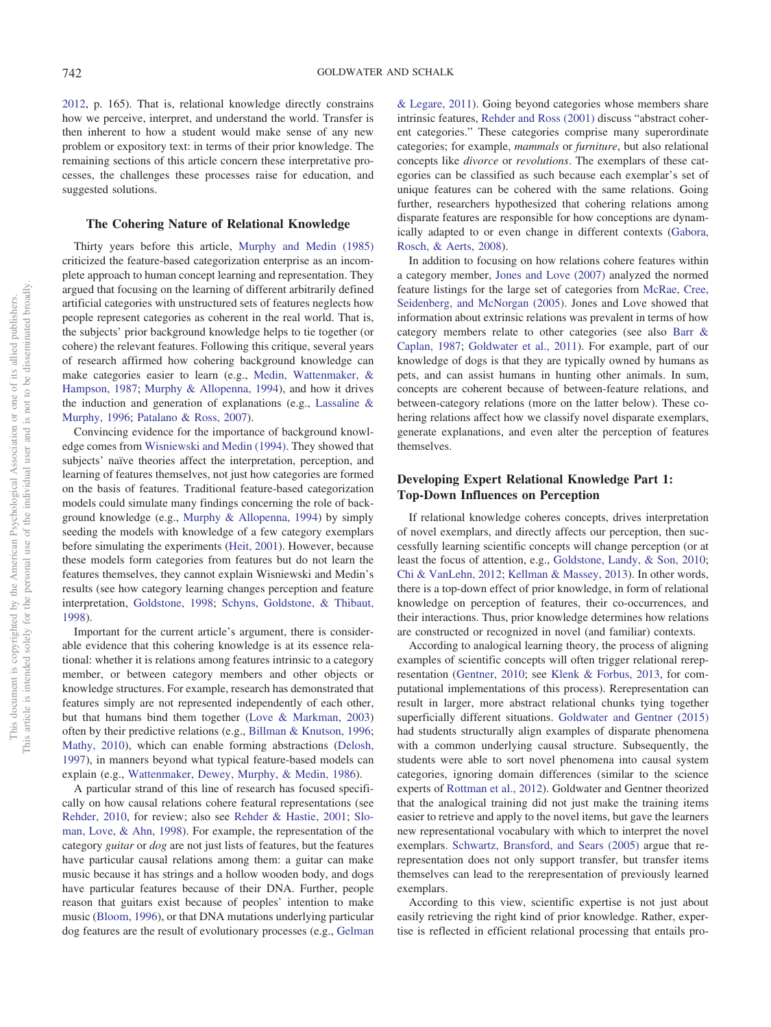[2012,](#page-22-14) p. 165). That is, relational knowledge directly constrains how we perceive, interpret, and understand the world. Transfer is then inherent to how a student would make sense of any new problem or expository text: in terms of their prior knowledge. The remaining sections of this article concern these interpretative processes, the challenges these processes raise for education, and suggested solutions.

#### **The Cohering Nature of Relational Knowledge**

Thirty years before this article, [Murphy and Medin \(1985\)](#page-26-1) criticized the feature-based categorization enterprise as an incomplete approach to human concept learning and representation. They argued that focusing on the learning of different arbitrarily defined artificial categories with unstructured sets of features neglects how people represent categories as coherent in the real world. That is, the subjects' prior background knowledge helps to tie together (or cohere) the relevant features. Following this critique, several years of research affirmed how cohering background knowledge can make categories easier to learn (e.g., [Medin, Wattenmaker, &](#page-25-27) [Hampson, 1987;](#page-25-27) [Murphy & Allopenna, 1994\)](#page-26-19), and how it drives the induction and generation of explanations (e.g., [Lassaline &](#page-25-28) [Murphy, 1996;](#page-25-28) [Patalano & Ross, 2007\)](#page-26-20).

Convincing evidence for the importance of background knowledge comes from [Wisniewski and Medin \(1994\).](#page-28-17) They showed that subjects' naïve theories affect the interpretation, perception, and learning of features themselves, not just how categories are formed on the basis of features. Traditional feature-based categorization models could simulate many findings concerning the role of background knowledge (e.g., [Murphy & Allopenna, 1994\)](#page-26-19) by simply seeding the models with knowledge of a few category exemplars before simulating the experiments [\(Heit, 2001\)](#page-24-24). However, because these models form categories from features but do not learn the features themselves, they cannot explain Wisniewski and Medin's results (see how category learning changes perception and feature interpretation, [Goldstone, 1998;](#page-23-28) [Schyns, Goldstone, & Thibaut,](#page-27-25) [1998\)](#page-27-25).

Important for the current article's argument, there is considerable evidence that this cohering knowledge is at its essence relational: whether it is relations among features intrinsic to a category member, or between category members and other objects or knowledge structures. For example, research has demonstrated that features simply are not represented independently of each other, but that humans bind them together [\(Love & Markman, 2003\)](#page-25-29) often by their predictive relations (e.g., [Billman & Knutson, 1996;](#page-21-26) [Mathy, 2010\)](#page-25-30), which can enable forming abstractions [\(Delosh,](#page-22-25) [1997\)](#page-22-25), in manners beyond what typical feature-based models can explain (e.g., [Wattenmaker, Dewey, Murphy, & Medin, 1986\)](#page-28-18).

A particular strand of this line of research has focused specifically on how causal relations cohere featural representations (see [Rehder, 2010,](#page-26-21) for review; also see [Rehder & Hastie, 2001;](#page-26-22) [Slo](#page-27-26)[man, Love, & Ahn, 1998\)](#page-27-26). For example, the representation of the category *guitar* or *dog* are not just lists of features, but the features have particular causal relations among them: a guitar can make music because it has strings and a hollow wooden body, and dogs have particular features because of their DNA. Further, people reason that guitars exist because of peoples' intention to make music [\(Bloom, 1996\)](#page-21-27), or that DNA mutations underlying particular dog features are the result of evolutionary processes (e.g., [Gelman](#page-22-26)

[& Legare, 2011\)](#page-22-26). Going beyond categories whose members share intrinsic features, [Rehder and Ross \(2001\)](#page-26-23) discuss "abstract coherent categories." These categories comprise many superordinate categories; for example, *mammals* or *furniture*, but also relational concepts like *divorce* or *revolutions*. The exemplars of these categories can be classified as such because each exemplar's set of unique features can be cohered with the same relations. Going further, researchers hypothesized that cohering relations among disparate features are responsible for how conceptions are dynamically adapted to or even change in different contexts [\(Gabora,](#page-22-27) [Rosch, & Aerts, 2008\)](#page-22-27).

In addition to focusing on how relations cohere features within a category member, [Jones and Love \(2007\)](#page-24-25) analyzed the normed feature listings for the large set of categories from [McRae, Cree,](#page-25-31) [Seidenberg, and McNorgan \(2005\).](#page-25-31) Jones and Love showed that information about extrinsic relations was prevalent in terms of how category members relate to other categories (see also [Barr &](#page-20-4) [Caplan, 1987;](#page-20-4) [Goldwater et al., 2011\)](#page-23-5). For example, part of our knowledge of dogs is that they are typically owned by humans as pets, and can assist humans in hunting other animals. In sum, concepts are coherent because of between-feature relations, and between-category relations (more on the latter below). These cohering relations affect how we classify novel disparate exemplars, generate explanations, and even alter the perception of features themselves.

## **Developing Expert Relational Knowledge Part 1: Top-Down Influences on Perception**

If relational knowledge coheres concepts, drives interpretation of novel exemplars, and directly affects our perception, then successfully learning scientific concepts will change perception (or at least the focus of attention, e.g., [Goldstone, Landy, & Son, 2010;](#page-23-25) [Chi & VanLehn, 2012;](#page-21-8) [Kellman & Massey, 2013\)](#page-24-22). In other words, there is a top-down effect of prior knowledge, in form of relational knowledge on perception of features, their co-occurrences, and their interactions. Thus, prior knowledge determines how relations are constructed or recognized in novel (and familiar) contexts.

According to analogical learning theory, the process of aligning examples of scientific concepts will often trigger relational rerepresentation [\(Gentner, 2010;](#page-22-17) see [Klenk & Forbus, 2013,](#page-24-26) for computational implementations of this process). Rerepresentation can result in larger, more abstract relational chunks tying together superficially different situations. [Goldwater and Gentner \(2015\)](#page-23-18) had students structurally align examples of disparate phenomena with a common underlying causal structure. Subsequently, the students were able to sort novel phenomena into causal system categories, ignoring domain differences (similar to the science experts of [Rottman et al., 2012\)](#page-27-2). Goldwater and Gentner theorized that the analogical training did not just make the training items easier to retrieve and apply to the novel items, but gave the learners new representational vocabulary with which to interpret the novel exemplars. [Schwartz, Bransford, and Sears \(2005\)](#page-27-27) argue that rerepresentation does not only support transfer, but transfer items themselves can lead to the rerepresentation of previously learned exemplars.

According to this view, scientific expertise is not just about easily retrieving the right kind of prior knowledge. Rather, expertise is reflected in efficient relational processing that entails pro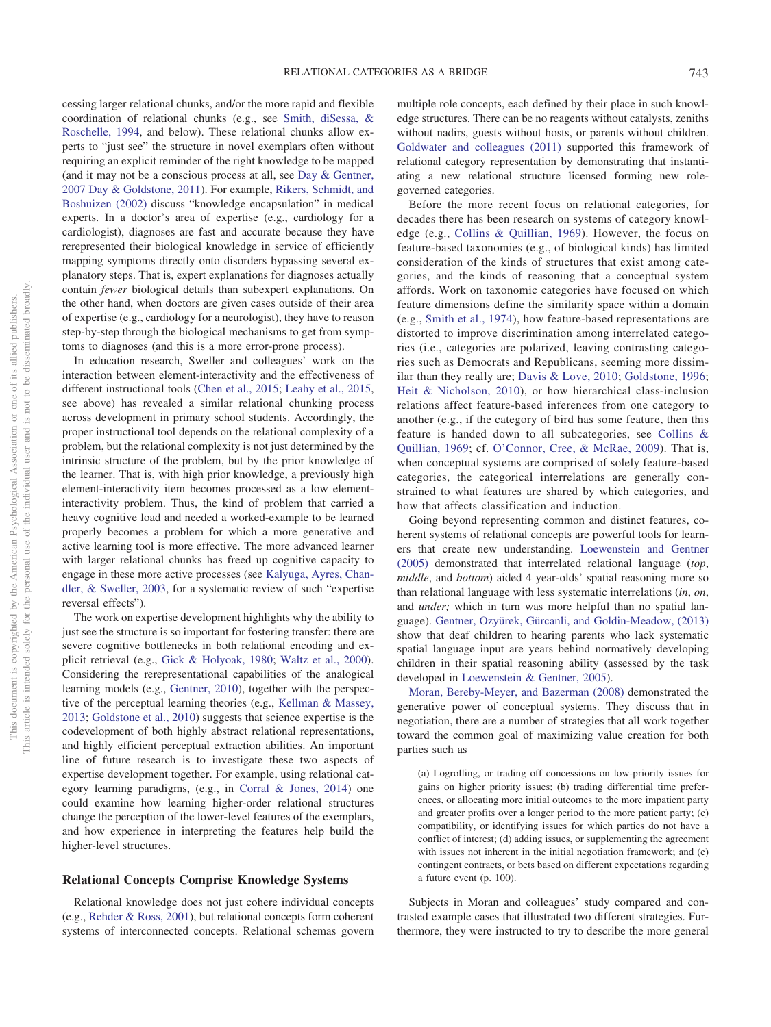cessing larger relational chunks, and/or the more rapid and flexible coordination of relational chunks (e.g., see [Smith, diSessa, &](#page-27-28) [Roschelle, 1994,](#page-27-28) and below). These relational chunks allow experts to "just see" the structure in novel exemplars often without requiring an explicit reminder of the right knowledge to be mapped (and it may not be a conscious process at all, see [Day & Gentner,](#page-22-8) [2007](#page-22-8) [Day & Goldstone, 2011\)](#page-22-9). For example, [Rikers, Schmidt, and](#page-26-24) [Boshuizen \(2002\)](#page-26-24) discuss "knowledge encapsulation" in medical experts. In a doctor's area of expertise (e.g., cardiology for a cardiologist), diagnoses are fast and accurate because they have rerepresented their biological knowledge in service of efficiently mapping symptoms directly onto disorders bypassing several explanatory steps. That is, expert explanations for diagnoses actually contain *fewer* biological details than subexpert explanations. On the other hand, when doctors are given cases outside of their area of expertise (e.g., cardiology for a neurologist), they have to reason step-by-step through the biological mechanisms to get from symptoms to diagnoses (and this is a more error-prone process).

In education research, Sweller and colleagues' work on the interaction between element-interactivity and the effectiveness of different instructional tools [\(Chen et al., 2015;](#page-21-10) [Leahy et al., 2015,](#page-25-12) see above) has revealed a similar relational chunking process across development in primary school students. Accordingly, the proper instructional tool depends on the relational complexity of a problem, but the relational complexity is not just determined by the intrinsic structure of the problem, but by the prior knowledge of the learner. That is, with high prior knowledge, a previously high element-interactivity item becomes processed as a low elementinteractivity problem. Thus, the kind of problem that carried a heavy cognitive load and needed a worked-example to be learned properly becomes a problem for which a more generative and active learning tool is more effective. The more advanced learner with larger relational chunks has freed up cognitive capacity to engage in these more active processes (see [Kalyuga, Ayres, Chan](#page-24-27)[dler, & Sweller, 2003,](#page-24-27) for a systematic review of such "expertise reversal effects").

The work on expertise development highlights why the ability to just see the structure is so important for fostering transfer: there are severe cognitive bottlenecks in both relational encoding and explicit retrieval (e.g., [Gick & Holyoak, 1980;](#page-23-13) [Waltz et al., 2000\)](#page-28-5). Considering the rerepresentational capabilities of the analogical learning models (e.g., [Gentner, 2010\)](#page-22-17), together with the perspective of the perceptual learning theories (e.g., [Kellman & Massey,](#page-24-22) [2013;](#page-24-22) [Goldstone et al., 2010\)](#page-23-25) suggests that science expertise is the codevelopment of both highly abstract relational representations, and highly efficient perceptual extraction abilities. An important line of future research is to investigate these two aspects of expertise development together. For example, using relational category learning paradigms, (e.g., in [Corral & Jones, 2014\)](#page-21-23) one could examine how learning higher-order relational structures change the perception of the lower-level features of the exemplars, and how experience in interpreting the features help build the higher-level structures.

#### **Relational Concepts Comprise Knowledge Systems**

Relational knowledge does not just cohere individual concepts (e.g., [Rehder & Ross, 2001\)](#page-26-23), but relational concepts form coherent systems of interconnected concepts. Relational schemas govern

multiple role concepts, each defined by their place in such knowledge structures. There can be no reagents without catalysts, zeniths without nadirs, guests without hosts, or parents without children. [Goldwater and colleagues \(2011\)](#page-23-5) supported this framework of relational category representation by demonstrating that instantiating a new relational structure licensed forming new rolegoverned categories.

Before the more recent focus on relational categories, for decades there has been research on systems of category knowledge (e.g., [Collins & Quillian, 1969\)](#page-21-28). However, the focus on feature-based taxonomies (e.g., of biological kinds) has limited consideration of the kinds of structures that exist among categories, and the kinds of reasoning that a conceptual system affords. Work on taxonomic categories have focused on which feature dimensions define the similarity space within a domain (e.g., [Smith et al., 1974\)](#page-27-4), how feature-based representations are distorted to improve discrimination among interrelated categories (i.e., categories are polarized, leaving contrasting categories such as Democrats and Republicans, seeming more dissimilar than they really are; [Davis & Love, 2010;](#page-21-29) [Goldstone, 1996;](#page-23-29) [Heit & Nicholson, 2010\)](#page-24-28), or how hierarchical class-inclusion relations affect feature-based inferences from one category to another (e.g., if the category of bird has some feature, then this feature is handed down to all subcategories, see [Collins &](#page-21-28) [Quillian, 1969;](#page-21-28) cf. [O'Connor, Cree, & McRae, 2009\)](#page-26-25). That is, when conceptual systems are comprised of solely feature-based categories, the categorical interrelations are generally constrained to what features are shared by which categories, and how that affects classification and induction.

Going beyond representing common and distinct features, coherent systems of relational concepts are powerful tools for learners that create new understanding. [Loewenstein and Gentner](#page-25-32) [\(2005\)](#page-25-32) demonstrated that interrelated relational language (*top*, *middle*, and *bottom*) aided 4 year-olds' spatial reasoning more so than relational language with less systematic interrelations (*in*, *on*, and *under;* which in turn was more helpful than no spatial language). [Gentner, Ozyürek, Gürcanli, and Goldin-Meadow, \(2013\)](#page-23-30) show that deaf children to hearing parents who lack systematic spatial language input are years behind normatively developing children in their spatial reasoning ability (assessed by the task developed in [Loewenstein & Gentner, 2005\)](#page-25-32).

[Moran, Bereby-Meyer, and Bazerman \(2008\)](#page-26-26) demonstrated the generative power of conceptual systems. They discuss that in negotiation, there are a number of strategies that all work together toward the common goal of maximizing value creation for both parties such as

(a) Logrolling, or trading off concessions on low-priority issues for gains on higher priority issues; (b) trading differential time preferences, or allocating more initial outcomes to the more impatient party and greater profits over a longer period to the more patient party; (c) compatibility, or identifying issues for which parties do not have a conflict of interest; (d) adding issues, or supplementing the agreement with issues not inherent in the initial negotiation framework; and (e) contingent contracts, or bets based on different expectations regarding a future event (p. 100).

Subjects in Moran and colleagues' study compared and contrasted example cases that illustrated two different strategies. Furthermore, they were instructed to try to describe the more general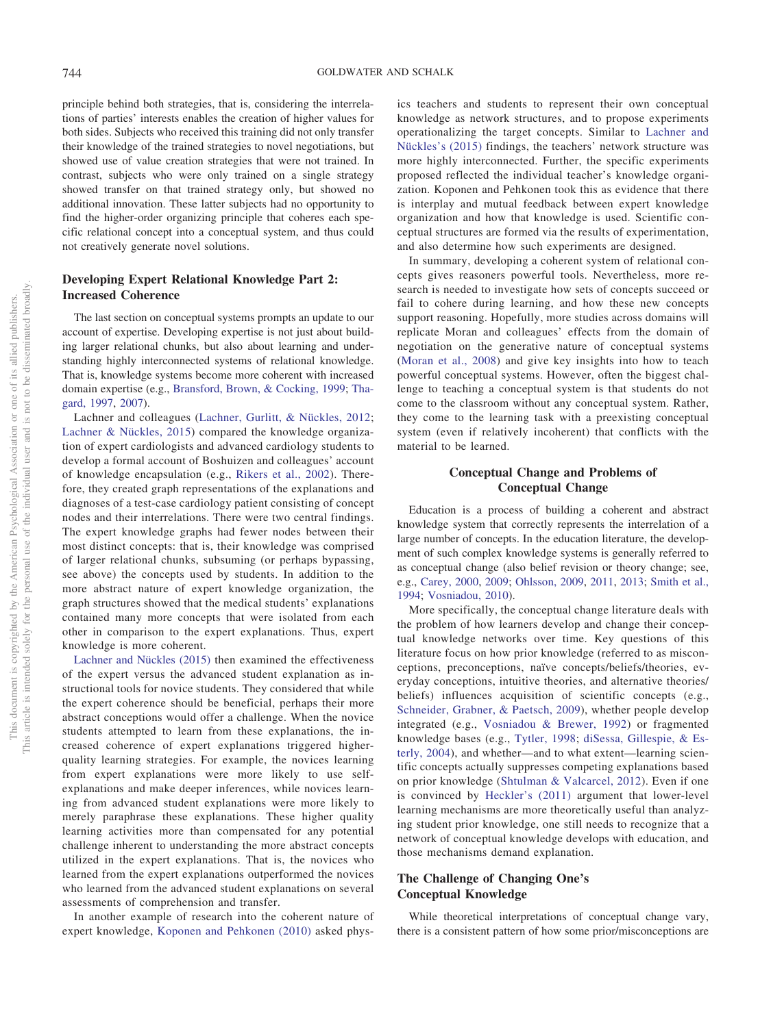principle behind both strategies, that is, considering the interrelations of parties' interests enables the creation of higher values for both sides. Subjects who received this training did not only transfer their knowledge of the trained strategies to novel negotiations, but showed use of value creation strategies that were not trained. In contrast, subjects who were only trained on a single strategy showed transfer on that trained strategy only, but showed no additional innovation. These latter subjects had no opportunity to find the higher-order organizing principle that coheres each specific relational concept into a conceptual system, and thus could not creatively generate novel solutions.

#### **Developing Expert Relational Knowledge Part 2: Increased Coherence**

The last section on conceptual systems prompts an update to our account of expertise. Developing expertise is not just about building larger relational chunks, but also about learning and understanding highly interconnected systems of relational knowledge. That is, knowledge systems become more coherent with increased domain expertise (e.g., [Bransford, Brown, & Cocking, 1999;](#page-21-30) [Tha](#page-28-19)[gard, 1997,](#page-28-19) [2007\)](#page-28-20).

Lachner and colleagues [\(Lachner, Gurlitt, & Nückles, 2012;](#page-25-33) [Lachner & Nückles, 2015\)](#page-25-34) compared the knowledge organization of expert cardiologists and advanced cardiology students to develop a formal account of Boshuizen and colleagues' account of knowledge encapsulation (e.g., [Rikers et al., 2002\)](#page-26-24). Therefore, they created graph representations of the explanations and diagnoses of a test-case cardiology patient consisting of concept nodes and their interrelations. There were two central findings. The expert knowledge graphs had fewer nodes between their most distinct concepts: that is, their knowledge was comprised of larger relational chunks, subsuming (or perhaps bypassing, see above) the concepts used by students. In addition to the more abstract nature of expert knowledge organization, the graph structures showed that the medical students' explanations contained many more concepts that were isolated from each other in comparison to the expert explanations. Thus, expert knowledge is more coherent.

[Lachner and Nückles \(2015\)](#page-25-34) then examined the effectiveness of the expert versus the advanced student explanation as instructional tools for novice students. They considered that while the expert coherence should be beneficial, perhaps their more abstract conceptions would offer a challenge. When the novice students attempted to learn from these explanations, the increased coherence of expert explanations triggered higherquality learning strategies. For example, the novices learning from expert explanations were more likely to use selfexplanations and make deeper inferences, while novices learning from advanced student explanations were more likely to merely paraphrase these explanations. These higher quality learning activities more than compensated for any potential challenge inherent to understanding the more abstract concepts utilized in the expert explanations. That is, the novices who learned from the expert explanations outperformed the novices who learned from the advanced student explanations on several assessments of comprehension and transfer.

In another example of research into the coherent nature of expert knowledge, [Koponen and Pehkonen \(2010\)](#page-25-35) asked physics teachers and students to represent their own conceptual knowledge as network structures, and to propose experiments operationalizing the target concepts. Similar to [Lachner and](#page-25-34) [Nückles's \(2015\)](#page-25-34) findings, the teachers' network structure was more highly interconnected. Further, the specific experiments proposed reflected the individual teacher's knowledge organization. Koponen and Pehkonen took this as evidence that there is interplay and mutual feedback between expert knowledge organization and how that knowledge is used. Scientific conceptual structures are formed via the results of experimentation, and also determine how such experiments are designed.

In summary, developing a coherent system of relational concepts gives reasoners powerful tools. Nevertheless, more research is needed to investigate how sets of concepts succeed or fail to cohere during learning, and how these new concepts support reasoning. Hopefully, more studies across domains will replicate Moran and colleagues' effects from the domain of negotiation on the generative nature of conceptual systems [\(Moran et al., 2008\)](#page-26-26) and give key insights into how to teach powerful conceptual systems. However, often the biggest challenge to teaching a conceptual system is that students do not come to the classroom without any conceptual system. Rather, they come to the learning task with a preexisting conceptual system (even if relatively incoherent) that conflicts with the material to be learned.

## **Conceptual Change and Problems of Conceptual Change**

Education is a process of building a coherent and abstract knowledge system that correctly represents the interrelation of a large number of concepts. In the education literature, the development of such complex knowledge systems is generally referred to as conceptual change (also belief revision or theory change; see, e.g., [Carey, 2000,](#page-21-31) [2009;](#page-21-32) [Ohlsson, 2009,](#page-26-27) [2011,](#page-26-28) [2013;](#page-26-29) [Smith et al.,](#page-27-28) [1994;](#page-27-28) [Vosniadou, 2010\)](#page-28-21).

More specifically, the conceptual change literature deals with the problem of how learners develop and change their conceptual knowledge networks over time. Key questions of this literature focus on how prior knowledge (referred to as misconceptions, preconceptions, naïve concepts/beliefs/theories, everyday conceptions, intuitive theories, and alternative theories/ beliefs) influences acquisition of scientific concepts (e.g., [Schneider, Grabner, & Paetsch, 2009\)](#page-27-29), whether people develop integrated (e.g., [Vosniadou & Brewer, 1992\)](#page-28-22) or fragmented knowledge bases (e.g., [Tytler, 1998;](#page-28-23) [diSessa, Gillespie, & Es](#page-22-28)[terly, 2004\)](#page-22-28), and whether—and to what extent—learning scientific concepts actually suppresses competing explanations based on prior knowledge [\(Shtulman & Valcarcel, 2012\)](#page-27-30). Even if one is convinced by [Heckler's \(2011\)](#page-24-29) argument that lower-level learning mechanisms are more theoretically useful than analyzing student prior knowledge, one still needs to recognize that a network of conceptual knowledge develops with education, and those mechanisms demand explanation.

## **The Challenge of Changing One's Conceptual Knowledge**

While theoretical interpretations of conceptual change vary, there is a consistent pattern of how some prior/misconceptions are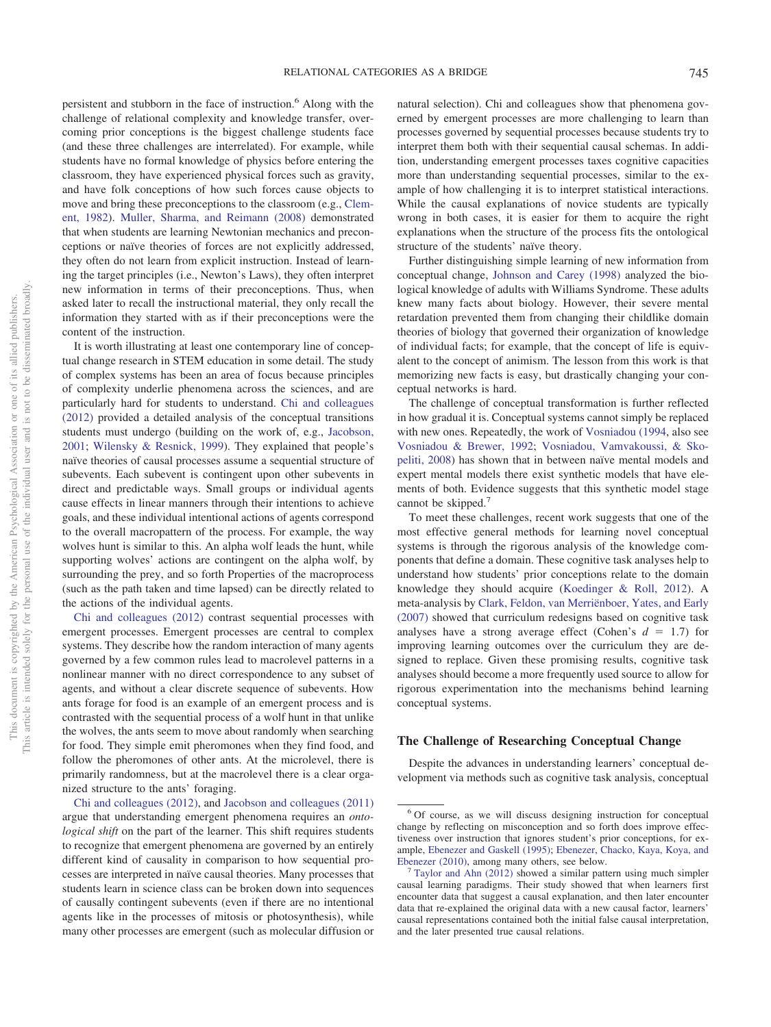persistent and stubborn in the face of instruction.6 Along with the challenge of relational complexity and knowledge transfer, overcoming prior conceptions is the biggest challenge students face (and these three challenges are interrelated). For example, while students have no formal knowledge of physics before entering the classroom, they have experienced physical forces such as gravity, and have folk conceptions of how such forces cause objects to move and bring these preconceptions to the classroom (e.g., [Clem](#page-21-0)[ent, 1982\)](#page-21-0). [Muller, Sharma, and Reimann \(2008\)](#page-26-30) demonstrated that when students are learning Newtonian mechanics and preconceptions or naïve theories of forces are not explicitly addressed, they often do not learn from explicit instruction. Instead of learning the target principles (i.e., Newton's Laws), they often interpret new information in terms of their preconceptions. Thus, when asked later to recall the instructional material, they only recall the information they started with as if their preconceptions were the content of the instruction.

It is worth illustrating at least one contemporary line of conceptual change research in STEM education in some detail. The study of complex systems has been an area of focus because principles of complexity underlie phenomena across the sciences, and are particularly hard for students to understand. [Chi and colleagues](#page-21-3) [\(2012\)](#page-21-3) provided a detailed analysis of the conceptual transitions students must undergo (building on the work of, e.g., [Jacobson,](#page-24-30) [2001;](#page-24-30) [Wilensky & Resnick, 1999\)](#page-28-24). They explained that people's naïve theories of causal processes assume a sequential structure of subevents. Each subevent is contingent upon other subevents in direct and predictable ways. Small groups or individual agents cause effects in linear manners through their intentions to achieve goals, and these individual intentional actions of agents correspond to the overall macropattern of the process. For example, the way wolves hunt is similar to this. An alpha wolf leads the hunt, while supporting wolves' actions are contingent on the alpha wolf, by surrounding the prey, and so forth Properties of the macroprocess (such as the path taken and time lapsed) can be directly related to the actions of the individual agents.

[Chi and colleagues \(2012\)](#page-21-3) contrast sequential processes with emergent processes. Emergent processes are central to complex systems. They describe how the random interaction of many agents governed by a few common rules lead to macrolevel patterns in a nonlinear manner with no direct correspondence to any subset of agents, and without a clear discrete sequence of subevents. How ants forage for food is an example of an emergent process and is contrasted with the sequential process of a wolf hunt in that unlike the wolves, the ants seem to move about randomly when searching for food. They simple emit pheromones when they find food, and follow the pheromones of other ants. At the microlevel, there is primarily randomness, but at the macrolevel there is a clear organized structure to the ants' foraging.

[Chi and colleagues \(2012\),](#page-21-3) and [Jacobson and colleagues \(2011\)](#page-24-2) argue that understanding emergent phenomena requires an *ontological shift* on the part of the learner. This shift requires students to recognize that emergent phenomena are governed by an entirely different kind of causality in comparison to how sequential processes are interpreted in naïve causal theories. Many processes that students learn in science class can be broken down into sequences of causally contingent subevents (even if there are no intentional agents like in the processes of mitosis or photosynthesis), while many other processes are emergent (such as molecular diffusion or natural selection). Chi and colleagues show that phenomena governed by emergent processes are more challenging to learn than processes governed by sequential processes because students try to interpret them both with their sequential causal schemas. In addition, understanding emergent processes taxes cognitive capacities more than understanding sequential processes, similar to the example of how challenging it is to interpret statistical interactions. While the causal explanations of novice students are typically wrong in both cases, it is easier for them to acquire the right explanations when the structure of the process fits the ontological structure of the students' naïve theory.

Further distinguishing simple learning of new information from conceptual change, [Johnson and Carey \(1998\)](#page-24-31) analyzed the biological knowledge of adults with Williams Syndrome. These adults knew many facts about biology. However, their severe mental retardation prevented them from changing their childlike domain theories of biology that governed their organization of knowledge of individual facts; for example, that the concept of life is equivalent to the concept of animism. The lesson from this work is that memorizing new facts is easy, but drastically changing your conceptual networks is hard.

The challenge of conceptual transformation is further reflected in how gradual it is. Conceptual systems cannot simply be replaced with new ones. Repeatedly, the work of [Vosniadou \(1994,](#page-28-25) also see [Vosniadou & Brewer, 1992;](#page-28-22) [Vosniadou, Vamvakoussi, & Sko](#page-28-26)[peliti, 2008\)](#page-28-26) has shown that in between naïve mental models and expert mental models there exist synthetic models that have elements of both. Evidence suggests that this synthetic model stage cannot be skipped.<sup>7</sup>

To meet these challenges, recent work suggests that one of the most effective general methods for learning novel conceptual systems is through the rigorous analysis of the knowledge components that define a domain. These cognitive task analyses help to understand how students' prior conceptions relate to the domain knowledge they should acquire [\(Koedinger & Roll, 2012\)](#page-24-1). A meta-analysis by [Clark, Feldon, van Merriënboer, Yates, and Early](#page-21-33) [\(2007\)](#page-21-33) showed that curriculum redesigns based on cognitive task analyses have a strong average effect (Cohen's  $d = 1.7$ ) for improving learning outcomes over the curriculum they are designed to replace. Given these promising results, cognitive task analyses should become a more frequently used source to allow for rigorous experimentation into the mechanisms behind learning conceptual systems.

#### **The Challenge of Researching Conceptual Change**

Despite the advances in understanding learners' conceptual development via methods such as cognitive task analysis, conceptual

<sup>6</sup> Of course, as we will discuss designing instruction for conceptual change by reflecting on misconception and so forth does improve effectiveness over instruction that ignores student's prior conceptions, for example, [Ebenezer and Gaskell \(1995\);](#page-22-29) [Ebenezer, Chacko, Kaya, Koya, and](#page-22-30) [Ebenezer \(2010\),](#page-22-30) among many others, see below. <sup>7</sup> [Taylor and Ahn \(2012\)](#page-28-27) showed a similar pattern using much simpler

causal learning paradigms. Their study showed that when learners first encounter data that suggest a causal explanation, and then later encounter data that re-explained the original data with a new causal factor, learners' causal representations contained both the initial false causal interpretation, and the later presented true causal relations.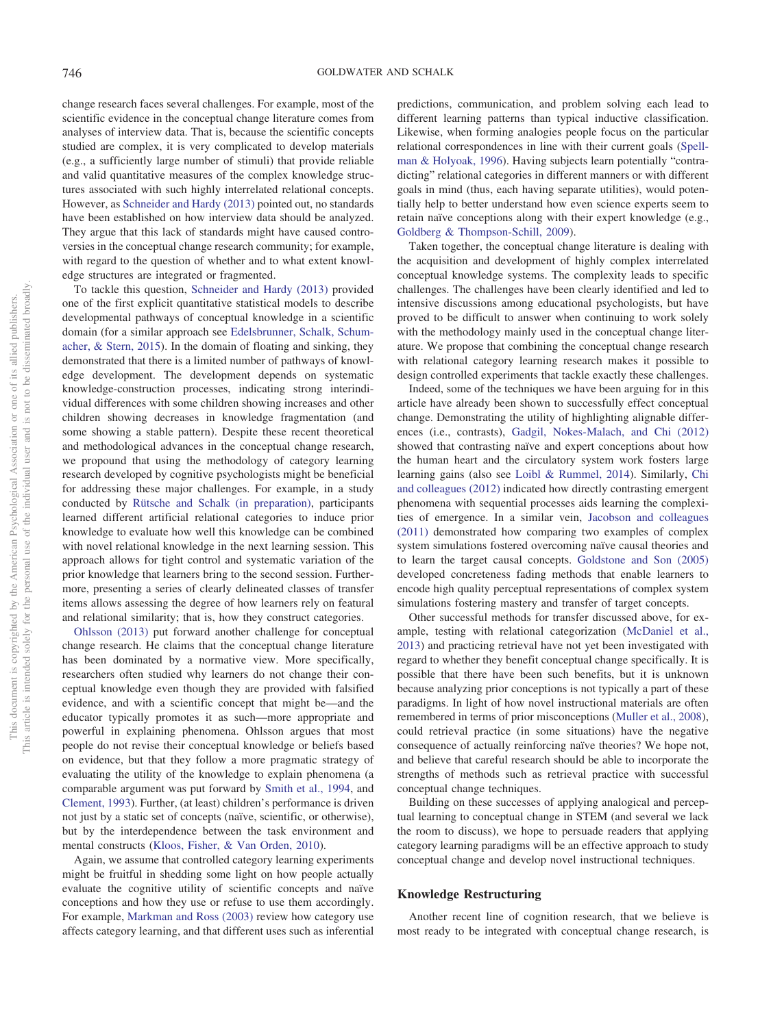change research faces several challenges. For example, most of the scientific evidence in the conceptual change literature comes from analyses of interview data. That is, because the scientific concepts studied are complex, it is very complicated to develop materials (e.g., a sufficiently large number of stimuli) that provide reliable and valid quantitative measures of the complex knowledge structures associated with such highly interrelated relational concepts. However, as [Schneider and Hardy \(2013\)](#page-27-31) pointed out, no standards have been established on how interview data should be analyzed. They argue that this lack of standards might have caused controversies in the conceptual change research community; for example, with regard to the question of whether and to what extent knowledge structures are integrated or fragmented.

To tackle this question, [Schneider and Hardy \(2013\)](#page-27-31) provided one of the first explicit quantitative statistical models to describe developmental pathways of conceptual knowledge in a scientific domain (for a similar approach see [Edelsbrunner, Schalk, Schum](#page-22-31)[acher, & Stern, 2015\)](#page-22-31). In the domain of floating and sinking, they demonstrated that there is a limited number of pathways of knowledge development. The development depends on systematic knowledge-construction processes, indicating strong interindividual differences with some children showing increases and other children showing decreases in knowledge fragmentation (and some showing a stable pattern). Despite these recent theoretical and methodological advances in the conceptual change research, we propound that using the methodology of category learning research developed by cognitive psychologists might be beneficial for addressing these major challenges. For example, in a study conducted by [Rütsche and Schalk \(in preparation\),](#page-27-32) participants learned different artificial relational categories to induce prior knowledge to evaluate how well this knowledge can be combined with novel relational knowledge in the next learning session. This approach allows for tight control and systematic variation of the prior knowledge that learners bring to the second session. Furthermore, presenting a series of clearly delineated classes of transfer items allows assessing the degree of how learners rely on featural and relational similarity; that is, how they construct categories.

[Ohlsson \(2013\)](#page-26-29) put forward another challenge for conceptual change research. He claims that the conceptual change literature has been dominated by a normative view. More specifically, researchers often studied why learners do not change their conceptual knowledge even though they are provided with falsified evidence, and with a scientific concept that might be—and the educator typically promotes it as such—more appropriate and powerful in explaining phenomena. Ohlsson argues that most people do not revise their conceptual knowledge or beliefs based on evidence, but that they follow a more pragmatic strategy of evaluating the utility of the knowledge to explain phenomena (a comparable argument was put forward by [Smith et al., 1994,](#page-27-28) and [Clement, 1993\)](#page-21-34). Further, (at least) children's performance is driven not just by a static set of concepts (naïve, scientific, or otherwise), but by the interdependence between the task environment and mental constructs [\(Kloos, Fisher, & Van Orden, 2010\)](#page-24-32).

Again, we assume that controlled category learning experiments might be fruitful in shedding some light on how people actually evaluate the cognitive utility of scientific concepts and naïve conceptions and how they use or refuse to use them accordingly. For example, [Markman and Ross \(2003\)](#page-25-6) review how category use affects category learning, and that different uses such as inferential predictions, communication, and problem solving each lead to different learning patterns than typical inductive classification. Likewise, when forming analogies people focus on the particular relational correspondences in line with their current goals [\(Spell](#page-28-28)[man & Holyoak, 1996\)](#page-28-28). Having subjects learn potentially "contradicting" relational categories in different manners or with different goals in mind (thus, each having separate utilities), would potentially help to better understand how even science experts seem to retain naïve conceptions along with their expert knowledge (e.g., [Goldberg & Thompson-Schill, 2009\)](#page-23-31).

Taken together, the conceptual change literature is dealing with the acquisition and development of highly complex interrelated conceptual knowledge systems. The complexity leads to specific challenges. The challenges have been clearly identified and led to intensive discussions among educational psychologists, but have proved to be difficult to answer when continuing to work solely with the methodology mainly used in the conceptual change literature. We propose that combining the conceptual change research with relational category learning research makes it possible to design controlled experiments that tackle exactly these challenges.

Indeed, some of the techniques we have been arguing for in this article have already been shown to successfully effect conceptual change. Demonstrating the utility of highlighting alignable differences (i.e., contrasts), [Gadgil, Nokes-Malach, and Chi \(2012\)](#page-22-32) showed that contrasting naïve and expert conceptions about how the human heart and the circulatory system work fosters large learning gains (also see [Loibl & Rummel, 2014\)](#page-25-36). Similarly, [Chi](#page-21-3) [and colleagues \(2012\)](#page-21-3) indicated how directly contrasting emergent phenomena with sequential processes aids learning the complexities of emergence. In a similar vein, [Jacobson and colleagues](#page-24-2) [\(2011\)](#page-24-2) demonstrated how comparing two examples of complex system simulations fostered overcoming naïve causal theories and to learn the target causal concepts. [Goldstone and Son \(2005\)](#page-23-26) developed concreteness fading methods that enable learners to encode high quality perceptual representations of complex system simulations fostering mastery and transfer of target concepts.

Other successful methods for transfer discussed above, for example, testing with relational categorization [\(McDaniel et al.,](#page-25-23) [2013\)](#page-25-23) and practicing retrieval have not yet been investigated with regard to whether they benefit conceptual change specifically. It is possible that there have been such benefits, but it is unknown because analyzing prior conceptions is not typically a part of these paradigms. In light of how novel instructional materials are often remembered in terms of prior misconceptions [\(Muller et al., 2008\)](#page-26-30), could retrieval practice (in some situations) have the negative consequence of actually reinforcing naïve theories? We hope not, and believe that careful research should be able to incorporate the strengths of methods such as retrieval practice with successful conceptual change techniques.

Building on these successes of applying analogical and perceptual learning to conceptual change in STEM (and several we lack the room to discuss), we hope to persuade readers that applying category learning paradigms will be an effective approach to study conceptual change and develop novel instructional techniques.

#### **Knowledge Restructuring**

Another recent line of cognition research, that we believe is most ready to be integrated with conceptual change research, is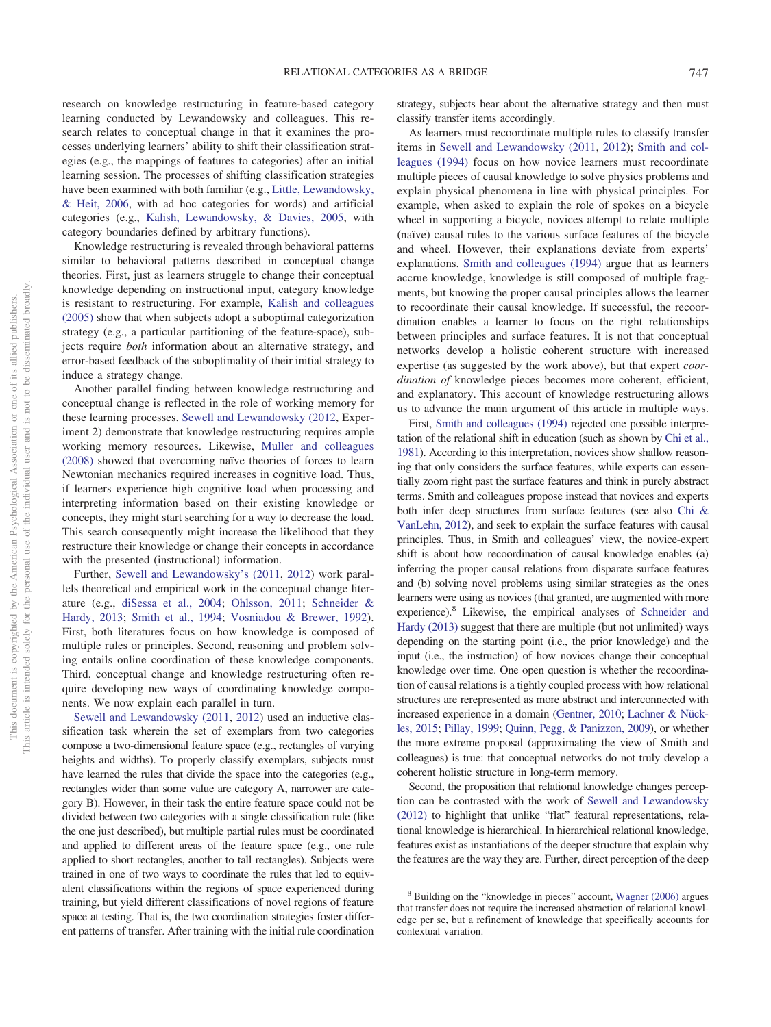research on knowledge restructuring in feature-based category learning conducted by Lewandowsky and colleagues. This research relates to conceptual change in that it examines the processes underlying learners' ability to shift their classification strategies (e.g., the mappings of features to categories) after an initial learning session. The processes of shifting classification strategies have been examined with both familiar (e.g., [Little, Lewandowsky,](#page-25-37) [& Heit, 2006,](#page-25-37) with ad hoc categories for words) and artificial categories (e.g., [Kalish, Lewandowsky, & Davies, 2005,](#page-24-33) with category boundaries defined by arbitrary functions).

Knowledge restructuring is revealed through behavioral patterns similar to behavioral patterns described in conceptual change theories. First, just as learners struggle to change their conceptual knowledge depending on instructional input, category knowledge is resistant to restructuring. For example, [Kalish and colleagues](#page-24-33) [\(2005\)](#page-24-33) show that when subjects adopt a suboptimal categorization strategy (e.g., a particular partitioning of the feature-space), subjects require *both* information about an alternative strategy, and error-based feedback of the suboptimality of their initial strategy to induce a strategy change.

Another parallel finding between knowledge restructuring and conceptual change is reflected in the role of working memory for these learning processes. [Sewell and Lewandowsky \(2012,](#page-27-33) Experiment 2) demonstrate that knowledge restructuring requires ample working memory resources. Likewise, [Muller and colleagues](#page-26-30) [\(2008\)](#page-26-30) showed that overcoming naïve theories of forces to learn Newtonian mechanics required increases in cognitive load. Thus, if learners experience high cognitive load when processing and interpreting information based on their existing knowledge or concepts, they might start searching for a way to decrease the load. This search consequently might increase the likelihood that they restructure their knowledge or change their concepts in accordance with the presented (instructional) information.

Further, [Sewell and Lewandowsky's \(2011,](#page-27-34) [2012\)](#page-27-33) work parallels theoretical and empirical work in the conceptual change literature (e.g., [diSessa et al., 2004;](#page-22-28) [Ohlsson, 2011;](#page-26-28) [Schneider &](#page-27-31) [Hardy, 2013;](#page-27-31) [Smith et al., 1994;](#page-27-28) [Vosniadou & Brewer, 1992\)](#page-28-22). First, both literatures focus on how knowledge is composed of multiple rules or principles. Second, reasoning and problem solving entails online coordination of these knowledge components. Third, conceptual change and knowledge restructuring often require developing new ways of coordinating knowledge components. We now explain each parallel in turn.

[Sewell and Lewandowsky \(2011,](#page-27-34) [2012\)](#page-27-33) used an inductive classification task wherein the set of exemplars from two categories compose a two-dimensional feature space (e.g., rectangles of varying heights and widths). To properly classify exemplars, subjects must have learned the rules that divide the space into the categories (e.g., rectangles wider than some value are category A, narrower are category B). However, in their task the entire feature space could not be divided between two categories with a single classification rule (like the one just described), but multiple partial rules must be coordinated and applied to different areas of the feature space (e.g., one rule applied to short rectangles, another to tall rectangles). Subjects were trained in one of two ways to coordinate the rules that led to equivalent classifications within the regions of space experienced during training, but yield different classifications of novel regions of feature space at testing. That is, the two coordination strategies foster different patterns of transfer. After training with the initial rule coordination strategy, subjects hear about the alternative strategy and then must classify transfer items accordingly.

As learners must recoordinate multiple rules to classify transfer items in [Sewell and Lewandowsky \(2011,](#page-27-34) [2012\)](#page-27-33); [Smith and col](#page-27-28)[leagues \(1994\)](#page-27-28) focus on how novice learners must recoordinate multiple pieces of causal knowledge to solve physics problems and explain physical phenomena in line with physical principles. For example, when asked to explain the role of spokes on a bicycle wheel in supporting a bicycle, novices attempt to relate multiple (naïve) causal rules to the various surface features of the bicycle and wheel. However, their explanations deviate from experts' explanations. [Smith and colleagues \(1994\)](#page-27-28) argue that as learners accrue knowledge, knowledge is still composed of multiple fragments, but knowing the proper causal principles allows the learner to recoordinate their causal knowledge. If successful, the recoordination enables a learner to focus on the right relationships between principles and surface features. It is not that conceptual networks develop a holistic coherent structure with increased expertise (as suggested by the work above), but that expert *coordination of* knowledge pieces becomes more coherent, efficient, and explanatory. This account of knowledge restructuring allows us to advance the main argument of this article in multiple ways.

First, [Smith and colleagues \(1994\)](#page-27-28) rejected one possible interpretation of the relational shift in education (such as shown by [Chi et al.,](#page-21-7) [1981\)](#page-21-7). According to this interpretation, novices show shallow reasoning that only considers the surface features, while experts can essentially zoom right past the surface features and think in purely abstract terms. Smith and colleagues propose instead that novices and experts both infer deep structures from surface features (see also [Chi &](#page-21-8) [VanLehn, 2012\)](#page-21-8), and seek to explain the surface features with causal principles. Thus, in Smith and colleagues' view, the novice-expert shift is about how recoordination of causal knowledge enables (a) inferring the proper causal relations from disparate surface features and (b) solving novel problems using similar strategies as the ones learners were using as novices (that granted, are augmented with more experience).8 Likewise, the empirical analyses of [Schneider and](#page-27-31) [Hardy \(2013\)](#page-27-31) suggest that there are multiple (but not unlimited) ways depending on the starting point (i.e., the prior knowledge) and the input (i.e., the instruction) of how novices change their conceptual knowledge over time. One open question is whether the recoordination of causal relations is a tightly coupled process with how relational structures are rerepresented as more abstract and interconnected with increased experience in a domain [\(Gentner, 2010;](#page-22-17) [Lachner & Nück](#page-25-34)[les, 2015;](#page-25-34) [Pillay, 1999;](#page-26-31) [Quinn, Pegg, & Panizzon, 2009\)](#page-26-32), or whether the more extreme proposal (approximating the view of Smith and colleagues) is true: that conceptual networks do not truly develop a coherent holistic structure in long-term memory.

Second, the proposition that relational knowledge changes perception can be contrasted with the work of [Sewell and Lewandowsky](#page-27-33) [\(2012\)](#page-27-33) to highlight that unlike "flat" featural representations, relational knowledge is hierarchical. In hierarchical relational knowledge, features exist as instantiations of the deeper structure that explain why the features are the way they are. Further, direct perception of the deep

<sup>&</sup>lt;sup>8</sup> Building on the "knowledge in pieces" account, [Wagner \(2006\)](#page-28-29) argues that transfer does not require the increased abstraction of relational knowledge per se, but a refinement of knowledge that specifically accounts for contextual variation.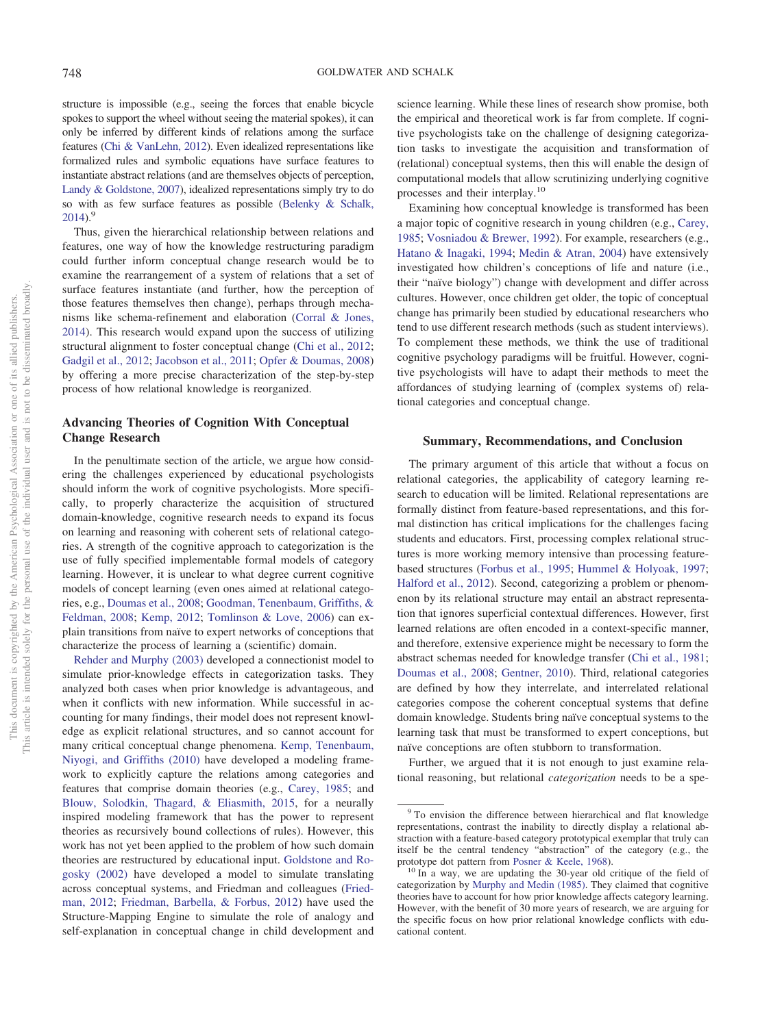structure is impossible (e.g., seeing the forces that enable bicycle spokes to support the wheel without seeing the material spokes), it can only be inferred by different kinds of relations among the surface features [\(Chi & VanLehn, 2012\)](#page-21-8). Even idealized representations like formalized rules and symbolic equations have surface features to instantiate abstract relations (and are themselves objects of perception, [Landy & Goldstone, 2007\)](#page-25-26), idealized representations simply try to do so with as few surface features as possible [\(Belenky & Schalk,](#page-21-24) [2014\)](#page-21-24).<sup>9</sup>

Thus, given the hierarchical relationship between relations and features, one way of how the knowledge restructuring paradigm could further inform conceptual change research would be to examine the rearrangement of a system of relations that a set of surface features instantiate (and further, how the perception of those features themselves then change), perhaps through mechanisms like schema-refinement and elaboration [\(Corral & Jones,](#page-21-23) [2014\)](#page-21-23). This research would expand upon the success of utilizing structural alignment to foster conceptual change [\(Chi et al., 2012;](#page-21-3) [Gadgil et al., 2012;](#page-22-32) [Jacobson et al., 2011;](#page-24-2) [Opfer & Doumas, 2008\)](#page-26-33) by offering a more precise characterization of the step-by-step process of how relational knowledge is reorganized.

# **Advancing Theories of Cognition With Conceptual Change Research**

In the penultimate section of the article, we argue how considering the challenges experienced by educational psychologists should inform the work of cognitive psychologists. More specifically, to properly characterize the acquisition of structured domain-knowledge, cognitive research needs to expand its focus on learning and reasoning with coherent sets of relational categories. A strength of the cognitive approach to categorization is the use of fully specified implementable formal models of category learning. However, it is unclear to what degree current cognitive models of concept learning (even ones aimed at relational categories, e.g., [Doumas et al., 2008;](#page-22-16) [Goodman, Tenenbaum, Griffiths, &](#page-23-32) [Feldman, 2008;](#page-23-32) [Kemp, 2012;](#page-24-34) [Tomlinson & Love, 2006\)](#page-28-30) can explain transitions from naïve to expert networks of conceptions that characterize the process of learning a (scientific) domain.

[Rehder and Murphy \(2003\)](#page-26-34) developed a connectionist model to simulate prior-knowledge effects in categorization tasks. They analyzed both cases when prior knowledge is advantageous, and when it conflicts with new information. While successful in accounting for many findings, their model does not represent knowledge as explicit relational structures, and so cannot account for many critical conceptual change phenomena. [Kemp, Tenenbaum,](#page-24-35) [Niyogi, and Griffiths \(2010\)](#page-24-35) have developed a modeling framework to explicitly capture the relations among categories and features that comprise domain theories (e.g., [Carey, 1985;](#page-21-35) and [Blouw, Solodkin, Thagard, & Eliasmith, 2015,](#page-21-36) for a neurally inspired modeling framework that has the power to represent theories as recursively bound collections of rules). However, this work has not yet been applied to the problem of how such domain theories are restructured by educational input. [Goldstone and Ro](#page-23-33)[gosky \(2002\)](#page-23-33) have developed a model to simulate translating across conceptual systems, and Friedman and colleagues [\(Fried](#page-22-33)[man, 2012;](#page-22-33) [Friedman, Barbella, & Forbus, 2012\)](#page-22-34) have used the Structure-Mapping Engine to simulate the role of analogy and self-explanation in conceptual change in child development and science learning. While these lines of research show promise, both the empirical and theoretical work is far from complete. If cognitive psychologists take on the challenge of designing categorization tasks to investigate the acquisition and transformation of (relational) conceptual systems, then this will enable the design of computational models that allow scrutinizing underlying cognitive processes and their interplay.10

Examining how conceptual knowledge is transformed has been a major topic of cognitive research in young children (e.g., [Carey,](#page-21-35) [1985;](#page-21-35) [Vosniadou & Brewer, 1992\)](#page-28-22). For example, researchers (e.g., [Hatano & Inagaki, 1994;](#page-24-36) [Medin & Atran, 2004\)](#page-25-38) have extensively investigated how children's conceptions of life and nature (i.e., their "naïve biology") change with development and differ across cultures. However, once children get older, the topic of conceptual change has primarily been studied by educational researchers who tend to use different research methods (such as student interviews). To complement these methods, we think the use of traditional cognitive psychology paradigms will be fruitful. However, cognitive psychologists will have to adapt their methods to meet the affordances of studying learning of (complex systems of) relational categories and conceptual change.

#### **Summary, Recommendations, and Conclusion**

The primary argument of this article that without a focus on relational categories, the applicability of category learning research to education will be limited. Relational representations are formally distinct from feature-based representations, and this formal distinction has critical implications for the challenges facing students and educators. First, processing complex relational structures is more working memory intensive than processing featurebased structures [\(Forbus et al., 1995;](#page-22-12) [Hummel & Holyoak, 1997;](#page-24-9) [Halford et al., 2012\)](#page-23-15). Second, categorizing a problem or phenomenon by its relational structure may entail an abstract representation that ignores superficial contextual differences. However, first learned relations are often encoded in a context-specific manner, and therefore, extensive experience might be necessary to form the abstract schemas needed for knowledge transfer [\(Chi et al., 1981;](#page-21-7) [Doumas et al., 2008;](#page-22-16) [Gentner, 2010\)](#page-22-17). Third, relational categories are defined by how they interrelate, and interrelated relational categories compose the coherent conceptual systems that define domain knowledge. Students bring naïve conceptual systems to the learning task that must be transformed to expert conceptions, but naïve conceptions are often stubborn to transformation.

Further, we argued that it is not enough to just examine relational reasoning, but relational *categorization* needs to be a spe-

<sup>&</sup>lt;sup>9</sup> To envision the difference between hierarchical and flat knowledge representations, contrast the inability to directly display a relational abstraction with a feature-based category prototypical exemplar that truly can itself be the central tendency "abstraction" of the category (e.g., the

prototype dot pattern from [Posner & Keele, 1968\)](#page-26-35). <sup>10</sup> In a way, we are updating the 30-year old critique of the field of categorization by [Murphy and Medin \(1985\).](#page-26-1) They claimed that cognitive theories have to account for how prior knowledge affects category learning. However, with the benefit of 30 more years of research, we are arguing for the specific focus on how prior relational knowledge conflicts with educational content.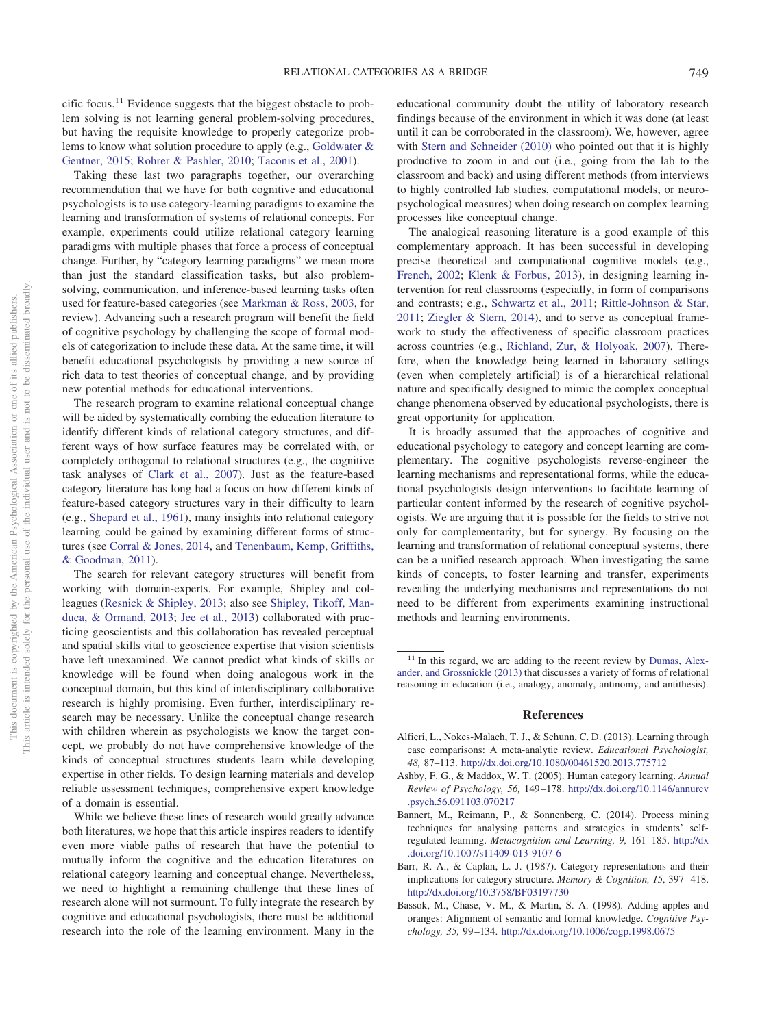cific focus.11 Evidence suggests that the biggest obstacle to problem solving is not learning general problem-solving procedures, but having the requisite knowledge to properly categorize problems to know what solution procedure to apply (e.g., [Goldwater &](#page-23-18) [Gentner, 2015;](#page-23-18) [Rohrer & Pashler, 2010;](#page-27-7) [Taconis et al., 2001\)](#page-28-3).

Taking these last two paragraphs together, our overarching recommendation that we have for both cognitive and educational psychologists is to use category-learning paradigms to examine the learning and transformation of systems of relational concepts. For example, experiments could utilize relational category learning paradigms with multiple phases that force a process of conceptual change. Further, by "category learning paradigms" we mean more than just the standard classification tasks, but also problemsolving, communication, and inference-based learning tasks often used for feature-based categories (see [Markman & Ross, 2003,](#page-25-6) for review). Advancing such a research program will benefit the field of cognitive psychology by challenging the scope of formal models of categorization to include these data. At the same time, it will benefit educational psychologists by providing a new source of rich data to test theories of conceptual change, and by providing new potential methods for educational interventions.

The research program to examine relational conceptual change will be aided by systematically combing the education literature to identify different kinds of relational category structures, and different ways of how surface features may be correlated with, or completely orthogonal to relational structures (e.g., the cognitive task analyses of [Clark et al., 2007\)](#page-21-33). Just as the feature-based category literature has long had a focus on how different kinds of feature-based category structures vary in their difficulty to learn (e.g., [Shepard et al., 1961\)](#page-27-1), many insights into relational category learning could be gained by examining different forms of structures (see [Corral & Jones, 2014,](#page-21-23) and [Tenenbaum, Kemp, Griffiths,](#page-28-31) [& Goodman, 2011\)](#page-28-31).

The search for relevant category structures will benefit from working with domain-experts. For example, Shipley and colleagues [\(Resnick & Shipley, 2013;](#page-26-36) also see [Shipley, Tikoff, Man](#page-27-35)[duca, & Ormand, 2013;](#page-27-35) [Jee et al., 2013\)](#page-24-17) collaborated with practicing geoscientists and this collaboration has revealed perceptual and spatial skills vital to geoscience expertise that vision scientists have left unexamined. We cannot predict what kinds of skills or knowledge will be found when doing analogous work in the conceptual domain, but this kind of interdisciplinary collaborative research is highly promising. Even further, interdisciplinary research may be necessary. Unlike the conceptual change research with children wherein as psychologists we know the target concept, we probably do not have comprehensive knowledge of the kinds of conceptual structures students learn while developing expertise in other fields. To design learning materials and develop reliable assessment techniques, comprehensive expert knowledge of a domain is essential.

While we believe these lines of research would greatly advance both literatures, we hope that this article inspires readers to identify even more viable paths of research that have the potential to mutually inform the cognitive and the education literatures on relational category learning and conceptual change. Nevertheless, we need to highlight a remaining challenge that these lines of research alone will not surmount. To fully integrate the research by cognitive and educational psychologists, there must be additional research into the role of the learning environment. Many in the

educational community doubt the utility of laboratory research findings because of the environment in which it was done (at least until it can be corroborated in the classroom). We, however, agree with [Stern and Schneider \(2010\)](#page-28-32) who pointed out that it is highly productive to zoom in and out (i.e., going from the lab to the classroom and back) and using different methods (from interviews to highly controlled lab studies, computational models, or neuropsychological measures) when doing research on complex learning processes like conceptual change.

The analogical reasoning literature is a good example of this complementary approach. It has been successful in developing precise theoretical and computational cognitive models (e.g., [French, 2002;](#page-22-35) [Klenk & Forbus, 2013\)](#page-24-26), in designing learning intervention for real classrooms (especially, in form of comparisons and contrasts; e.g., [Schwartz et al., 2011;](#page-27-19) [Rittle-Johnson & Star,](#page-27-17) [2011;](#page-27-17) [Ziegler & Stern, 2014\)](#page-28-33), and to serve as conceptual framework to study the effectiveness of specific classroom practices across countries (e.g., [Richland, Zur, & Holyoak, 2007\)](#page-26-37). Therefore, when the knowledge being learned in laboratory settings (even when completely artificial) is of a hierarchical relational nature and specifically designed to mimic the complex conceptual change phenomena observed by educational psychologists, there is great opportunity for application.

It is broadly assumed that the approaches of cognitive and educational psychology to category and concept learning are complementary. The cognitive psychologists reverse-engineer the learning mechanisms and representational forms, while the educational psychologists design interventions to facilitate learning of particular content informed by the research of cognitive psychologists. We are arguing that it is possible for the fields to strive not only for complementarity, but for synergy. By focusing on the learning and transformation of relational conceptual systems, there can be a unified research approach. When investigating the same kinds of concepts, to foster learning and transfer, experiments revealing the underlying mechanisms and representations do not need to be different from experiments examining instructional methods and learning environments.

#### **References**

- <span id="page-20-3"></span>Alfieri, L., Nokes-Malach, T. J., & Schunn, C. D. (2013). Learning through case comparisons: A meta-analytic review. *Educational Psychologist, 48,* 87–113. <http://dx.doi.org/10.1080/00461520.2013.775712>
- <span id="page-20-0"></span>Ashby, F. G., & Maddox, W. T. (2005). Human category learning. *Annual Review of Psychology, 56,* 149 –178. [http://dx.doi.org/10.1146/annurev](http://dx.doi.org/10.1146/annurev.psych.56.091103.070217) [.psych.56.091103.070217](http://dx.doi.org/10.1146/annurev.psych.56.091103.070217)
- <span id="page-20-1"></span>Bannert, M., Reimann, P., & Sonnenberg, C. (2014). Process mining techniques for analysing patterns and strategies in students' selfregulated learning. *Metacognition and Learning, 9,* 161–185. [http://dx](http://dx.doi.org/10.1007/s11409-013-9107-6) [.doi.org/10.1007/s11409-013-9107-6](http://dx.doi.org/10.1007/s11409-013-9107-6)
- <span id="page-20-4"></span>Barr, R. A., & Caplan, L. J. (1987). Category representations and their implications for category structure. *Memory & Cognition, 15, 397–418*. <http://dx.doi.org/10.3758/BF03197730>
- <span id="page-20-2"></span>Bassok, M., Chase, V. M., & Martin, S. A. (1998). Adding apples and oranges: Alignment of semantic and formal knowledge. *Cognitive Psychology, 35,* 99 –134. <http://dx.doi.org/10.1006/cogp.1998.0675>

 $11$  In this regard, we are adding to the recent review by [Dumas, Alex](#page-22-36)[ander, and Grossnickle \(2013\)](#page-22-36) that discusses a variety of forms of relational reasoning in education (i.e., analogy, anomaly, antinomy, and antithesis).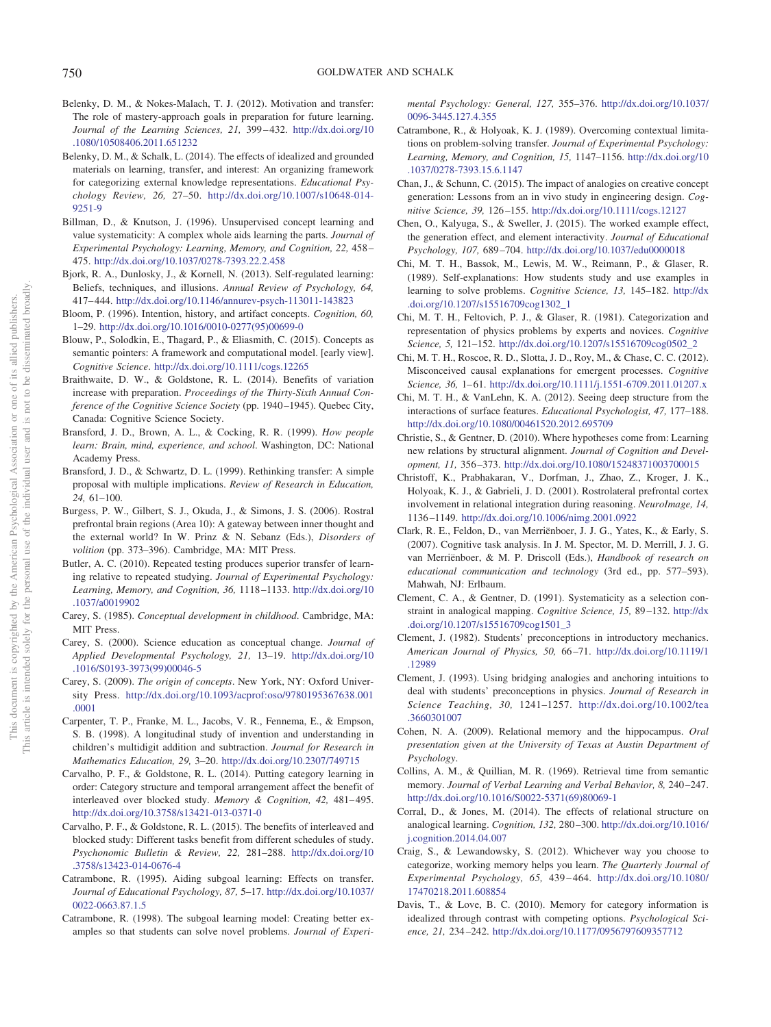- <span id="page-21-14"></span>Belenky, D. M., & Nokes-Malach, T. J. (2012). Motivation and transfer: The role of mastery-approach goals in preparation for future learning. *Journal of the Learning Sciences, 21,* 399 – 432. [http://dx.doi.org/10](http://dx.doi.org/10.1080/10508406.2011.651232) [.1080/10508406.2011.651232](http://dx.doi.org/10.1080/10508406.2011.651232)
- <span id="page-21-24"></span>Belenky, D. M., & Schalk, L. (2014). The effects of idealized and grounded materials on learning, transfer, and interest: An organizing framework for categorizing external knowledge representations. *Educational Psychology Review, 26,* 27–50. [http://dx.doi.org/10.1007/s10648-014-](http://dx.doi.org/10.1007/s10648-014-9251-9) [9251-9](http://dx.doi.org/10.1007/s10648-014-9251-9)
- <span id="page-21-26"></span>Billman, D., & Knutson, J. (1996). Unsupervised concept learning and value systematicity: A complex whole aids learning the parts. *Journal of Experimental Psychology: Learning, Memory, and Cognition, 22,* 458 – 475. <http://dx.doi.org/10.1037/0278-7393.22.2.458>
- <span id="page-21-18"></span>Bjork, R. A., Dunlosky, J., & Kornell, N. (2013). Self-regulated learning: Beliefs, techniques, and illusions. *Annual Review of Psychology, 64,* 417– 444. <http://dx.doi.org/10.1146/annurev-psych-113011-143823>
- <span id="page-21-27"></span>Bloom, P. (1996). Intention, history, and artifact concepts. *Cognition, 60,* 1–29. [http://dx.doi.org/10.1016/0010-0277\(95\)00699-0](http://dx.doi.org/10.1016/0010-0277%2895%2900699-0)
- <span id="page-21-36"></span>Blouw, P., Solodkin, E., Thagard, P., & Eliasmith, C. (2015). Concepts as semantic pointers: A framework and computational model. [early view]. *Cognitive Science*. <http://dx.doi.org/10.1111/cogs.12265>
- <span id="page-21-15"></span>Braithwaite, D. W., & Goldstone, R. L. (2014). Benefits of variation increase with preparation. *Proceedings of the Thirty-Sixth Annual Conference of the Cognitive Science Society* (pp. 1940 –1945). Quebec City, Canada: Cognitive Science Society.
- <span id="page-21-30"></span>Bransford, J. D., Brown, A. L., & Cocking, R. R. (1999). *How people learn: Brain, mind, experience, and school*. Washington, DC: National Academy Press.
- <span id="page-21-2"></span>Bransford, J. D., & Schwartz, D. L. (1999). Rethinking transfer: A simple proposal with multiple implications. *Review of Research in Education, 24,* 61–100.
- <span id="page-21-6"></span>Burgess, P. W., Gilbert, S. J., Okuda, J., & Simons, J. S. (2006). Rostral prefrontal brain regions (Area 10): A gateway between inner thought and the external world? In W. Prinz & N. Sebanz (Eds.), *Disorders of volition* (pp. 373–396). Cambridge, MA: MIT Press.
- <span id="page-21-20"></span>Butler, A. C. (2010). Repeated testing produces superior transfer of learning relative to repeated studying. *Journal of Experimental Psychology: Learning, Memory, and Cognition, 36,* 1118 –1133. [http://dx.doi.org/10](http://dx.doi.org/10.1037/a0019902) [.1037/a0019902](http://dx.doi.org/10.1037/a0019902)
- <span id="page-21-35"></span>Carey, S. (1985). *Conceptual development in childhood*. Cambridge, MA: MIT Press.
- <span id="page-21-31"></span>Carey, S. (2000). Science education as conceptual change. *Journal of Applied Developmental Psychology, 21,* 13–19. [http://dx.doi.org/10](http://dx.doi.org/10.1016/S0193-3973%2899%2900046-5) [.1016/S0193-3973\(99\)00046-5](http://dx.doi.org/10.1016/S0193-3973%2899%2900046-5)
- <span id="page-21-32"></span>Carey, S. (2009). *The origin of concepts*. New York, NY: Oxford University Press. [http://dx.doi.org/10.1093/acprof:oso/9780195367638.001](http://dx.doi.org/10.1093/acprof:oso/9780195367638.001.0001) [.0001](http://dx.doi.org/10.1093/acprof:oso/9780195367638.001.0001)
- <span id="page-21-1"></span>Carpenter, T. P., Franke, M. L., Jacobs, V. R., Fennema, E., & Empson, S. B. (1998). A longitudinal study of invention and understanding in children's multidigit addition and subtraction. *Journal for Research in Mathematics Education, 29,* 3–20. <http://dx.doi.org/10.2307/749715>
- <span id="page-21-17"></span>Carvalho, P. F., & Goldstone, R. L. (2014). Putting category learning in order: Category structure and temporal arrangement affect the benefit of interleaved over blocked study. Memory & Cognition, 42, 481-495. <http://dx.doi.org/10.3758/s13421-013-0371-0>
- <span id="page-21-19"></span>Carvalho, P. F., & Goldstone, R. L. (2015). The benefits of interleaved and blocked study: Different tasks benefit from different schedules of study. *Psychonomic Bulletin & Review, 22,* 281–288. [http://dx.doi.org/10](http://dx.doi.org/10.3758/s13423-014-0676-4) [.3758/s13423-014-0676-4](http://dx.doi.org/10.3758/s13423-014-0676-4)
- <span id="page-21-21"></span>Catrambone, R. (1995). Aiding subgoal learning: Effects on transfer. *Journal of Educational Psychology, 87,* 5–17. [http://dx.doi.org/10.1037/](http://dx.doi.org/10.1037/0022-0663.87.1.5) [0022-0663.87.1.5](http://dx.doi.org/10.1037/0022-0663.87.1.5)
- <span id="page-21-22"></span>Catrambone, R. (1998). The subgoal learning model: Creating better examples so that students can solve novel problems. *Journal of Experi-*

*mental Psychology: General, 127,* 355–376. [http://dx.doi.org/10.1037/](http://dx.doi.org/10.1037/0096-3445.127.4.355) [0096-3445.127.4.355](http://dx.doi.org/10.1037/0096-3445.127.4.355)

- <span id="page-21-16"></span>Catrambone, R., & Holyoak, K. J. (1989). Overcoming contextual limitations on problem-solving transfer. *Journal of Experimental Psychology: Learning, Memory, and Cognition, 15,* 1147–1156. [http://dx.doi.org/10](http://dx.doi.org/10.1037/0278-7393.15.6.1147) [.1037/0278-7393.15.6.1147](http://dx.doi.org/10.1037/0278-7393.15.6.1147)
- <span id="page-21-25"></span>Chan, J., & Schunn, C. (2015). The impact of analogies on creative concept generation: Lessons from an in vivo study in engineering design. *Cognitive Science, 39,* 126 –155. <http://dx.doi.org/10.1111/cogs.12127>
- <span id="page-21-10"></span>Chen, O., Kalyuga, S., & Sweller, J. (2015). The worked example effect, the generation effect, and element interactivity. *Journal of Educational Psychology, 107,* 689 –704. <http://dx.doi.org/10.1037/edu0000018>
- <span id="page-21-11"></span>Chi, M. T. H., Bassok, M., Lewis, M. W., Reimann, P., & Glaser, R. (1989). Self-explanations: How students study and use examples in learning to solve problems. *Cognitive Science, 13,* 145–182. [http://dx](http://dx.doi.org/10.1207/s15516709cog1302_1) [.doi.org/10.1207/s15516709cog1302\\_1](http://dx.doi.org/10.1207/s15516709cog1302_1)
- <span id="page-21-7"></span>Chi, M. T. H., Feltovich, P. J., & Glaser, R. (1981). Categorization and representation of physics problems by experts and novices. *Cognitive Science, 5,* 121–152. [http://dx.doi.org/10.1207/s15516709cog0502\\_2](http://dx.doi.org/10.1207/s15516709cog0502_2)
- <span id="page-21-3"></span>Chi, M. T. H., Roscoe, R. D., Slotta, J. D., Roy, M., & Chase, C. C. (2012). Misconceived causal explanations for emergent processes. *Cognitive Science, 36,* 1– 61. <http://dx.doi.org/10.1111/j.1551-6709.2011.01207.x>
- <span id="page-21-8"></span>Chi, M. T. H., & VanLehn, K. A. (2012). Seeing deep structure from the interactions of surface features. *Educational Psychologist, 47,* 177–188. <http://dx.doi.org/10.1080/00461520.2012.695709>
- <span id="page-21-13"></span>Christie, S., & Gentner, D. (2010). Where hypotheses come from: Learning new relations by structural alignment. *Journal of Cognition and Development, 11,* 356 –373. <http://dx.doi.org/10.1080/15248371003700015>
- <span id="page-21-5"></span>Christoff, K., Prabhakaran, V., Dorfman, J., Zhao, Z., Kroger, J. K., Holyoak, K. J., & Gabrieli, J. D. (2001). Rostrolateral prefrontal cortex involvement in relational integration during reasoning. *NeuroImage, 14,* 1136 –1149. <http://dx.doi.org/10.1006/nimg.2001.0922>
- <span id="page-21-33"></span>Clark, R. E., Feldon, D., van Merriënboer, J. J. G., Yates, K., & Early, S. (2007). Cognitive task analysis. In J. M. Spector, M. D. Merrill, J. J. G. van Merriënboer, & M. P. Driscoll (Eds.), *Handbook of research on educational communication and technology* (3rd ed., pp. 577–593). Mahwah, NJ: Erlbaum.
- <span id="page-21-9"></span>Clement, C. A., & Gentner, D. (1991). Systematicity as a selection constraint in analogical mapping. *Cognitive Science, 15,* 89 –132. [http://dx](http://dx.doi.org/10.1207/s15516709cog1501_3) [.doi.org/10.1207/s15516709cog1501\\_3](http://dx.doi.org/10.1207/s15516709cog1501_3)
- <span id="page-21-0"></span>Clement, J. (1982). Students' preconceptions in introductory mechanics. *American Journal of Physics, 50,* 66 –71. [http://dx.doi.org/10.1119/1](http://dx.doi.org/10.1119/1.12989) [.12989](http://dx.doi.org/10.1119/1.12989)
- <span id="page-21-34"></span>Clement, J. (1993). Using bridging analogies and anchoring intuitions to deal with students' preconceptions in physics. *Journal of Research in Science Teaching, 30,* 1241–1257. [http://dx.doi.org/10.1002/tea](http://dx.doi.org/10.1002/tea.3660301007) [.3660301007](http://dx.doi.org/10.1002/tea.3660301007)
- <span id="page-21-4"></span>Cohen, N. A. (2009). Relational memory and the hippocampus. *Oral presentation given at the University of Texas at Austin Department of Psychology*.
- <span id="page-21-28"></span>Collins, A. M., & Quillian, M. R. (1969). Retrieval time from semantic memory. *Journal of Verbal Learning and Verbal Behavior, 8,* 240 –247. [http://dx.doi.org/10.1016/S0022-5371\(69\)80069-1](http://dx.doi.org/10.1016/S0022-5371%2869%2980069-1)
- <span id="page-21-23"></span>Corral, D., & Jones, M. (2014). The effects of relational structure on analogical learning. *Cognition, 132,* 280 –300. [http://dx.doi.org/10.1016/](http://dx.doi.org/10.1016/j.cognition.2014.04.007) [j.cognition.2014.04.007](http://dx.doi.org/10.1016/j.cognition.2014.04.007)
- <span id="page-21-12"></span>Craig, S., & Lewandowsky, S. (2012). Whichever way you choose to categorize, working memory helps you learn. *The Quarterly Journal of Experimental Psychology, 65,* 439 – 464. [http://dx.doi.org/10.1080/](http://dx.doi.org/10.1080/17470218.2011.608854) [17470218.2011.608854](http://dx.doi.org/10.1080/17470218.2011.608854)
- <span id="page-21-29"></span>Davis, T., & Love, B. C. (2010). Memory for category information is idealized through contrast with competing options. *Psychological Science, 21,* 234 –242. <http://dx.doi.org/10.1177/0956797609357712>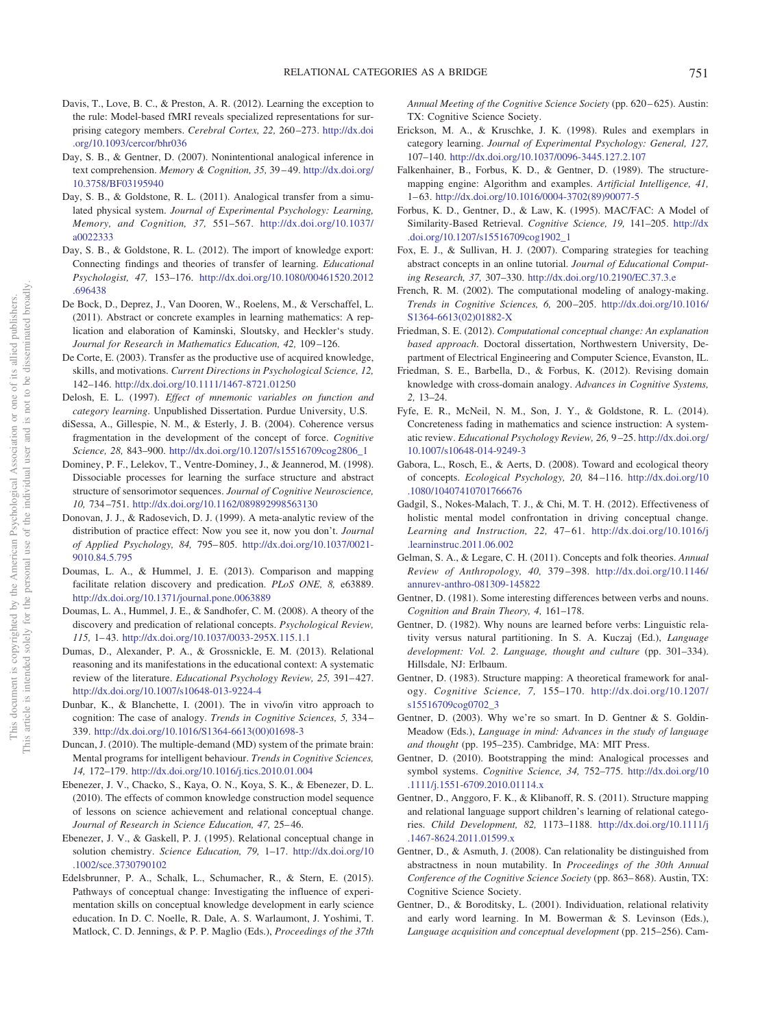- <span id="page-22-1"></span>Davis, T., Love, B. C., & Preston, A. R. (2012). Learning the exception to the rule: Model-based fMRI reveals specialized representations for surprising category members. *Cerebral Cortex, 22,* 260 –273. [http://dx.doi](http://dx.doi.org/10.1093/cercor/bhr036) [.org/10.1093/cercor/bhr036](http://dx.doi.org/10.1093/cercor/bhr036)
- <span id="page-22-8"></span>Day, S. B., & Gentner, D. (2007). Nonintentional analogical inference in text comprehension. *Memory & Cognition, 35, 39-49.* [http://dx.doi.org/](http://dx.doi.org/10.3758/BF03195940) [10.3758/BF03195940](http://dx.doi.org/10.3758/BF03195940)
- <span id="page-22-9"></span>Day, S. B., & Goldstone, R. L. (2011). Analogical transfer from a simulated physical system. *Journal of Experimental Psychology: Learning, Memory, and Cognition, 37,* 551–567. [http://dx.doi.org/10.1037/](http://dx.doi.org/10.1037/a0022333) [a0022333](http://dx.doi.org/10.1037/a0022333)
- <span id="page-22-14"></span>Day, S. B., & Goldstone, R. L. (2012). The import of knowledge export: Connecting findings and theories of transfer of learning. *Educational Psychologist, 47,* 153–176. [http://dx.doi.org/10.1080/00461520.2012](http://dx.doi.org/10.1080/00461520.2012.696438) [.696438](http://dx.doi.org/10.1080/00461520.2012.696438)
- <span id="page-22-22"></span>De Bock, D., Deprez, J., Van Dooren, W., Roelens, M., & Verschaffel, L. (2011). Abstract or concrete examples in learning mathematics: A replication and elaboration of Kaminski, Sloutsky, and Heckler's study. *Journal for Research in Mathematics Education, 42,* 109 –126.
- <span id="page-22-13"></span>De Corte, E. (2003). Transfer as the productive use of acquired knowledge, skills, and motivations. *Current Directions in Psychological Science, 12,* 142–146. <http://dx.doi.org/10.1111/1467-8721.01250>
- <span id="page-22-25"></span>Delosh, E. L. (1997). *Effect of mnemonic variables on function and category learning*. Unpublished Dissertation. Purdue University, U.S.
- <span id="page-22-28"></span>diSessa, A., Gillespie, N. M., & Esterly, J. B. (2004). Coherence versus fragmentation in the development of the concept of force. *Cognitive Science, 28,* 843–900. [http://dx.doi.org/10.1207/s15516709cog2806\\_1](http://dx.doi.org/10.1207/s15516709cog2806_1)
- <span id="page-22-7"></span>Dominey, P. F., Lelekov, T., Ventre-Dominey, J., & Jeannerod, M. (1998). Dissociable processes for learning the surface structure and abstract structure of sensorimotor sequences. *Journal of Cognitive Neuroscience, 10,* 734 –751. <http://dx.doi.org/10.1162/089892998563130>
- <span id="page-22-19"></span>Donovan, J. J., & Radosevich, D. J. (1999). A meta-analytic review of the distribution of practice effect: Now you see it, now you don't. *Journal of Applied Psychology, 84,* 795– 805. [http://dx.doi.org/10.1037/0021-](http://dx.doi.org/10.1037/0021-9010.84.5.795) [9010.84.5.795](http://dx.doi.org/10.1037/0021-9010.84.5.795)
- <span id="page-22-18"></span>Doumas, L. A., & Hummel, J. E. (2013). Comparison and mapping facilitate relation discovery and predication. *PLoS ONE, 8,* e63889. <http://dx.doi.org/10.1371/journal.pone.0063889>
- <span id="page-22-16"></span>Doumas, L. A., Hummel, J. E., & Sandhofer, C. M. (2008). A theory of the discovery and predication of relational concepts. *Psychological Review, 115,* 1– 43. <http://dx.doi.org/10.1037/0033-295X.115.1.1>
- <span id="page-22-36"></span>Dumas, D., Alexander, P. A., & Grossnickle, E. M. (2013). Relational reasoning and its manifestations in the educational context: A systematic review of the literature. *Educational Psychology Review, 25, 391-427*. <http://dx.doi.org/10.1007/s10648-013-9224-4>
- <span id="page-22-24"></span>Dunbar, K., & Blanchette, I. (2001). The in vivo/in vitro approach to cognition: The case of analogy. *Trends in Cognitive Sciences, 5,* 334 – 339. [http://dx.doi.org/10.1016/S1364-6613\(00\)01698-3](http://dx.doi.org/10.1016/S1364-6613%2800%2901698-3)
- <span id="page-22-20"></span>Duncan, J. (2010). The multiple-demand (MD) system of the primate brain: Mental programs for intelligent behaviour. *Trends in Cognitive Sciences, 14,* 172–179. <http://dx.doi.org/10.1016/j.tics.2010.01.004>
- <span id="page-22-30"></span>Ebenezer, J. V., Chacko, S., Kaya, O. N., Koya, S. K., & Ebenezer, D. L. (2010). The effects of common knowledge construction model sequence of lessons on science achievement and relational conceptual change. *Journal of Research in Science Education, 47,* 25– 46.
- <span id="page-22-29"></span>Ebenezer, J. V., & Gaskell, P. J. (1995). Relational conceptual change in solution chemistry. *Science Education, 79,* 1–17. [http://dx.doi.org/10](http://dx.doi.org/10.1002/sce.3730790102) [.1002/sce.3730790102](http://dx.doi.org/10.1002/sce.3730790102)
- <span id="page-22-31"></span>Edelsbrunner, P. A., Schalk, L., Schumacher, R., & Stern, E. (2015). Pathways of conceptual change: Investigating the influence of experimentation skills on conceptual knowledge development in early science education. In D. C. Noelle, R. Dale, A. S. Warlaumont, J. Yoshimi, T. Matlock, C. D. Jennings, & P. P. Maglio (Eds.), *Proceedings of the 37th*

*Annual Meeting of the Cognitive Science Society* (pp. 620 – 625). Austin: TX: Cognitive Science Society.

- <span id="page-22-0"></span>Erickson, M. A., & Kruschke, J. K. (1998). Rules and exemplars in category learning. *Journal of Experimental Psychology: General, 127,* 107–140. <http://dx.doi.org/10.1037/0096-3445.127.2.107>
- <span id="page-22-11"></span>Falkenhainer, B., Forbus, K. D., & Gentner, D. (1989). The structuremapping engine: Algorithm and examples. *Artificial Intelligence, 41,* 1– 63. [http://dx.doi.org/10.1016/0004-3702\(89\)90077-5](http://dx.doi.org/10.1016/0004-3702%2889%2990077-5)
- <span id="page-22-12"></span>Forbus, K. D., Gentner, D., & Law, K. (1995). MAC/FAC: A Model of Similarity-Based Retrieval. *Cognitive Science, 19,* 141–205. [http://dx](http://dx.doi.org/10.1207/s15516709cog1902_1) [.doi.org/10.1207/s15516709cog1902\\_1](http://dx.doi.org/10.1207/s15516709cog1902_1)
- <span id="page-22-21"></span>Fox, E. J., & Sullivan, H. J. (2007). Comparing strategies for teaching abstract concepts in an online tutorial. *Journal of Educational Computing Research, 37,* 307–330. <http://dx.doi.org/10.2190/EC.37.3.e>
- <span id="page-22-35"></span>French, R. M. (2002). The computational modeling of analogy-making. *Trends in Cognitive Sciences, 6,* 200 –205. [http://dx.doi.org/10.1016/](http://dx.doi.org/10.1016/S1364-6613%2802%2901882-X) [S1364-6613\(02\)01882-X](http://dx.doi.org/10.1016/S1364-6613%2802%2901882-X)
- <span id="page-22-33"></span>Friedman, S. E. (2012). *Computational conceptual change: An explanation based approach*. Doctoral dissertation, Northwestern University, Department of Electrical Engineering and Computer Science, Evanston, IL.
- <span id="page-22-34"></span>Friedman, S. E., Barbella, D., & Forbus, K. (2012). Revising domain knowledge with cross-domain analogy. *Advances in Cognitive Systems, 2,* 13–24.
- <span id="page-22-23"></span>Fyfe, E. R., McNeil, N. M., Son, J. Y., & Goldstone, R. L. (2014). Concreteness fading in mathematics and science instruction: A systematic review. *Educational Psychology Review, 26,* 9 –25. [http://dx.doi.org/](http://dx.doi.org/10.1007/s10648-014-9249-3) [10.1007/s10648-014-9249-3](http://dx.doi.org/10.1007/s10648-014-9249-3)
- <span id="page-22-27"></span>Gabora, L., Rosch, E., & Aerts, D. (2008). Toward and ecological theory of concepts. *Ecological Psychology, 20,* 84 –116. [http://dx.doi.org/10](http://dx.doi.org/10.1080/10407410701766676) [.1080/10407410701766676](http://dx.doi.org/10.1080/10407410701766676)
- <span id="page-22-32"></span>Gadgil, S., Nokes-Malach, T. J., & Chi, M. T. H. (2012). Effectiveness of holistic mental model confrontation in driving conceptual change. *Learning and Instruction, 22,* 47– 61. [http://dx.doi.org/10.1016/j](http://dx.doi.org/10.1016/j.learninstruc.2011.06.002) [.learninstruc.2011.06.002](http://dx.doi.org/10.1016/j.learninstruc.2011.06.002)
- <span id="page-22-26"></span>Gelman, S. A., & Legare, C. H. (2011). Concepts and folk theories. *Annual Review of Anthropology, 40,* 379 –398. [http://dx.doi.org/10.1146/](http://dx.doi.org/10.1146/annurev-anthro-081309-145822) [annurev-anthro-081309-145822](http://dx.doi.org/10.1146/annurev-anthro-081309-145822)
- <span id="page-22-2"></span>Gentner, D. (1981). Some interesting differences between verbs and nouns. *Cognition and Brain Theory, 4,* 161–178.
- <span id="page-22-3"></span>Gentner, D. (1982). Why nouns are learned before verbs: Linguistic relativity versus natural partitioning. In S. A. Kuczaj (Ed.), *Language development: Vol. 2*. *Language, thought and culture* (pp. 301–334). Hillsdale, NJ: Erlbaum.
- <span id="page-22-4"></span>Gentner, D. (1983). Structure mapping: A theoretical framework for analogy. *Cognitive Science, 7,* 155–170. [http://dx.doi.org/10.1207/](http://dx.doi.org/10.1207/s15516709cog0702_3) [s15516709cog0702\\_3](http://dx.doi.org/10.1207/s15516709cog0702_3)
- <span id="page-22-10"></span>Gentner, D. (2003). Why we're so smart. In D. Gentner & S. Goldin-Meadow (Eds.), *Language in mind: Advances in the study of language and thought* (pp. 195–235). Cambridge, MA: MIT Press.
- <span id="page-22-17"></span>Gentner, D. (2010). Bootstrapping the mind: Analogical processes and symbol systems. *Cognitive Science, 34,* 752–775. [http://dx.doi.org/10](http://dx.doi.org/10.1111/j.1551-6709.2010.01114.x) [.1111/j.1551-6709.2010.01114.x](http://dx.doi.org/10.1111/j.1551-6709.2010.01114.x)
- <span id="page-22-15"></span>Gentner, D., Anggoro, F. K., & Klibanoff, R. S. (2011). Structure mapping and relational language support children's learning of relational categories. *Child Development, 82,* 1173–1188. [http://dx.doi.org/10.1111/j](http://dx.doi.org/10.1111/j.1467-8624.2011.01599.x) [.1467-8624.2011.01599.x](http://dx.doi.org/10.1111/j.1467-8624.2011.01599.x)
- <span id="page-22-5"></span>Gentner, D., & Asmuth, J. (2008). Can relationality be distinguished from abstractness in noun mutability. In *Proceedings of the 30th Annual Conference of the Cognitive Science Society* (pp. 863– 868). Austin, TX: Cognitive Science Society.
- <span id="page-22-6"></span>Gentner, D., & Boroditsky, L. (2001). Individuation, relational relativity and early word learning. In M. Bowerman & S. Levinson (Eds.), *Language acquisition and conceptual development* (pp. 215–256). Cam-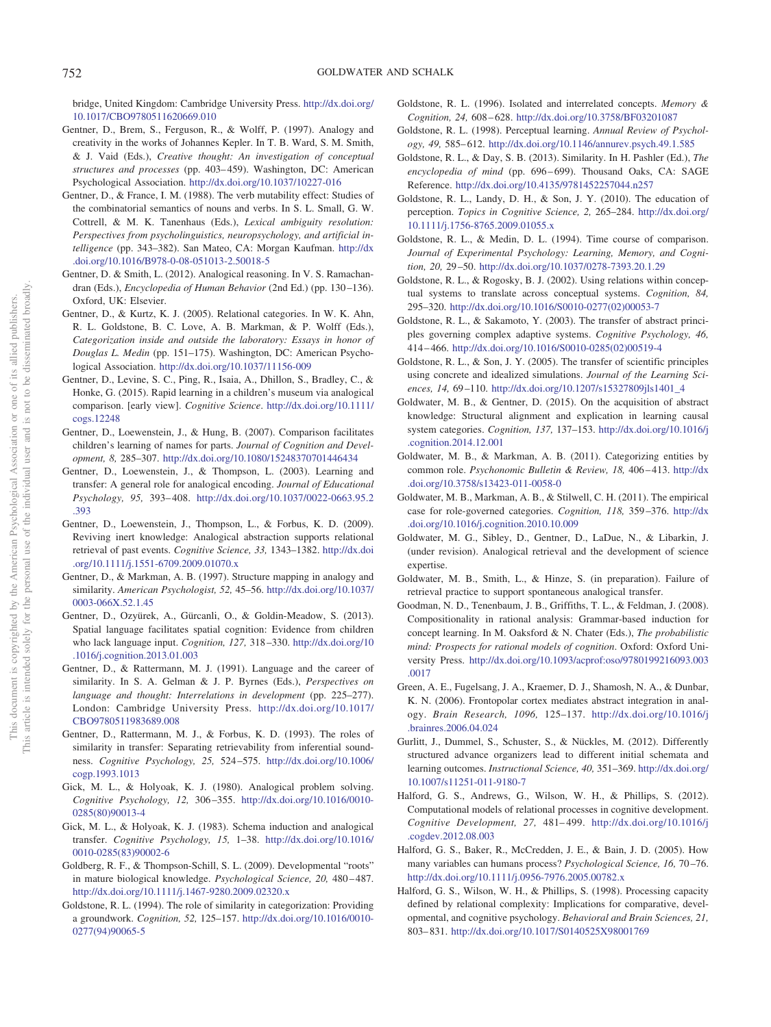bridge, United Kingdom: Cambridge University Press. [http://dx.doi.org/](http://dx.doi.org/10.1017/CBO9780511620669.010) [10.1017/CBO9780511620669.010](http://dx.doi.org/10.1017/CBO9780511620669.010)

- <span id="page-23-27"></span>Gentner, D., Brem, S., Ferguson, R., & Wolff, P. (1997). Analogy and creativity in the works of Johannes Kepler. In T. B. Ward, S. M. Smith, & J. Vaid (Eds.), *Creative thought: An investigation of conceptual structures and processes* (pp. 403– 459). Washington, DC: American Psychological Association. <http://dx.doi.org/10.1037/10227-016>
- <span id="page-23-3"></span>Gentner, D., & France, I. M. (1988). The verb mutability effect: Studies of the combinatorial semantics of nouns and verbs. In S. L. Small, G. W. Cottrell, & M. K. Tanenhaus (Eds.), *Lexical ambiguity resolution: Perspectives from psycholinguistics, neuropsychology, and artificial intelligence* (pp. 343–382). San Mateo, CA: Morgan Kaufman. [http://dx](http://dx.doi.org/10.1016/B978-0-08-051013-2.50018-5) [.doi.org/10.1016/B978-0-08-051013-2.50018-5](http://dx.doi.org/10.1016/B978-0-08-051013-2.50018-5)
- Gentner, D. & Smith, L. (2012). Analogical reasoning. In V. S. Ramachandran (Eds.), *Encyclopedia of Human Behavior* (2nd Ed.) (pp. 130–136). Oxford, UK: Elsevier.
- <span id="page-23-0"></span>Gentner, D., & Kurtz, K. J. (2005). Relational categories. In W. K. Ahn, R. L. Goldstone, B. C. Love, A. B. Markman, & P. Wolff (Eds.), *Categorization inside and outside the laboratory: Essays in honor of Douglas L. Medin* (pp. 151–175). Washington, DC: American Psychological Association. <http://dx.doi.org/10.1037/11156-009>
- <span id="page-23-22"></span>Gentner, D., Levine, S. C., Ping, R., Isaia, A., Dhillon, S., Bradley, C., & Honke, G. (2015). Rapid learning in a children's museum via analogical comparison. [early view]. *Cognitive Science*. [http://dx.doi.org/10.1111/](http://dx.doi.org/10.1111/cogs.12248) [cogs.12248](http://dx.doi.org/10.1111/cogs.12248)
- <span id="page-23-21"></span>Gentner, D., Loewenstein, J., & Hung, B. (2007). Comparison facilitates children's learning of names for parts. *Journal of Cognition and Development, 8,* 285–307. <http://dx.doi.org/10.1080/15248370701446434>
- <span id="page-23-16"></span>Gentner, D., Loewenstein, J., & Thompson, L. (2003). Learning and transfer: A general role for analogical encoding. *Journal of Educational Psychology, 95,* 393– 408. [http://dx.doi.org/10.1037/0022-0663.95.2](http://dx.doi.org/10.1037/0022-0663.95.2.393) [.393](http://dx.doi.org/10.1037/0022-0663.95.2.393)
- <span id="page-23-19"></span>Gentner, D., Loewenstein, J., Thompson, L., & Forbus, K. D. (2009). Reviving inert knowledge: Analogical abstraction supports relational retrieval of past events. *Cognitive Science, 33,* 1343–1382. [http://dx.doi](http://dx.doi.org/10.1111/j.1551-6709.2009.01070.x) [.org/10.1111/j.1551-6709.2009.01070.x](http://dx.doi.org/10.1111/j.1551-6709.2009.01070.x)
- <span id="page-23-8"></span>Gentner, D., & Markman, A. B. (1997). Structure mapping in analogy and similarity. *American Psychologist, 52,* 45–56. [http://dx.doi.org/10.1037/](http://dx.doi.org/10.1037/0003-066X.52.1.45) [0003-066X.52.1.45](http://dx.doi.org/10.1037/0003-066X.52.1.45)
- <span id="page-23-30"></span>Gentner, D., Ozyürek, A., Gürcanli, O., & Goldin-Meadow, S. (2013). Spatial language facilitates spatial cognition: Evidence from children who lack language input. *Cognition, 127,* 318 –330. [http://dx.doi.org/10](http://dx.doi.org/10.1016/j.cognition.2013.01.003) [.1016/j.cognition.2013.01.003](http://dx.doi.org/10.1016/j.cognition.2013.01.003)
- <span id="page-23-7"></span>Gentner, D., & Rattermann, M. J. (1991). Language and the career of similarity. In S. A. Gelman & J. P. Byrnes (Eds.), *Perspectives on language and thought: Interrelations in development* (pp. 225–277). London: Cambridge University Press. [http://dx.doi.org/10.1017/](http://dx.doi.org/10.1017/CBO9780511983689.008) [CBO9780511983689.008](http://dx.doi.org/10.1017/CBO9780511983689.008)
- <span id="page-23-9"></span>Gentner, D., Rattermann, M. J., & Forbus, K. D. (1993). The roles of similarity in transfer: Separating retrievability from inferential soundness. *Cognitive Psychology, 25,* 524 –575. [http://dx.doi.org/10.1006/](http://dx.doi.org/10.1006/cogp.1993.1013) [cogp.1993.1013](http://dx.doi.org/10.1006/cogp.1993.1013)
- <span id="page-23-13"></span>Gick, M. L., & Holyoak, K. J. (1980). Analogical problem solving. *Cognitive Psychology, 12,* 306 –355. [http://dx.doi.org/10.1016/0010-](http://dx.doi.org/10.1016/0010-0285%2880%2990013-4) [0285\(80\)90013-4](http://dx.doi.org/10.1016/0010-0285%2880%2990013-4)
- <span id="page-23-17"></span>Gick, M. L., & Holyoak, K. J. (1983). Schema induction and analogical transfer. *Cognitive Psychology, 15,* 1–38. [http://dx.doi.org/10.1016/](http://dx.doi.org/10.1016/0010-0285%2883%2990002-6) [0010-0285\(83\)90002-6](http://dx.doi.org/10.1016/0010-0285%2883%2990002-6)
- <span id="page-23-31"></span>Goldberg, R. F., & Thompson-Schill, S. L. (2009). Developmental "roots" in mature biological knowledge. *Psychological Science*, 20, 480-487. <http://dx.doi.org/10.1111/j.1467-9280.2009.02320.x>
- <span id="page-23-2"></span>Goldstone, R. L. (1994). The role of similarity in categorization: Providing a groundwork. *Cognition, 52,* 125–157. [http://dx.doi.org/10.1016/0010-](http://dx.doi.org/10.1016/0010-0277%2894%2990065-5) [0277\(94\)90065-5](http://dx.doi.org/10.1016/0010-0277%2894%2990065-5)
- <span id="page-23-29"></span>Goldstone, R. L. (1996). Isolated and interrelated concepts. *Memory & Cognition, 24,* 608 – 628. <http://dx.doi.org/10.3758/BF03201087>
- <span id="page-23-28"></span>Goldstone, R. L. (1998). Perceptual learning. *Annual Review of Psychology, 49,* 585– 612. <http://dx.doi.org/10.1146/annurev.psych.49.1.585>
- <span id="page-23-14"></span>Goldstone, R. L., & Day, S. B. (2013). Similarity. In H. Pashler (Ed.), *The encyclopedia of mind* (pp. 696 – 699). Thousand Oaks, CA: SAGE Reference. <http://dx.doi.org/10.4135/9781452257044.n257>
- <span id="page-23-25"></span>Goldstone, R. L., Landy, D. H., & Son, J. Y. (2010). The education of perception. *Topics in Cognitive Science, 2,* 265–284. [http://dx.doi.org/](http://dx.doi.org/10.1111/j.1756-8765.2009.01055.x) [10.1111/j.1756-8765.2009.01055.x](http://dx.doi.org/10.1111/j.1756-8765.2009.01055.x)
- <span id="page-23-10"></span>Goldstone, R. L., & Medin, D. L. (1994). Time course of comparison. *Journal of Experimental Psychology: Learning, Memory, and Cognition, 20,* 29 –50. <http://dx.doi.org/10.1037/0278-7393.20.1.29>
- <span id="page-23-33"></span>Goldstone, R. L., & Rogosky, B. J. (2002). Using relations within conceptual systems to translate across conceptual systems. *Cognition, 84,* 295–320. [http://dx.doi.org/10.1016/S0010-0277\(02\)00053-7](http://dx.doi.org/10.1016/S0010-0277%2802%2900053-7)
- <span id="page-23-1"></span>Goldstone, R. L., & Sakamoto, Y. (2003). The transfer of abstract principles governing complex adaptive systems. *Cognitive Psychology, 46,* 414 – 466. [http://dx.doi.org/10.1016/S0010-0285\(02\)00519-4](http://dx.doi.org/10.1016/S0010-0285%2802%2900519-4)
- <span id="page-23-26"></span>Goldstone, R. L., & Son, J. Y. (2005). The transfer of scientific principles using concrete and idealized simulations. *Journal of the Learning Sciences, 14,* 69 –110. [http://dx.doi.org/10.1207/s15327809jls1401\\_4](http://dx.doi.org/10.1207/s15327809jls1401_4)
- <span id="page-23-18"></span>Goldwater, M. B., & Gentner, D. (2015). On the acquisition of abstract knowledge: Structural alignment and explication in learning causal system categories. *Cognition, 137,* 137–153. [http://dx.doi.org/10.1016/j](http://dx.doi.org/10.1016/j.cognition.2014.12.001) [.cognition.2014.12.001](http://dx.doi.org/10.1016/j.cognition.2014.12.001)
- <span id="page-23-5"></span>Goldwater, M. B., & Markman, A. B. (2011). Categorizing entities by common role. *Psychonomic Bulletin & Review, 18,* 406 – 413. [http://dx](http://dx.doi.org/10.3758/s13423-011-0058-0) [.doi.org/10.3758/s13423-011-0058-0](http://dx.doi.org/10.3758/s13423-011-0058-0)
- <span id="page-23-4"></span>Goldwater, M. B., Markman, A. B., & Stilwell, C. H. (2011). The empirical case for role-governed categories. *Cognition, 118,* 359 –376. [http://dx](http://dx.doi.org/10.1016/j.cognition.2010.10.009) [.doi.org/10.1016/j.cognition.2010.10.009](http://dx.doi.org/10.1016/j.cognition.2010.10.009)
- <span id="page-23-20"></span>Goldwater, M. G., Sibley, D., Gentner, D., LaDue, N., & Libarkin, J. (under revision). Analogical retrieval and the development of science expertise.
- <span id="page-23-23"></span>Goldwater, M. B., Smith, L., & Hinze, S. (in preparation). Failure of retrieval practice to support spontaneous analogical transfer.
- <span id="page-23-32"></span>Goodman, N. D., Tenenbaum, J. B., Griffiths, T. L., & Feldman, J. (2008). Compositionality in rational analysis: Grammar-based induction for concept learning. In M. Oaksford & N. Chater (Eds.), *The probabilistic mind: Prospects for rational models of cognition*. Oxford: Oxford University Press. [http://dx.doi.org/10.1093/acprof:oso/9780199216093.003](http://dx.doi.org/10.1093/acprof:oso/9780199216093.003.0017) [.0017](http://dx.doi.org/10.1093/acprof:oso/9780199216093.003.0017)
- <span id="page-23-6"></span>Green, A. E., Fugelsang, J. A., Kraemer, D. J., Shamosh, N. A., & Dunbar, K. N. (2006). Frontopolar cortex mediates abstract integration in analogy. *Brain Research, 1096,* 125–137. [http://dx.doi.org/10.1016/j](http://dx.doi.org/10.1016/j.brainres.2006.04.024) [.brainres.2006.04.024](http://dx.doi.org/10.1016/j.brainres.2006.04.024)
- <span id="page-23-24"></span>Gurlitt, J., Dummel, S., Schuster, S., & Nückles, M. (2012). Differently structured advance organizers lead to different initial schemata and learning outcomes. *Instructional Science, 40,* 351–369. [http://dx.doi.org/](http://dx.doi.org/10.1007/s11251-011-9180-7) [10.1007/s11251-011-9180-7](http://dx.doi.org/10.1007/s11251-011-9180-7)
- <span id="page-23-15"></span>Halford, G. S., Andrews, G., Wilson, W. H., & Phillips, S. (2012). Computational models of relational processes in cognitive development. *Cognitive Development, 27,* 481– 499. [http://dx.doi.org/10.1016/j](http://dx.doi.org/10.1016/j.cogdev.2012.08.003) [.cogdev.2012.08.003](http://dx.doi.org/10.1016/j.cogdev.2012.08.003)
- <span id="page-23-12"></span>Halford, G. S., Baker, R., McCredden, J. E., & Bain, J. D. (2005). How many variables can humans process? *Psychological Science, 16,* 70 –76. <http://dx.doi.org/10.1111/j.0956-7976.2005.00782.x>
- <span id="page-23-11"></span>Halford, G. S., Wilson, W. H., & Phillips, S. (1998). Processing capacity defined by relational complexity: Implications for comparative, developmental, and cognitive psychology. *Behavioral and Brain Sciences, 21,* 803– 831. <http://dx.doi.org/10.1017/S0140525X98001769>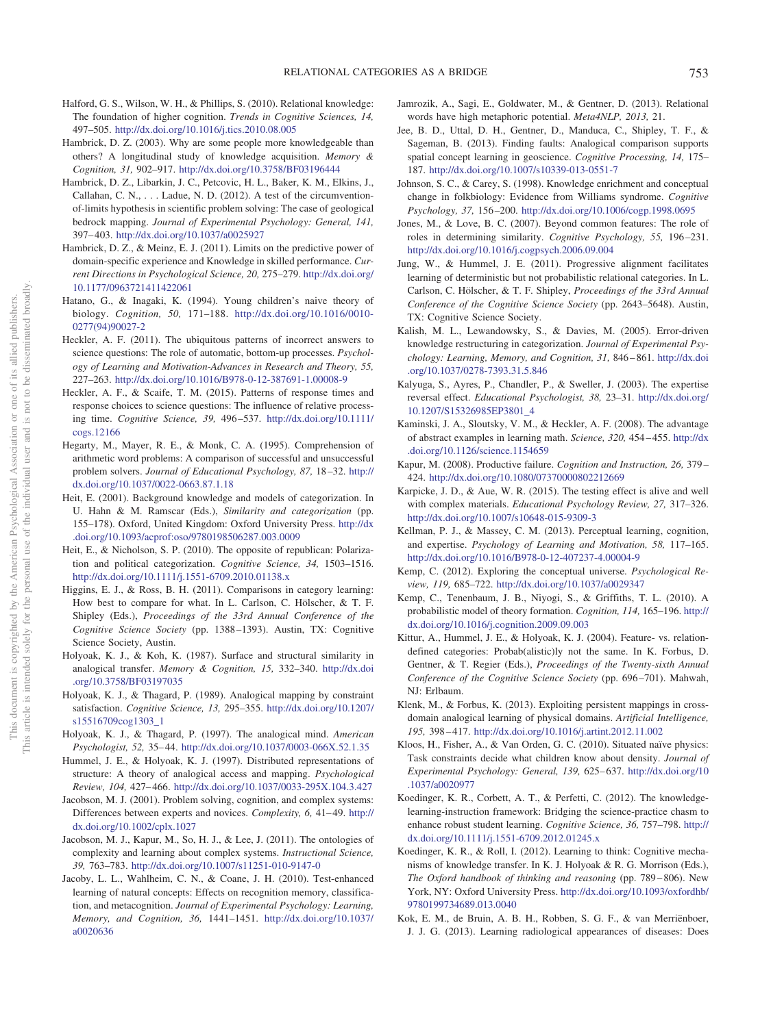- <span id="page-24-3"></span>Halford, G. S., Wilson, W. H., & Phillips, S. (2010). Relational knowledge: The foundation of higher cognition. *Trends in Cognitive Sciences, 14,* 497–505. <http://dx.doi.org/10.1016/j.tics.2010.08.005>
- <span id="page-24-11"></span>Hambrick, D. Z. (2003). Why are some people more knowledgeable than others? A longitudinal study of knowledge acquisition. *Memory & Cognition, 31,* 902–917. <http://dx.doi.org/10.3758/BF03196444>
- <span id="page-24-13"></span>Hambrick, D. Z., Libarkin, J. C., Petcovic, H. L., Baker, K. M., Elkins, J., Callahan, C. N.,... Ladue, N. D. (2012). A test of the circumventionof-limits hypothesis in scientific problem solving: The case of geological bedrock mapping. *Journal of Experimental Psychology: General, 141,* 397– 403. <http://dx.doi.org/10.1037/a0025927>
- <span id="page-24-12"></span>Hambrick, D. Z., & Meinz, E. J. (2011). Limits on the predictive power of domain-specific experience and Knowledge in skilled performance. *Current Directions in Psychological Science, 20,* 275–279. [http://dx.doi.org/](http://dx.doi.org/10.1177/0963721411422061) [10.1177/0963721411422061](http://dx.doi.org/10.1177/0963721411422061)
- <span id="page-24-36"></span>Hatano, G., & Inagaki, K. (1994). Young children's naive theory of biology. *Cognition, 50,* 171–188. [http://dx.doi.org/10.1016/0010-](http://dx.doi.org/10.1016/0010-0277%2894%2990027-2) [0277\(94\)90027-2](http://dx.doi.org/10.1016/0010-0277%2894%2990027-2)
- <span id="page-24-29"></span>Heckler, A. F. (2011). The ubiquitous patterns of incorrect answers to science questions: The role of automatic, bottom-up processes. *Psychology of Learning and Motivation-Advances in Research and Theory, 55,* 227–263. <http://dx.doi.org/10.1016/B978-0-12-387691-1.00008-9>
- <span id="page-24-7"></span>Heckler, A. F., & Scaife, T. M. (2015). Patterns of response times and response choices to science questions: The influence of relative processing time. *Cognitive Science, 39,* 496 –537. [http://dx.doi.org/10.1111/](http://dx.doi.org/10.1111/cogs.12166) [cogs.12166](http://dx.doi.org/10.1111/cogs.12166)
- <span id="page-24-8"></span>Hegarty, M., Mayer, R. E., & Monk, C. A. (1995). Comprehension of arithmetic word problems: A comparison of successful and unsuccessful problem solvers. *Journal of Educational Psychology, 87,* 18 –32. [http://](http://dx.doi.org/10.1037/0022-0663.87.1.18) [dx.doi.org/10.1037/0022-0663.87.1.18](http://dx.doi.org/10.1037/0022-0663.87.1.18)
- <span id="page-24-24"></span>Heit, E. (2001). Background knowledge and models of categorization. In U. Hahn & M. Ramscar (Eds.), *Similarity and categorization* (pp. 155–178). Oxford, United Kingdom: Oxford University Press. [http://dx](http://dx.doi.org/10.1093/acprof:oso/9780198506287.003.0009) [.doi.org/10.1093/acprof:oso/9780198506287.003.0009](http://dx.doi.org/10.1093/acprof:oso/9780198506287.003.0009)
- <span id="page-24-28"></span>Heit, E., & Nicholson, S. P. (2010). The opposite of republican: Polarization and political categorization. *Cognitive Science, 34,* 1503–1516. <http://dx.doi.org/10.1111/j.1551-6709.2010.01138.x>
- <span id="page-24-18"></span>Higgins, E. J., & Ross, B. H. (2011). Comparisons in category learning: How best to compare for what. In L. Carlson, C. Hölscher, & T. F. Shipley (Eds.), *Proceedings of the 33rd Annual Conference of the Cognitive Science Society* (pp. 1388 –1393). Austin, TX: Cognitive Science Society, Austin.
- <span id="page-24-10"></span>Holyoak, K. J., & Koh, K. (1987). Surface and structural similarity in analogical transfer. *Memory & Cognition, 15,* 332–340. [http://dx.doi](http://dx.doi.org/10.3758/BF03197035) [.org/10.3758/BF03197035](http://dx.doi.org/10.3758/BF03197035)
- <span id="page-24-4"></span>Holyoak, K. J., & Thagard, P. (1989). Analogical mapping by constraint satisfaction. *Cognitive Science, 13,* 295–355. [http://dx.doi.org/10.1207/](http://dx.doi.org/10.1207/s15516709cog1303_1) [s15516709cog1303\\_1](http://dx.doi.org/10.1207/s15516709cog1303_1)
- <span id="page-24-5"></span>Holyoak, K. J., & Thagard, P. (1997). The analogical mind. *American Psychologist, 52,* 35– 44. <http://dx.doi.org/10.1037/0003-066X.52.1.35>
- <span id="page-24-9"></span>Hummel, J. E., & Holyoak, K. J. (1997). Distributed representations of structure: A theory of analogical access and mapping. *Psychological Review, 104,* 427– 466. <http://dx.doi.org/10.1037/0033-295X.104.3.427>
- <span id="page-24-30"></span>Jacobson, M. J. (2001). Problem solving, cognition, and complex systems: Differences between experts and novices. *Complexity*, 6, 41-49. [http://](http://dx.doi.org/10.1002/cplx.1027) [dx.doi.org/10.1002/cplx.1027](http://dx.doi.org/10.1002/cplx.1027)
- <span id="page-24-2"></span>Jacobson, M. J., Kapur, M., So, H. J., & Lee, J. (2011). The ontologies of complexity and learning about complex systems. *Instructional Science, 39,* 763–783. <http://dx.doi.org/10.1007/s11251-010-9147-0>
- <span id="page-24-19"></span>Jacoby, L. L., Wahlheim, C. N., & Coane, J. H. (2010). Test-enhanced learning of natural concepts: Effects on recognition memory, classification, and metacognition. *Journal of Experimental Psychology: Learning, Memory, and Cognition, 36,* 1441–1451. [http://dx.doi.org/10.1037/](http://dx.doi.org/10.1037/a0020636) [a0020636](http://dx.doi.org/10.1037/a0020636)
- <span id="page-24-6"></span>Jamrozik, A., Sagi, E., Goldwater, M., & Gentner, D. (2013). Relational words have high metaphoric potential. *Meta4NLP, 2013,* 21.
- <span id="page-24-17"></span>Jee, B. D., Uttal, D. H., Gentner, D., Manduca, C., Shipley, T. F., & Sageman, B. (2013). Finding faults: Analogical comparison supports spatial concept learning in geoscience. *Cognitive Processing, 14,* 175– 187. <http://dx.doi.org/10.1007/s10339-013-0551-7>
- <span id="page-24-31"></span>Johnson, S. C., & Carey, S. (1998). Knowledge enrichment and conceptual change in folkbiology: Evidence from Williams syndrome. *Cognitive Psychology, 37,* 156 –200. <http://dx.doi.org/10.1006/cogp.1998.0695>
- <span id="page-24-25"></span>Jones, M., & Love, B. C. (2007). Beyond common features: The role of roles in determining similarity. *Cognitive Psychology, 55,* 196 –231. <http://dx.doi.org/10.1016/j.cogpsych.2006.09.004>
- <span id="page-24-14"></span>Jung, W., & Hummel, J. E. (2011). Progressive alignment facilitates learning of deterministic but not probabilistic relational categories. In L. Carlson, C. Hölscher, & T. F. Shipley, *Proceedings of the 33rd Annual Conference of the Cognitive Science Society* (pp. 2643–5648). Austin, TX: Cognitive Science Society.
- <span id="page-24-33"></span>Kalish, M. L., Lewandowsky, S., & Davies, M. (2005). Error-driven knowledge restructuring in categorization. *Journal of Experimental Psychology: Learning, Memory, and Cognition, 31,* 846 – 861. [http://dx.doi](http://dx.doi.org/10.1037/0278-7393.31.5.846) [.org/10.1037/0278-7393.31.5.846](http://dx.doi.org/10.1037/0278-7393.31.5.846)
- <span id="page-24-27"></span>Kalyuga, S., Ayres, P., Chandler, P., & Sweller, J. (2003). The expertise reversal effect. *Educational Psychologist, 38,* 23–31. [http://dx.doi.org/](http://dx.doi.org/10.1207/S15326985EP3801_4) [10.1207/S15326985EP3801\\_4](http://dx.doi.org/10.1207/S15326985EP3801_4)
- <span id="page-24-23"></span>Kaminski, J. A., Sloutsky, V. M., & Heckler, A. F. (2008). The advantage of abstract examples in learning math. *Science, 320,* 454 – 455. [http://dx](http://dx.doi.org/10.1126/science.1154659) [.doi.org/10.1126/science.1154659](http://dx.doi.org/10.1126/science.1154659)
- <span id="page-24-15"></span>Kapur, M. (2008). Productive failure. *Cognition and Instruction, 26,* 379 – 424. <http://dx.doi.org/10.1080/07370000802212669>
- <span id="page-24-20"></span>Karpicke, J. D., & Aue, W. R. (2015). The testing effect is alive and well with complex materials. *Educational Psychology Review, 27,* 317–326. <http://dx.doi.org/10.1007/s10648-015-9309-3>
- <span id="page-24-22"></span>Kellman, P. J., & Massey, C. M. (2013). Perceptual learning, cognition, and expertise. *Psychology of Learning and Motivation, 58,* 117–165. <http://dx.doi.org/10.1016/B978-0-12-407237-4.00004-9>
- <span id="page-24-34"></span>Kemp, C. (2012). Exploring the conceptual universe. *Psychological Review, 119,* 685–722. <http://dx.doi.org/10.1037/a0029347>
- <span id="page-24-35"></span>Kemp, C., Tenenbaum, J. B., Niyogi, S., & Griffiths, T. L. (2010). A probabilistic model of theory formation. *Cognition, 114,* 165–196. [http://](http://dx.doi.org/10.1016/j.cognition.2009.09.003) [dx.doi.org/10.1016/j.cognition.2009.09.003](http://dx.doi.org/10.1016/j.cognition.2009.09.003)
- <span id="page-24-21"></span>Kittur, A., Hummel, J. E., & Holyoak, K. J. (2004). Feature- vs. relationdefined categories: Probab(alistic)ly not the same. In K. Forbus, D. Gentner, & T. Regier (Eds.), *Proceedings of the Twenty-sixth Annual Conference of the Cognitive Science Society* (pp. 696 –701). Mahwah, NJ: Erlbaum.
- <span id="page-24-26"></span>Klenk, M., & Forbus, K. (2013). Exploiting persistent mappings in crossdomain analogical learning of physical domains. *Artificial Intelligence, 195,* 398 – 417. <http://dx.doi.org/10.1016/j.artint.2012.11.002>
- <span id="page-24-32"></span>Kloos, H., Fisher, A., & Van Orden, G. C. (2010). Situated naïve physics: Task constraints decide what children know about density. *Journal of Experimental Psychology: General, 139,* 625– 637. [http://dx.doi.org/10](http://dx.doi.org/10.1037/a0020977) [.1037/a0020977](http://dx.doi.org/10.1037/a0020977)
- <span id="page-24-0"></span>Koedinger, K. R., Corbett, A. T., & Perfetti, C. (2012). The knowledgelearning-instruction framework: Bridging the science-practice chasm to enhance robust student learning. *Cognitive Science, 36,* 757–798. [http://](http://dx.doi.org/10.1111/j.1551-6709.2012.01245.x) [dx.doi.org/10.1111/j.1551-6709.2012.01245.x](http://dx.doi.org/10.1111/j.1551-6709.2012.01245.x)
- <span id="page-24-1"></span>Koedinger, K. R., & Roll, I. (2012). Learning to think: Cognitive mechanisms of knowledge transfer. In K. J. Holyoak & R. G. Morrison (Eds.), *The Oxford handbook of thinking and reasoning* (pp. 789 – 806). New York, NY: Oxford University Press. [http://dx.doi.org/10.1093/oxfordhb/](http://dx.doi.org/10.1093/oxfordhb/9780199734689.013.0040) [9780199734689.013.0040](http://dx.doi.org/10.1093/oxfordhb/9780199734689.013.0040)
- <span id="page-24-16"></span>Kok, E. M., de Bruin, A. B. H., Robben, S. G. F., & van Merriënboer, J. J. G. (2013). Learning radiological appearances of diseases: Does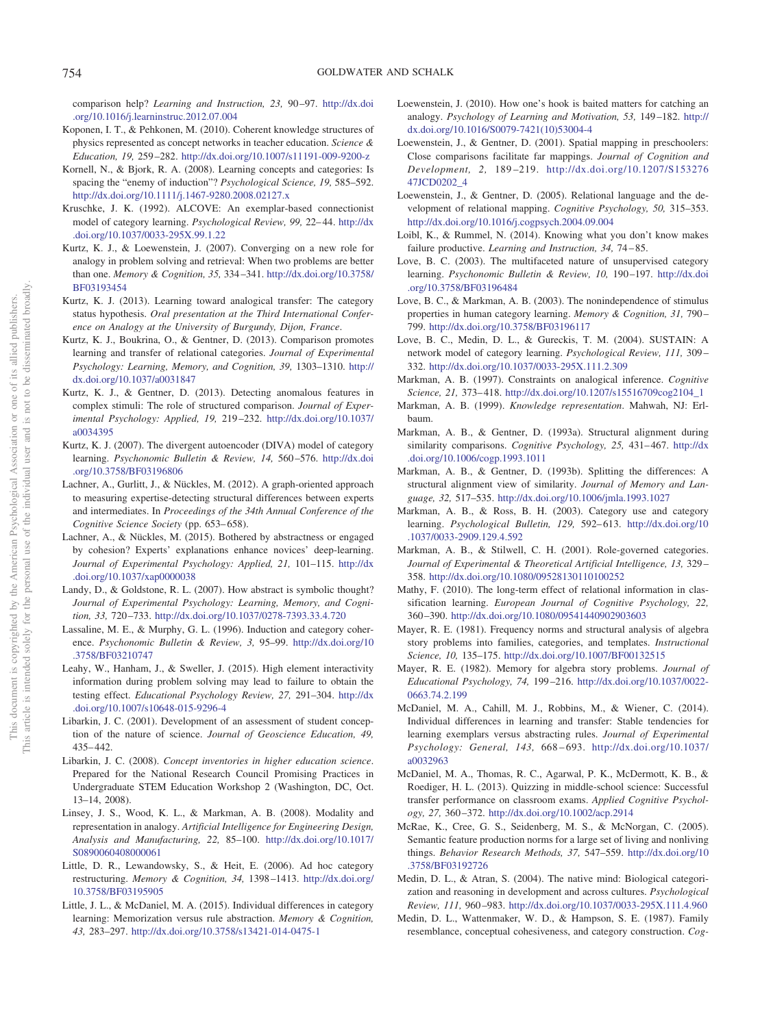comparison help? *Learning and Instruction, 23,* 90 –97. [http://dx.doi](http://dx.doi.org/10.1016/j.learninstruc.2012.07.004) [.org/10.1016/j.learninstruc.2012.07.004](http://dx.doi.org/10.1016/j.learninstruc.2012.07.004)

- <span id="page-25-35"></span>Koponen, I. T., & Pehkonen, M. (2010). Coherent knowledge structures of physics represented as concept networks in teacher education. *Science & Education, 19,* 259 –282. <http://dx.doi.org/10.1007/s11191-009-9200-z>
- <span id="page-25-22"></span>Kornell, N., & Bjork, R. A. (2008). Learning concepts and categories: Is spacing the "enemy of induction"? *Psychological Science, 19,* 585–592. <http://dx.doi.org/10.1111/j.1467-9280.2008.02127.x>
- <span id="page-25-7"></span>Kruschke, J. K. (1992). ALCOVE: An exemplar-based connectionist model of category learning. *Psychological Review, 99,* 22– 44. [http://dx](http://dx.doi.org/10.1037/0033-295X.99.1.22) [.doi.org/10.1037/0033-295X.99.1.22](http://dx.doi.org/10.1037/0033-295X.99.1.22)
- <span id="page-25-18"></span>Kurtz, K. J., & Loewenstein, J. (2007). Converging on a new role for analogy in problem solving and retrieval: When two problems are better than one. *Memory & Cognition, 35,* 334 –341. [http://dx.doi.org/10.3758/](http://dx.doi.org/10.3758/BF03193454) [BF03193454](http://dx.doi.org/10.3758/BF03193454)
- <span id="page-25-24"></span>Kurtz, K. J. (2013). Learning toward analogical transfer: The category status hypothesis. *Oral presentation at the Third International Conference on Analogy at the University of Burgundy, Dijon, France*.
- <span id="page-25-16"></span>Kurtz, K. J., Boukrina, O., & Gentner, D. (2013). Comparison promotes learning and transfer of relational categories. *Journal of Experimental Psychology: Learning, Memory, and Cognition, 39,* 1303–1310. [http://](http://dx.doi.org/10.1037/a0031847) [dx.doi.org/10.1037/a0031847](http://dx.doi.org/10.1037/a0031847)
- <span id="page-25-21"></span>Kurtz, K. J., & Gentner, D. (2013). Detecting anomalous features in complex stimuli: The role of structured comparison. *Journal of Experimental Psychology: Applied, 19,* 219 –232. [http://dx.doi.org/10.1037/](http://dx.doi.org/10.1037/a0034395) [a0034395](http://dx.doi.org/10.1037/a0034395)
- <span id="page-25-0"></span>Kurtz, K. J. (2007). The divergent autoencoder (DIVA) model of category learning. *Psychonomic Bulletin & Review, 14,* 560 –576. [http://dx.doi](http://dx.doi.org/10.3758/BF03196806) [.org/10.3758/BF03196806](http://dx.doi.org/10.3758/BF03196806)
- <span id="page-25-33"></span>Lachner, A., Gurlitt, J., & Nückles, M. (2012). A graph-oriented approach to measuring expertise-detecting structural differences between experts and intermediates. In *Proceedings of the 34th Annual Conference of the Cognitive Science Society* (pp. 653– 658).
- <span id="page-25-34"></span>Lachner, A., & Nückles, M. (2015). Bothered by abstractness or engaged by cohesion? Experts' explanations enhance novices' deep-learning. *Journal of Experimental Psychology: Applied, 21,* 101–115. [http://dx](http://dx.doi.org/10.1037/xap0000038) [.doi.org/10.1037/xap0000038](http://dx.doi.org/10.1037/xap0000038)
- <span id="page-25-26"></span>Landy, D., & Goldstone, R. L. (2007). How abstract is symbolic thought? *Journal of Experimental Psychology: Learning, Memory, and Cognition, 33,* 720 –733. <http://dx.doi.org/10.1037/0278-7393.33.4.720>
- <span id="page-25-28"></span>Lassaline, M. E., & Murphy, G. L. (1996). Induction and category coherence. *Psychonomic Bulletin & Review, 3,* 95–99. [http://dx.doi.org/10](http://dx.doi.org/10.3758/BF03210747) [.3758/BF03210747](http://dx.doi.org/10.3758/BF03210747)
- <span id="page-25-12"></span>Leahy, W., Hanham, J., & Sweller, J. (2015). High element interactivity information during problem solving may lead to failure to obtain the testing effect. *Educational Psychology Review, 27,* 291–304. [http://dx](http://dx.doi.org/10.1007/s10648-015-9296-4) [.doi.org/10.1007/s10648-015-9296-4](http://dx.doi.org/10.1007/s10648-015-9296-4)
- <span id="page-25-2"></span>Libarkin, J. C. (2001). Development of an assessment of student conception of the nature of science. *Journal of Geoscience Education, 49,* 435– 442.
- <span id="page-25-3"></span>Libarkin, J. C. (2008). *Concept inventories in higher education science*. Prepared for the National Research Council Promising Practices in Undergraduate STEM Education Workshop 2 (Washington, DC, Oct. 13–14, 2008).
- <span id="page-25-25"></span>Linsey, J. S., Wood, K. L., & Markman, A. B. (2008). Modality and representation in analogy. *Artificial Intelligence for Engineering Design, Analysis and Manufacturing, 22,* 85–100. [http://dx.doi.org/10.1017/](http://dx.doi.org/10.1017/S0890060408000061) [S0890060408000061](http://dx.doi.org/10.1017/S0890060408000061)
- <span id="page-25-37"></span>Little, D. R., Lewandowsky, S., & Heit, E. (2006). Ad hoc category restructuring. *Memory & Cognition, 34,* 1398 –1413. [http://dx.doi.org/](http://dx.doi.org/10.3758/BF03195905) [10.3758/BF03195905](http://dx.doi.org/10.3758/BF03195905)
- <span id="page-25-15"></span>Little, J. L., & McDaniel, M. A. (2015). Individual differences in category learning: Memorization versus rule abstraction. *Memory & Cognition, 43,* 283–297. <http://dx.doi.org/10.3758/s13421-014-0475-1>
- <span id="page-25-19"></span>Loewenstein, J. (2010). How one's hook is baited matters for catching an analogy. *Psychology of Learning and Motivation, 53,* 149 –182. [http://](http://dx.doi.org/10.1016/S0079-7421%2810%2953004-4) [dx.doi.org/10.1016/S0079-7421\(10\)53004-4](http://dx.doi.org/10.1016/S0079-7421%2810%2953004-4)
- <span id="page-25-17"></span>Loewenstein, J., & Gentner, D. (2001). Spatial mapping in preschoolers: Close comparisons facilitate far mappings. *Journal of Cognition and Development, 2,* 189 –219. [http://dx.doi.org/10.1207/S153276](http://dx.doi.org/10.1207/S15327647JCD0202_4) [47JCD0202\\_4](http://dx.doi.org/10.1207/S15327647JCD0202_4)
- <span id="page-25-32"></span>Loewenstein, J., & Gentner, D. (2005). Relational language and the development of relational mapping. *Cognitive Psychology, 50,* 315–353. <http://dx.doi.org/10.1016/j.cogpsych.2004.09.004>
- <span id="page-25-36"></span>Loibl, K., & Rummel, N. (2014). Knowing what you don't know makes failure productive. *Learning and Instruction, 34,* 74 – 85.
- <span id="page-25-5"></span>Love, B. C. (2003). The multifaceted nature of unsupervised category learning. *Psychonomic Bulletin & Review, 10, 190-197*. [http://dx.doi](http://dx.doi.org/10.3758/BF03196484) [.org/10.3758/BF03196484](http://dx.doi.org/10.3758/BF03196484)
- <span id="page-25-29"></span>Love, B. C., & Markman, A. B. (2003). The nonindependence of stimulus properties in human category learning. *Memory & Cognition, 31,* 790 – 799. <http://dx.doi.org/10.3758/BF03196117>
- <span id="page-25-1"></span>Love, B. C., Medin, D. L., & Gureckis, T. M. (2004). SUSTAIN: A network model of category learning. *Psychological Review, 111,* 309 – 332. <http://dx.doi.org/10.1037/0033-295X.111.2.309>
- <span id="page-25-11"></span>Markman, A. B. (1997). Constraints on analogical inference. *Cognitive Science, 21,* 373– 418. [http://dx.doi.org/10.1207/s15516709cog2104\\_1](http://dx.doi.org/10.1207/s15516709cog2104_1)
- <span id="page-25-8"></span>Markman, A. B. (1999). *Knowledge representation*. Mahwah, NJ: Erlbaum.
- <span id="page-25-13"></span>Markman, A. B., & Gentner, D. (1993a). Structural alignment during similarity comparisons. *Cognitive Psychology, 25,* 431– 467. [http://dx](http://dx.doi.org/10.1006/cogp.1993.1011) [.doi.org/10.1006/cogp.1993.1011](http://dx.doi.org/10.1006/cogp.1993.1011)
- <span id="page-25-20"></span>Markman, A. B., & Gentner, D. (1993b). Splitting the differences: A structural alignment view of similarity. *Journal of Memory and Language, 32,* 517–535. <http://dx.doi.org/10.1006/jmla.1993.1027>
- <span id="page-25-6"></span>Markman, A. B., & Ross, B. H. (2003). Category use and category learning. *Psychological Bulletin, 129,* 592– 613. [http://dx.doi.org/10](http://dx.doi.org/10.1037/0033-2909.129.4.592) [.1037/0033-2909.129.4.592](http://dx.doi.org/10.1037/0033-2909.129.4.592)
- <span id="page-25-4"></span>Markman, A. B., & Stilwell, C. H. (2001). Role-governed categories. *Journal of Experimental & Theoretical Artificial Intelligence, 13,* 329 – 358. <http://dx.doi.org/10.1080/09528130110100252>
- <span id="page-25-30"></span>Mathy, F. (2010). The long-term effect of relational information in classification learning. *European Journal of Cognitive Psychology, 22,* 360 –390. <http://dx.doi.org/10.1080/09541440902903603>
- <span id="page-25-9"></span>Mayer, R. E. (1981). Frequency norms and structural analysis of algebra story problems into families, categories, and templates. *Instructional Science, 10,* 135–175. <http://dx.doi.org/10.1007/BF00132515>
- <span id="page-25-10"></span>Mayer, R. E. (1982). Memory for algebra story problems. *Journal of Educational Psychology, 74,* 199 –216. [http://dx.doi.org/10.1037/0022-](http://dx.doi.org/10.1037/0022-0663.74.2.199) [0663.74.2.199](http://dx.doi.org/10.1037/0022-0663.74.2.199)
- <span id="page-25-14"></span>McDaniel, M. A., Cahill, M. J., Robbins, M., & Wiener, C. (2014). Individual differences in learning and transfer: Stable tendencies for learning exemplars versus abstracting rules. *Journal of Experimental Psychology: General, 143,* 668 – 693. [http://dx.doi.org/10.1037/](http://dx.doi.org/10.1037/a0032963) [a0032963](http://dx.doi.org/10.1037/a0032963)
- <span id="page-25-23"></span>McDaniel, M. A., Thomas, R. C., Agarwal, P. K., McDermott, K. B., & Roediger, H. L. (2013). Quizzing in middle-school science: Successful transfer performance on classroom exams. *Applied Cognitive Psychology, 27,* 360 –372. <http://dx.doi.org/10.1002/acp.2914>
- <span id="page-25-31"></span>McRae, K., Cree, G. S., Seidenberg, M. S., & McNorgan, C. (2005). Semantic feature production norms for a large set of living and nonliving things. *Behavior Research Methods, 37,* 547–559. [http://dx.doi.org/10](http://dx.doi.org/10.3758/BF03192726) [.3758/BF03192726](http://dx.doi.org/10.3758/BF03192726)
- <span id="page-25-38"></span>Medin, D. L., & Atran, S. (2004). The native mind: Biological categorization and reasoning in development and across cultures. *Psychological Review, 111,* 960 –983. <http://dx.doi.org/10.1037/0033-295X.111.4.960>
- <span id="page-25-27"></span>Medin, D. L., Wattenmaker, W. D., & Hampson, S. E. (1987). Family resemblance, conceptual cohesiveness, and category construction. *Cog-*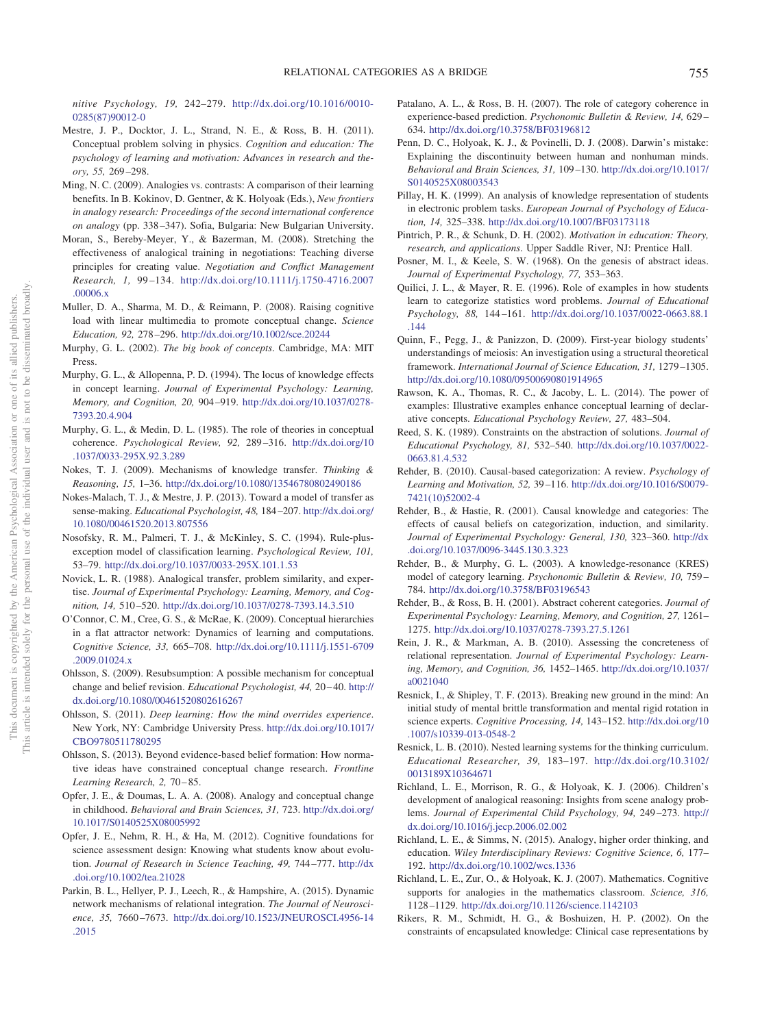*nitive Psychology, 19,* 242–279. [http://dx.doi.org/10.1016/0010-](http://dx.doi.org/10.1016/0010-0285%2887%2990012-0) [0285\(87\)90012-0](http://dx.doi.org/10.1016/0010-0285%2887%2990012-0)

- <span id="page-26-18"></span>Mestre, J. P., Docktor, J. L., Strand, N. E., & Ross, B. H. (2011). Conceptual problem solving in physics. *Cognition and education: The psychology of learning and motivation: Advances in research and theory, 55,* 269 –298.
- <span id="page-26-16"></span>Ming, N. C. (2009). Analogies vs. contrasts: A comparison of their learning benefits. In B. Kokinov, D. Gentner, & K. Holyoak (Eds.), *New frontiers in analogy research: Proceedings of the second international conference on analogy* (pp. 338 –347). Sofia, Bulgaria: New Bulgarian University.
- <span id="page-26-26"></span>Moran, S., Bereby-Meyer, Y., & Bazerman, M. (2008). Stretching the effectiveness of analogical training in negotiations: Teaching diverse principles for creating value. *Negotiation and Conflict Management Research, 1,* 99 –134. [http://dx.doi.org/10.1111/j.1750-4716.2007](http://dx.doi.org/10.1111/j.1750-4716.2007.00006.x) [.00006.x](http://dx.doi.org/10.1111/j.1750-4716.2007.00006.x)
- <span id="page-26-30"></span>Muller, D. A., Sharma, M. D., & Reimann, P. (2008). Raising cognitive load with linear multimedia to promote conceptual change. *Science Education, 92,* 278 –296. <http://dx.doi.org/10.1002/sce.20244>
- <span id="page-26-0"></span>Murphy, G. L. (2002). *The big book of concepts*. Cambridge, MA: MIT Press.
- <span id="page-26-19"></span>Murphy, G. L., & Allopenna, P. D. (1994). The locus of knowledge effects in concept learning. *Journal of Experimental Psychology: Learning, Memory, and Cognition, 20,* 904 –919. [http://dx.doi.org/10.1037/0278-](http://dx.doi.org/10.1037/0278-7393.20.4.904) [7393.20.4.904](http://dx.doi.org/10.1037/0278-7393.20.4.904)
- <span id="page-26-1"></span>Murphy, G. L., & Medin, D. L. (1985). The role of theories in conceptual coherence. *Psychological Review, 92,* 289 –316. [http://dx.doi.org/10](http://dx.doi.org/10.1037/0033-295X.92.3.289) [.1037/0033-295X.92.3.289](http://dx.doi.org/10.1037/0033-295X.92.3.289)
- <span id="page-26-9"></span>Nokes, T. J. (2009). Mechanisms of knowledge transfer. *Thinking & Reasoning, 15,* 1–36. <http://dx.doi.org/10.1080/13546780802490186>
- <span id="page-26-10"></span>Nokes-Malach, T. J., & Mestre, J. P. (2013). Toward a model of transfer as sense-making. *Educational Psychologist, 48,* 184 –207. [http://dx.doi.org/](http://dx.doi.org/10.1080/00461520.2013.807556) [10.1080/00461520.2013.807556](http://dx.doi.org/10.1080/00461520.2013.807556)
- <span id="page-26-3"></span>Nosofsky, R. M., Palmeri, T. J., & McKinley, S. C. (1994). Rule-plusexception model of classification learning. *Psychological Review, 101,* 53–79. <http://dx.doi.org/10.1037/0033-295X.101.1.53>
- <span id="page-26-15"></span>Novick, L. R. (1988). Analogical transfer, problem similarity, and expertise. *Journal of Experimental Psychology: Learning, Memory, and Cognition, 14,* 510 –520. <http://dx.doi.org/10.1037/0278-7393.14.3.510>
- <span id="page-26-25"></span>O'Connor, C. M., Cree, G. S., & McRae, K. (2009). Conceptual hierarchies in a flat attractor network: Dynamics of learning and computations. *Cognitive Science, 33,* 665–708. [http://dx.doi.org/10.1111/j.1551-6709](http://dx.doi.org/10.1111/j.1551-6709.2009.01024.x) [.2009.01024.x](http://dx.doi.org/10.1111/j.1551-6709.2009.01024.x)
- <span id="page-26-27"></span>Ohlsson, S. (2009). Resubsumption: A possible mechanism for conceptual change and belief revision. *Educational Psychologist*, 44, 20-40. [http://](http://dx.doi.org/10.1080/00461520802616267) [dx.doi.org/10.1080/00461520802616267](http://dx.doi.org/10.1080/00461520802616267)
- <span id="page-26-28"></span>Ohlsson, S. (2011). *Deep learning: How the mind overrides experience*. New York, NY: Cambridge University Press. [http://dx.doi.org/10.1017/](http://dx.doi.org/10.1017/CBO9780511780295) [CBO9780511780295](http://dx.doi.org/10.1017/CBO9780511780295)
- <span id="page-26-29"></span>Ohlsson, S. (2013). Beyond evidence-based belief formation: How normative ideas have constrained conceptual change research. *Frontline Learning Research, 2,* 70 – 85.
- <span id="page-26-33"></span>Opfer, J. E., & Doumas, L. A. A. (2008). Analogy and conceptual change in childhood. *Behavioral and Brain Sciences, 31,* 723. [http://dx.doi.org/](http://dx.doi.org/10.1017/S0140525X08005992) [10.1017/S0140525X08005992](http://dx.doi.org/10.1017/S0140525X08005992)
- <span id="page-26-2"></span>Opfer, J. E., Nehm, R. H., & Ha, M. (2012). Cognitive foundations for science assessment design: Knowing what students know about evolution. *Journal of Research in Science Teaching, 49,* 744 –777. [http://dx](http://dx.doi.org/10.1002/tea.21028) [.doi.org/10.1002/tea.21028](http://dx.doi.org/10.1002/tea.21028)
- <span id="page-26-4"></span>Parkin, B. L., Hellyer, P. J., Leech, R., & Hampshire, A. (2015). Dynamic network mechanisms of relational integration. *The Journal of Neuroscience, 35,* 7660 –7673. [http://dx.doi.org/10.1523/JNEUROSCI.4956-14](http://dx.doi.org/10.1523/JNEUROSCI.4956-14.2015) [.2015](http://dx.doi.org/10.1523/JNEUROSCI.4956-14.2015)
- <span id="page-26-20"></span>Patalano, A. L., & Ross, B. H. (2007). The role of category coherence in experience-based prediction. *Psychonomic Bulletin & Review, 14,* 629 – 634. <http://dx.doi.org/10.3758/BF03196812>
- <span id="page-26-5"></span>Penn, D. C., Holyoak, K. J., & Povinelli, D. J. (2008). Darwin's mistake: Explaining the discontinuity between human and nonhuman minds. *Behavioral and Brain Sciences, 31,* 109 –130. [http://dx.doi.org/10.1017/](http://dx.doi.org/10.1017/S0140525X08003543) [S0140525X08003543](http://dx.doi.org/10.1017/S0140525X08003543)
- <span id="page-26-31"></span>Pillay, H. K. (1999). An analysis of knowledge representation of students in electronic problem tasks. *European Journal of Psychology of Education, 14,* 325–338. <http://dx.doi.org/10.1007/BF03173118>
- <span id="page-26-14"></span>Pintrich, P. R., & Schunk, D. H. (2002). *Motivation in education: Theory, research, and applications*. Upper Saddle River, NJ: Prentice Hall.
- <span id="page-26-35"></span>Posner, M. I., & Keele, S. W. (1968). On the genesis of abstract ideas. *Journal of Experimental Psychology, 77,* 353–363.
- <span id="page-26-7"></span>Quilici, J. L., & Mayer, R. E. (1996). Role of examples in how students learn to categorize statistics word problems. *Journal of Educational Psychology, 88,* 144 –161. [http://dx.doi.org/10.1037/0022-0663.88.1](http://dx.doi.org/10.1037/0022-0663.88.1.144) [.144](http://dx.doi.org/10.1037/0022-0663.88.1.144)
- <span id="page-26-32"></span>Quinn, F., Pegg, J., & Panizzon, D. (2009). First-year biology students' understandings of meiosis: An investigation using a structural theoretical framework. *International Journal of Science Education, 31,* 1279 –1305. <http://dx.doi.org/10.1080/09500690801914965>
- <span id="page-26-17"></span>Rawson, K. A., Thomas, R. C., & Jacoby, L. L. (2014). The power of examples: Illustrative examples enhance conceptual learning of declarative concepts. *Educational Psychology Review, 27,* 483–504.
- <span id="page-26-13"></span>Reed, S. K. (1989). Constraints on the abstraction of solutions. *Journal of Educational Psychology, 81,* 532–540. [http://dx.doi.org/10.1037/0022-](http://dx.doi.org/10.1037/0022-0663.81.4.532) [0663.81.4.532](http://dx.doi.org/10.1037/0022-0663.81.4.532)
- <span id="page-26-21"></span>Rehder, B. (2010). Causal-based categorization: A review. *Psychology of Learning and Motivation, 52,* 39 –116. [http://dx.doi.org/10.1016/S0079-](http://dx.doi.org/10.1016/S0079-7421%2810%2952002-4) [7421\(10\)52002-4](http://dx.doi.org/10.1016/S0079-7421%2810%2952002-4)
- <span id="page-26-22"></span>Rehder, B., & Hastie, R. (2001). Causal knowledge and categories: The effects of causal beliefs on categorization, induction, and similarity. *Journal of Experimental Psychology: General, 130,* 323–360. [http://dx](http://dx.doi.org/10.1037/0096-3445.130.3.323) [.doi.org/10.1037/0096-3445.130.3.323](http://dx.doi.org/10.1037/0096-3445.130.3.323)
- <span id="page-26-34"></span>Rehder, B., & Murphy, G. L. (2003). A knowledge-resonance (KRES) model of category learning. *Psychonomic Bulletin & Review, 10,* 759 – 784. <http://dx.doi.org/10.3758/BF03196543>
- <span id="page-26-23"></span>Rehder, B., & Ross, B. H. (2001). Abstract coherent categories. *Journal of Experimental Psychology: Learning, Memory, and Cognition, 27,* 1261– 1275. <http://dx.doi.org/10.1037/0278-7393.27.5.1261>
- <span id="page-26-12"></span>Rein, J. R., & Markman, A. B. (2010). Assessing the concreteness of relational representation. *Journal of Experimental Psychology: Learning, Memory, and Cognition, 36,* 1452–1465. [http://dx.doi.org/10.1037/](http://dx.doi.org/10.1037/a0021040) [a0021040](http://dx.doi.org/10.1037/a0021040)
- <span id="page-26-36"></span>Resnick, I., & Shipley, T. F. (2013). Breaking new ground in the mind: An initial study of mental brittle transformation and mental rigid rotation in science experts. *Cognitive Processing, 14,* 143–152. [http://dx.doi.org/10](http://dx.doi.org/10.1007/s10339-013-0548-2) [.1007/s10339-013-0548-2](http://dx.doi.org/10.1007/s10339-013-0548-2)
- <span id="page-26-6"></span>Resnick, L. B. (2010). Nested learning systems for the thinking curriculum. *Educational Researcher, 39,* 183–197. [http://dx.doi.org/10.3102/](http://dx.doi.org/10.3102/0013189X10364671) [0013189X10364671](http://dx.doi.org/10.3102/0013189X10364671)
- <span id="page-26-8"></span>Richland, L. E., Morrison, R. G., & Holyoak, K. J. (2006). Children's development of analogical reasoning: Insights from scene analogy problems. *Journal of Experimental Child Psychology, 94,* 249 –273. [http://](http://dx.doi.org/10.1016/j.jecp.2006.02.002) [dx.doi.org/10.1016/j.jecp.2006.02.002](http://dx.doi.org/10.1016/j.jecp.2006.02.002)
- <span id="page-26-11"></span>Richland, L. E., & Simms, N. (2015). Analogy, higher order thinking, and education. *Wiley Interdisciplinary Reviews: Cognitive Science, 6,* 177– 192. <http://dx.doi.org/10.1002/wcs.1336>
- <span id="page-26-37"></span>Richland, L. E., Zur, O., & Holyoak, K. J. (2007). Mathematics. Cognitive supports for analogies in the mathematics classroom. *Science, 316,* 1128 –1129. <http://dx.doi.org/10.1126/science.1142103>
- <span id="page-26-24"></span>Rikers, R. M., Schmidt, H. G., & Boshuizen, H. P. (2002). On the constraints of encapsulated knowledge: Clinical case representations by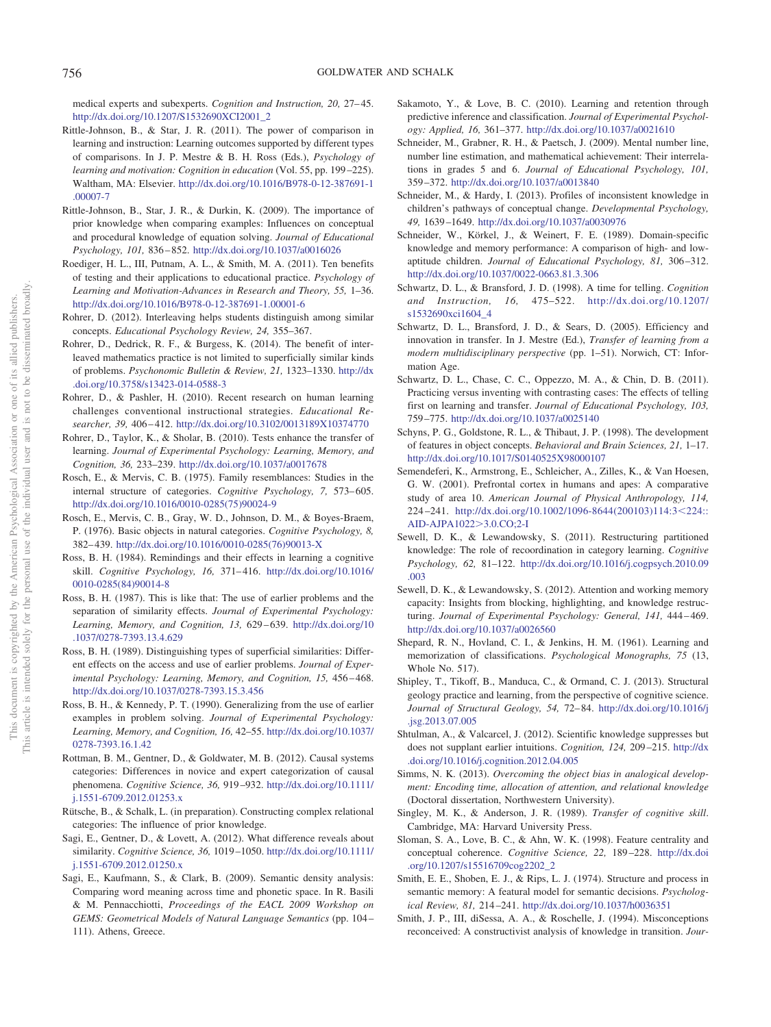medical experts and subexperts. *Cognition and Instruction*, 20, 27–45. [http://dx.doi.org/10.1207/S1532690XCI2001\\_2](http://dx.doi.org/10.1207/S1532690XCI2001_2)

- <span id="page-27-17"></span>Rittle-Johnson, B., & Star, J. R. (2011). The power of comparison in learning and instruction: Learning outcomes supported by different types of comparisons. In J. P. Mestre & B. H. Ross (Eds.), *Psychology of learning and motivation: Cognition in education* (Vol. 55, pp. 199 –225). Waltham, MA: Elsevier. [http://dx.doi.org/10.1016/B978-0-12-387691-1](http://dx.doi.org/10.1016/B978-0-12-387691-1.00007-7) [.00007-7](http://dx.doi.org/10.1016/B978-0-12-387691-1.00007-7)
- <span id="page-27-0"></span>Rittle-Johnson, B., Star, J. R., & Durkin, K. (2009). The importance of prior knowledge when comparing examples: Influences on conceptual and procedural knowledge of equation solving. *Journal of Educational Psychology, 101,* 836 – 852. <http://dx.doi.org/10.1037/a0016026>
- <span id="page-27-23"></span>Roediger, H. L., III, Putnam, A. L., & Smith, M. A. (2011). Ten benefits of testing and their applications to educational practice. *Psychology of Learning and Motivation-Advances in Research and Theory, 55,* 1–36. <http://dx.doi.org/10.1016/B978-0-12-387691-1.00001-6>
- <span id="page-27-21"></span>Rohrer, D. (2012). Interleaving helps students distinguish among similar concepts. *Educational Psychology Review, 24,* 355–367.
- <span id="page-27-22"></span>Rohrer, D., Dedrick, R. F., & Burgess, K. (2014). The benefit of interleaved mathematics practice is not limited to superficially similar kinds of problems. *Psychonomic Bulletin & Review, 21,* 1323–1330. [http://dx](http://dx.doi.org/10.3758/s13423-014-0588-3) [.doi.org/10.3758/s13423-014-0588-3](http://dx.doi.org/10.3758/s13423-014-0588-3)
- <span id="page-27-7"></span>Rohrer, D., & Pashler, H. (2010). Recent research on human learning challenges conventional instructional strategies. *Educational Researcher, 39,* 406 – 412. <http://dx.doi.org/10.3102/0013189X10374770>
- <span id="page-27-24"></span>Rohrer, D., Taylor, K., & Sholar, B. (2010). Tests enhance the transfer of learning. *Journal of Experimental Psychology: Learning, Memory, and Cognition, 36,* 233–239. <http://dx.doi.org/10.1037/a0017678>
- <span id="page-27-3"></span>Rosch, E., & Mervis, C. B. (1975). Family resemblances: Studies in the internal structure of categories. *Cognitive Psychology, 7,* 573– 605. [http://dx.doi.org/10.1016/0010-0285\(75\)90024-9](http://dx.doi.org/10.1016/0010-0285%2875%2990024-9)
- <span id="page-27-5"></span>Rosch, E., Mervis, C. B., Gray, W. D., Johnson, D. M., & Boyes-Braem, P. (1976). Basic objects in natural categories. *Cognitive Psychology, 8,* 382– 439. [http://dx.doi.org/10.1016/0010-0285\(76\)90013-X](http://dx.doi.org/10.1016/0010-0285%2876%2990013-X)
- <span id="page-27-11"></span>Ross, B. H. (1984). Remindings and their effects in learning a cognitive skill. *Cognitive Psychology, 16,* 371– 416. [http://dx.doi.org/10.1016/](http://dx.doi.org/10.1016/0010-0285%2884%2990014-8) [0010-0285\(84\)90014-8](http://dx.doi.org/10.1016/0010-0285%2884%2990014-8)
- <span id="page-27-12"></span>Ross, B. H. (1987). This is like that: The use of earlier problems and the separation of similarity effects. *Journal of Experimental Psychology: Learning, Memory, and Cognition, 13,* 629 – 639. [http://dx.doi.org/10](http://dx.doi.org/10.1037/0278-7393.13.4.629) [.1037/0278-7393.13.4.629](http://dx.doi.org/10.1037/0278-7393.13.4.629)
- <span id="page-27-13"></span>Ross, B. H. (1989). Distinguishing types of superficial similarities: Different effects on the access and use of earlier problems. *Journal of Experimental Psychology: Learning, Memory, and Cognition, 15,* 456 – 468. <http://dx.doi.org/10.1037/0278-7393.15.3.456>
- <span id="page-27-14"></span>Ross, B. H., & Kennedy, P. T. (1990). Generalizing from the use of earlier examples in problem solving. *Journal of Experimental Psychology: Learning, Memory, and Cognition, 16,* 42–55. [http://dx.doi.org/10.1037/](http://dx.doi.org/10.1037/0278-7393.16.1.42) [0278-7393.16.1.42](http://dx.doi.org/10.1037/0278-7393.16.1.42)
- <span id="page-27-2"></span>Rottman, B. M., Gentner, D., & Goldwater, M. B. (2012). Causal systems categories: Differences in novice and expert categorization of causal phenomena. *Cognitive Science, 36,* 919 –932. [http://dx.doi.org/10.1111/](http://dx.doi.org/10.1111/j.1551-6709.2012.01253.x) [j.1551-6709.2012.01253.x](http://dx.doi.org/10.1111/j.1551-6709.2012.01253.x)
- <span id="page-27-32"></span>Rütsche, B., & Schalk, L. (in preparation). Constructing complex relational categories: The influence of prior knowledge.
- <span id="page-27-20"></span>Sagi, E., Gentner, D., & Lovett, A. (2012). What difference reveals about similarity. *Cognitive Science, 36,* 1019 –1050. [http://dx.doi.org/10.1111/](http://dx.doi.org/10.1111/j.1551-6709.2012.01250.x) [j.1551-6709.2012.01250.x](http://dx.doi.org/10.1111/j.1551-6709.2012.01250.x)
- <span id="page-27-9"></span>Sagi, E., Kaufmann, S., & Clark, B. (2009). Semantic density analysis: Comparing word meaning across time and phonetic space. In R. Basili & M. Pennacchiotti, *Proceedings of the EACL 2009 Workshop on GEMS: Geometrical Models of Natural Language Semantics* (pp. 104 – 111). Athens, Greece.
- <span id="page-27-8"></span>Sakamoto, Y., & Love, B. C. (2010). Learning and retention through predictive inference and classification. *Journal of Experimental Psychology: Applied, 16,* 361–377. <http://dx.doi.org/10.1037/a0021610>
- <span id="page-27-29"></span>Schneider, M., Grabner, R. H., & Paetsch, J. (2009). Mental number line, number line estimation, and mathematical achievement: Their interrelations in grades 5 and 6. *Journal of Educational Psychology, 101,* 359 –372. <http://dx.doi.org/10.1037/a0013840>
- <span id="page-27-31"></span>Schneider, M., & Hardy, I. (2013). Profiles of inconsistent knowledge in children's pathways of conceptual change. *Developmental Psychology, 49,* 1639 –1649. <http://dx.doi.org/10.1037/a0030976>
- <span id="page-27-16"></span>Schneider, W., Körkel, J., & Weinert, F. E. (1989). Domain-specific knowledge and memory performance: A comparison of high- and lowaptitude children. *Journal of Educational Psychology, 81,* 306 –312. <http://dx.doi.org/10.1037/0022-0663.81.3.306>
- <span id="page-27-18"></span>Schwartz, D. L., & Bransford, J. D. (1998). A time for telling. *Cognition and Instruction, 16,* 475–522. [http://dx.doi.org/10.1207/](http://dx.doi.org/10.1207/s1532690xci1604_4) [s1532690xci1604\\_4](http://dx.doi.org/10.1207/s1532690xci1604_4)
- <span id="page-27-27"></span>Schwartz, D. L., Bransford, J. D., & Sears, D. (2005). Efficiency and innovation in transfer. In J. Mestre (Ed.), *Transfer of learning from a modern multidisciplinary perspective* (pp. 1–51). Norwich, CT: Information Age.
- <span id="page-27-19"></span>Schwartz, D. L., Chase, C. C., Oppezzo, M. A., & Chin, D. B. (2011). Practicing versus inventing with contrasting cases: The effects of telling first on learning and transfer. *Journal of Educational Psychology, 103,* 759 –775. <http://dx.doi.org/10.1037/a0025140>
- <span id="page-27-25"></span>Schyns, P. G., Goldstone, R. L., & Thibaut, J. P. (1998). The development of features in object concepts. *Behavioral and Brain Sciences, 21,* 1–17. <http://dx.doi.org/10.1017/S0140525X98000107>
- <span id="page-27-6"></span>Semendeferi, K., Armstrong, E., Schleicher, A., Zilles, K., & Van Hoesen, G. W. (2001). Prefrontal cortex in humans and apes: A comparative study of area 10. *American Journal of Physical Anthropology, 114,* 224 –241. [http://dx.doi.org/10.1002/1096-8644\(200103\)114:3](http://dx.doi.org/10.1002/1096-8644%28200103%29114:3%3C224::AID-AJPA1022%3E3.0.CO;2-I)224:: [AID-AJPA1022](http://dx.doi.org/10.1002/1096-8644%28200103%29114:3%3C224::AID-AJPA1022%3E3.0.CO;2-I)>3.0.CO;2-I
- <span id="page-27-34"></span>Sewell, D. K., & Lewandowsky, S. (2011). Restructuring partitioned knowledge: The role of recoordination in category learning. *Cognitive Psychology, 62,* 81–122. [http://dx.doi.org/10.1016/j.cogpsych.2010.09](http://dx.doi.org/10.1016/j.cogpsych.2010.09.003) [.003](http://dx.doi.org/10.1016/j.cogpsych.2010.09.003)
- <span id="page-27-33"></span>Sewell, D. K., & Lewandowsky, S. (2012). Attention and working memory capacity: Insights from blocking, highlighting, and knowledge restructuring. *Journal of Experimental Psychology: General, 141,* 444 – 469. <http://dx.doi.org/10.1037/a0026560>
- <span id="page-27-1"></span>Shepard, R. N., Hovland, C. I., & Jenkins, H. M. (1961). Learning and memorization of classifications. *Psychological Monographs, 75* (13, Whole No. 517).
- <span id="page-27-35"></span>Shipley, T., Tikoff, B., Manduca, C., & Ormand, C. J. (2013). Structural geology practice and learning, from the perspective of cognitive science. *Journal of Structural Geology, 54,* 72– 84. [http://dx.doi.org/10.1016/j](http://dx.doi.org/10.1016/j.jsg.2013.07.005) [.jsg.2013.07.005](http://dx.doi.org/10.1016/j.jsg.2013.07.005)
- <span id="page-27-30"></span>Shtulman, A., & Valcarcel, J. (2012). Scientific knowledge suppresses but does not supplant earlier intuitions. *Cognition, 124,* 209 –215. [http://dx](http://dx.doi.org/10.1016/j.cognition.2012.04.005) [.doi.org/10.1016/j.cognition.2012.04.005](http://dx.doi.org/10.1016/j.cognition.2012.04.005)
- <span id="page-27-10"></span>Simms, N. K. (2013). *Overcoming the object bias in analogical development: Encoding time, allocation of attention, and relational knowledge* (Doctoral dissertation, Northwestern University).
- <span id="page-27-15"></span>Singley, M. K., & Anderson, J. R. (1989). *Transfer of cognitive skill*. Cambridge, MA: Harvard University Press.
- <span id="page-27-26"></span>Sloman, S. A., Love, B. C., & Ahn, W. K. (1998). Feature centrality and conceptual coherence. *Cognitive Science, 22,* 189 –228. [http://dx.doi](http://dx.doi.org/10.1207/s15516709cog2202_2) [.org/10.1207/s15516709cog2202\\_2](http://dx.doi.org/10.1207/s15516709cog2202_2)
- <span id="page-27-4"></span>Smith, E. E., Shoben, E. J., & Rips, L. J. (1974). Structure and process in semantic memory: A featural model for semantic decisions. *Psychological Review, 81,* 214 –241. <http://dx.doi.org/10.1037/h0036351>
- <span id="page-27-28"></span>Smith, J. P., III, diSessa, A. A., & Roschelle, J. (1994). Misconceptions reconceived: A constructivist analysis of knowledge in transition. *Jour-*